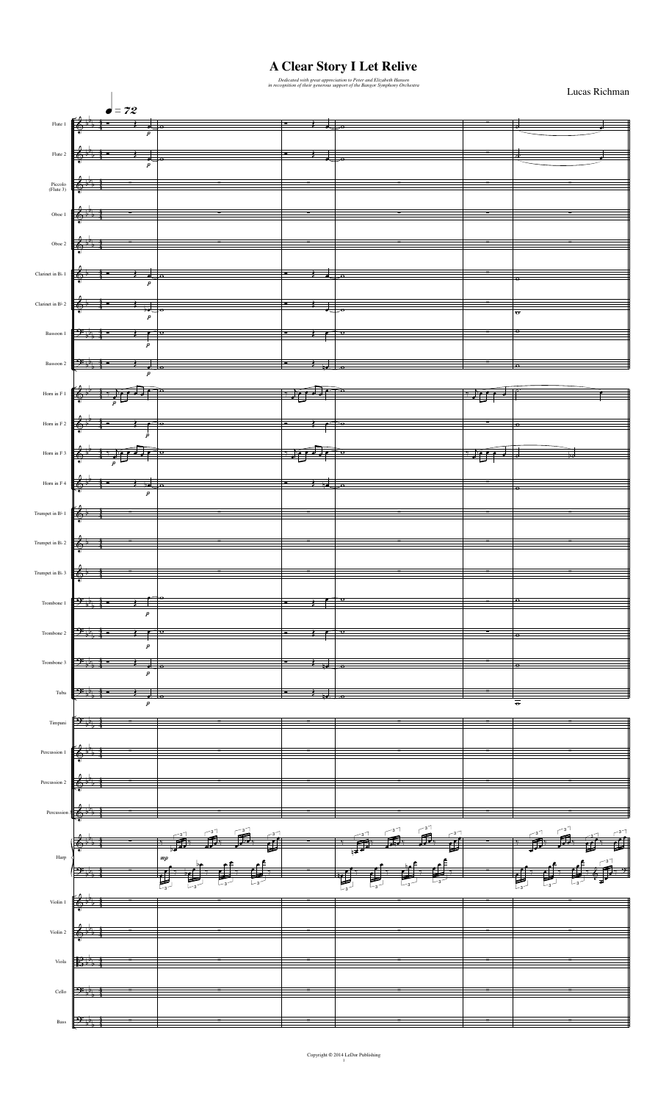## **A Clear Story I Let Relive**

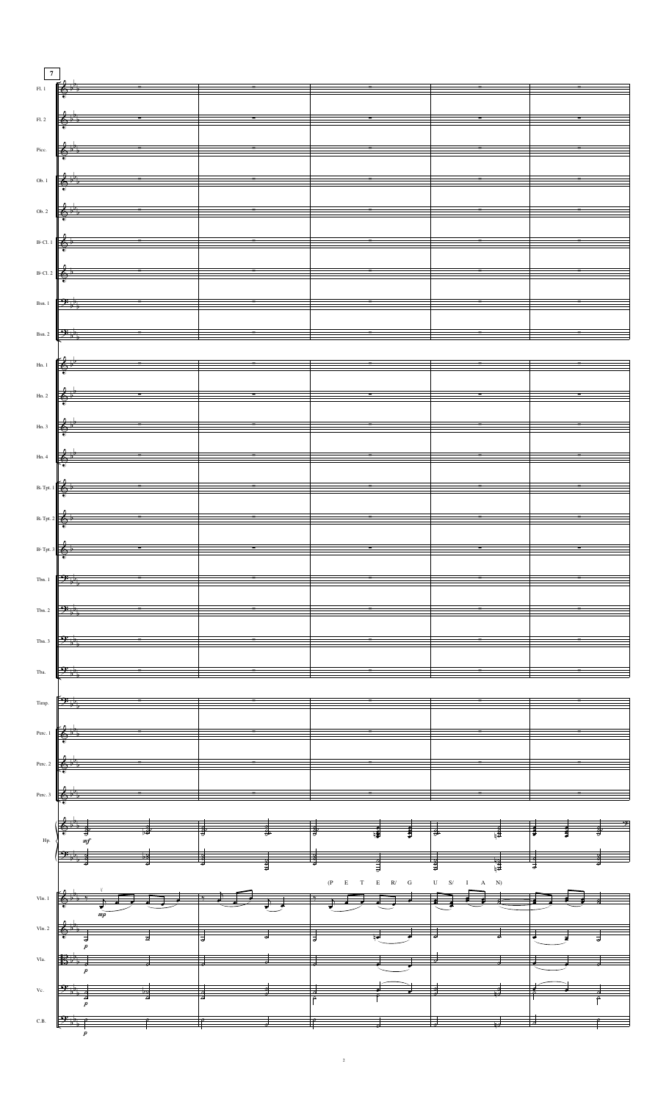| $\overline{\mathbf{7}}$   |                                                                                                                                                                                                                                                                                                                       |  |                                                    |                                                                                                                                                                                                                                                                                                                                                                                                                                          |                      |                          |
|---------------------------|-----------------------------------------------------------------------------------------------------------------------------------------------------------------------------------------------------------------------------------------------------------------------------------------------------------------------|--|----------------------------------------------------|------------------------------------------------------------------------------------------------------------------------------------------------------------------------------------------------------------------------------------------------------------------------------------------------------------------------------------------------------------------------------------------------------------------------------------------|----------------------|--------------------------|
| FL1                       | $\sqrt{6}$                                                                                                                                                                                                                                                                                                            |  |                                                    |                                                                                                                                                                                                                                                                                                                                                                                                                                          |                      |                          |
|                           |                                                                                                                                                                                                                                                                                                                       |  |                                                    |                                                                                                                                                                                                                                                                                                                                                                                                                                          |                      |                          |
|                           | F1.2                                                                                                                                                                                                                                                                                                                  |  |                                                    |                                                                                                                                                                                                                                                                                                                                                                                                                                          |                      |                          |
|                           |                                                                                                                                                                                                                                                                                                                       |  |                                                    |                                                                                                                                                                                                                                                                                                                                                                                                                                          |                      |                          |
|                           | Picc. $\left  \begin{array}{c} \begin{array}{c} \begin{array}{c} \end{array} \\ \begin{array}{c} \end{array} \end{array} \right  \end{array}$                                                                                                                                                                         |  |                                                    |                                                                                                                                                                                                                                                                                                                                                                                                                                          |                      |                          |
|                           |                                                                                                                                                                                                                                                                                                                       |  |                                                    |                                                                                                                                                                                                                                                                                                                                                                                                                                          |                      |                          |
|                           | $0b.1$ $\left(\frac{2}{3}b^2\right)$                                                                                                                                                                                                                                                                                  |  |                                                    |                                                                                                                                                                                                                                                                                                                                                                                                                                          |                      |                          |
|                           | Ob.2 $\frac{1}{\frac{1}{2}+\frac{1}{2}}$                                                                                                                                                                                                                                                                              |  |                                                    |                                                                                                                                                                                                                                                                                                                                                                                                                                          |                      |                          |
|                           |                                                                                                                                                                                                                                                                                                                       |  |                                                    |                                                                                                                                                                                                                                                                                                                                                                                                                                          |                      |                          |
|                           | $B \triangleright C1.1$                                                                                                                                                                                                                                                                                               |  | $\mathbf{r}$ , and $\mathbf{r}$ , and $\mathbf{r}$ |                                                                                                                                                                                                                                                                                                                                                                                                                                          |                      |                          |
|                           |                                                                                                                                                                                                                                                                                                                       |  |                                                    |                                                                                                                                                                                                                                                                                                                                                                                                                                          |                      |                          |
|                           | $B \triangleright C1.2$                                                                                                                                                                                                                                                                                               |  |                                                    |                                                                                                                                                                                                                                                                                                                                                                                                                                          |                      |                          |
|                           |                                                                                                                                                                                                                                                                                                                       |  |                                                    |                                                                                                                                                                                                                                                                                                                                                                                                                                          |                      |                          |
|                           | Bsn. 1 $\left  \frac{1}{\sigma} \right $                                                                                                                                                                                                                                                                              |  |                                                    |                                                                                                                                                                                                                                                                                                                                                                                                                                          |                      |                          |
|                           |                                                                                                                                                                                                                                                                                                                       |  |                                                    |                                                                                                                                                                                                                                                                                                                                                                                                                                          |                      |                          |
|                           | Bsn. 2 $\left \sum_{i=1}^{n}$                                                                                                                                                                                                                                                                                         |  |                                                    |                                                                                                                                                                                                                                                                                                                                                                                                                                          |                      |                          |
|                           |                                                                                                                                                                                                                                                                                                                       |  |                                                    |                                                                                                                                                                                                                                                                                                                                                                                                                                          |                      |                          |
|                           | Hn.1                                                                                                                                                                                                                                                                                                                  |  |                                                    |                                                                                                                                                                                                                                                                                                                                                                                                                                          |                      |                          |
|                           | Hn.2                                                                                                                                                                                                                                                                                                                  |  |                                                    |                                                                                                                                                                                                                                                                                                                                                                                                                                          |                      |                          |
|                           |                                                                                                                                                                                                                                                                                                                       |  |                                                    |                                                                                                                                                                                                                                                                                                                                                                                                                                          |                      |                          |
|                           | $\mathbf{Hn.3}$                                                                                                                                                                                                                                                                                                       |  |                                                    |                                                                                                                                                                                                                                                                                                                                                                                                                                          |                      |                          |
|                           |                                                                                                                                                                                                                                                                                                                       |  |                                                    |                                                                                                                                                                                                                                                                                                                                                                                                                                          |                      |                          |
|                           | Hn.4                                                                                                                                                                                                                                                                                                                  |  |                                                    |                                                                                                                                                                                                                                                                                                                                                                                                                                          |                      |                          |
|                           |                                                                                                                                                                                                                                                                                                                       |  |                                                    |                                                                                                                                                                                                                                                                                                                                                                                                                                          |                      |                          |
| $B \triangleright Tpt. 1$ |                                                                                                                                                                                                                                                                                                                       |  |                                                    |                                                                                                                                                                                                                                                                                                                                                                                                                                          |                      |                          |
|                           |                                                                                                                                                                                                                                                                                                                       |  |                                                    |                                                                                                                                                                                                                                                                                                                                                                                                                                          |                      |                          |
| $B \triangleright Tpt. 2$ |                                                                                                                                                                                                                                                                                                                       |  |                                                    |                                                                                                                                                                                                                                                                                                                                                                                                                                          |                      |                          |
|                           |                                                                                                                                                                                                                                                                                                                       |  |                                                    |                                                                                                                                                                                                                                                                                                                                                                                                                                          |                      |                          |
| $B \triangleright Tpt.3$  |                                                                                                                                                                                                                                                                                                                       |  |                                                    |                                                                                                                                                                                                                                                                                                                                                                                                                                          |                      |                          |
|                           |                                                                                                                                                                                                                                                                                                                       |  |                                                    |                                                                                                                                                                                                                                                                                                                                                                                                                                          |                      |                          |
| Tbn. 1 $\mathbb{Z}$       |                                                                                                                                                                                                                                                                                                                       |  |                                                    |                                                                                                                                                                                                                                                                                                                                                                                                                                          |                      |                          |
|                           | Tbn. 2 $\left \frac{9}{2}\right $                                                                                                                                                                                                                                                                                     |  |                                                    |                                                                                                                                                                                                                                                                                                                                                                                                                                          |                      |                          |
|                           |                                                                                                                                                                                                                                                                                                                       |  |                                                    |                                                                                                                                                                                                                                                                                                                                                                                                                                          |                      |                          |
|                           | Tbn. 3 $\frac{1}{2}$                                                                                                                                                                                                                                                                                                  |  |                                                    |                                                                                                                                                                                                                                                                                                                                                                                                                                          |                      |                          |
|                           |                                                                                                                                                                                                                                                                                                                       |  |                                                    |                                                                                                                                                                                                                                                                                                                                                                                                                                          |                      |                          |
| Tba.                      | $\mathbb{P}$                                                                                                                                                                                                                                                                                                          |  |                                                    |                                                                                                                                                                                                                                                                                                                                                                                                                                          |                      |                          |
|                           |                                                                                                                                                                                                                                                                                                                       |  |                                                    |                                                                                                                                                                                                                                                                                                                                                                                                                                          |                      |                          |
| Timp.                     | $\mathbf{P}$                                                                                                                                                                                                                                                                                                          |  |                                                    |                                                                                                                                                                                                                                                                                                                                                                                                                                          |                      |                          |
|                           |                                                                                                                                                                                                                                                                                                                       |  |                                                    |                                                                                                                                                                                                                                                                                                                                                                                                                                          |                      |                          |
|                           | Perc. 1                                                                                                                                                                                                                                                                                                               |  |                                                    |                                                                                                                                                                                                                                                                                                                                                                                                                                          |                      |                          |
|                           |                                                                                                                                                                                                                                                                                                                       |  |                                                    |                                                                                                                                                                                                                                                                                                                                                                                                                                          |                      |                          |
|                           | Perc. 2 $\frac{1}{2}$ $\frac{1}{2}$ $\frac{1}{2}$ $\frac{1}{2}$ $\frac{1}{2}$ $\frac{1}{2}$ $\frac{1}{2}$ $\frac{1}{2}$ $\frac{1}{2}$ $\frac{1}{2}$ $\frac{1}{2}$ $\frac{1}{2}$ $\frac{1}{2}$ $\frac{1}{2}$ $\frac{1}{2}$ $\frac{1}{2}$ $\frac{1}{2}$ $\frac{1}{2}$ $\frac{1}{2}$ $\frac{1}{2}$ $\frac{1}{2}$ $\frac$ |  |                                                    |                                                                                                                                                                                                                                                                                                                                                                                                                                          |                      |                          |
|                           | Perc. 3                                                                                                                                                                                                                                                                                                               |  |                                                    |                                                                                                                                                                                                                                                                                                                                                                                                                                          |                      |                          |
|                           |                                                                                                                                                                                                                                                                                                                       |  |                                                    |                                                                                                                                                                                                                                                                                                                                                                                                                                          |                      |                          |
|                           |                                                                                                                                                                                                                                                                                                                       |  |                                                    |                                                                                                                                                                                                                                                                                                                                                                                                                                          |                      | $\overline{\phantom{a}}$ |
| Hp.                       |                                                                                                                                                                                                                                                                                                                       |  |                                                    |                                                                                                                                                                                                                                                                                                                                                                                                                                          |                      |                          |
|                           | $\frac{1}{2}$                                                                                                                                                                                                                                                                                                         |  |                                                    |                                                                                                                                                                                                                                                                                                                                                                                                                                          |                      |                          |
|                           |                                                                                                                                                                                                                                                                                                                       |  |                                                    |                                                                                                                                                                                                                                                                                                                                                                                                                                          |                      |                          |
|                           |                                                                                                                                                                                                                                                                                                                       |  |                                                    |                                                                                                                                                                                                                                                                                                                                                                                                                                          |                      |                          |
|                           |                                                                                                                                                                                                                                                                                                                       |  |                                                    |                                                                                                                                                                                                                                                                                                                                                                                                                                          |                      |                          |
|                           |                                                                                                                                                                                                                                                                                                                       |  |                                                    |                                                                                                                                                                                                                                                                                                                                                                                                                                          |                      |                          |
|                           |                                                                                                                                                                                                                                                                                                                       |  |                                                    |                                                                                                                                                                                                                                                                                                                                                                                                                                          |                      |                          |
| Vla.                      | $\mathbb B$ ,                                                                                                                                                                                                                                                                                                         |  |                                                    | $\overrightarrow{a}$ and $\overrightarrow{a}$ and $\overrightarrow{a}$ and $\overrightarrow{a}$ and $\overrightarrow{a}$ and $\overrightarrow{a}$ and $\overrightarrow{a}$ and $\overrightarrow{a}$ and $\overrightarrow{a}$ and $\overrightarrow{a}$ and $\overrightarrow{a}$ and $\overrightarrow{a}$ and $\overrightarrow{a}$ and $\overrightarrow{a}$ and $\overrightarrow{a}$ and $\overrightarrow{a}$ and $\overrightarrow{a}$ and | $\overrightarrow{a}$ |                          |
|                           |                                                                                                                                                                                                                                                                                                                       |  |                                                    |                                                                                                                                                                                                                                                                                                                                                                                                                                          |                      |                          |
| $\mbox{Vc.}$              | $2 + 4$                                                                                                                                                                                                                                                                                                               |  |                                                    |                                                                                                                                                                                                                                                                                                                                                                                                                                          |                      |                          |
|                           |                                                                                                                                                                                                                                                                                                                       |  |                                                    |                                                                                                                                                                                                                                                                                                                                                                                                                                          |                      |                          |
|                           | C.B. $2 + 7$                                                                                                                                                                                                                                                                                                          |  |                                                    |                                                                                                                                                                                                                                                                                                                                                                                                                                          |                      |                          |
|                           |                                                                                                                                                                                                                                                                                                                       |  |                                                    |                                                                                                                                                                                                                                                                                                                                                                                                                                          |                      |                          |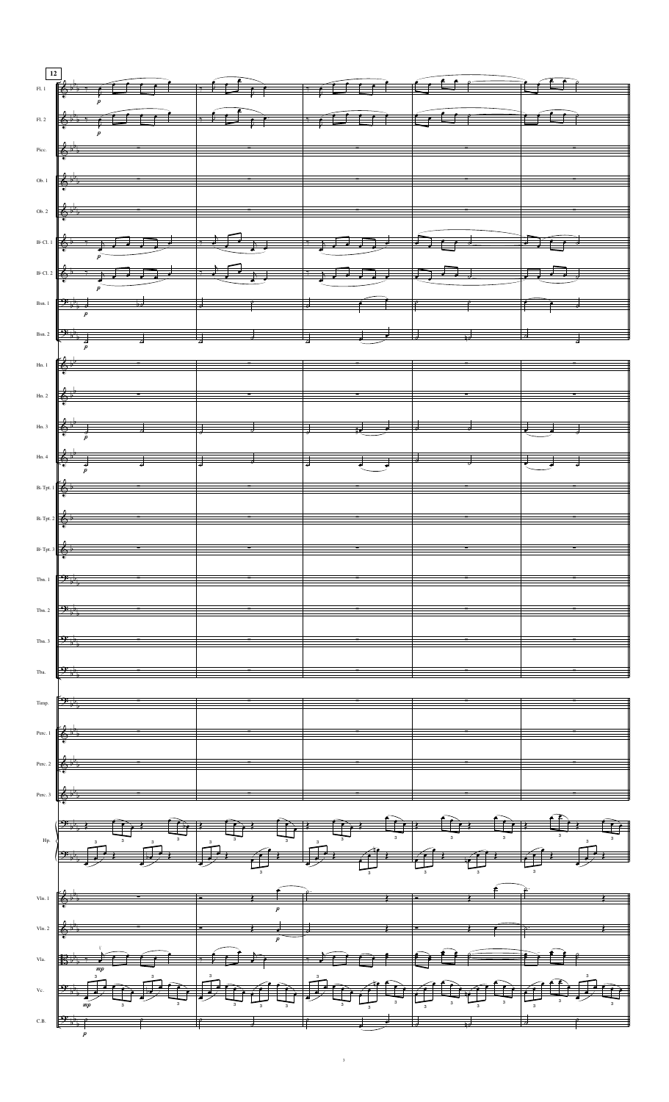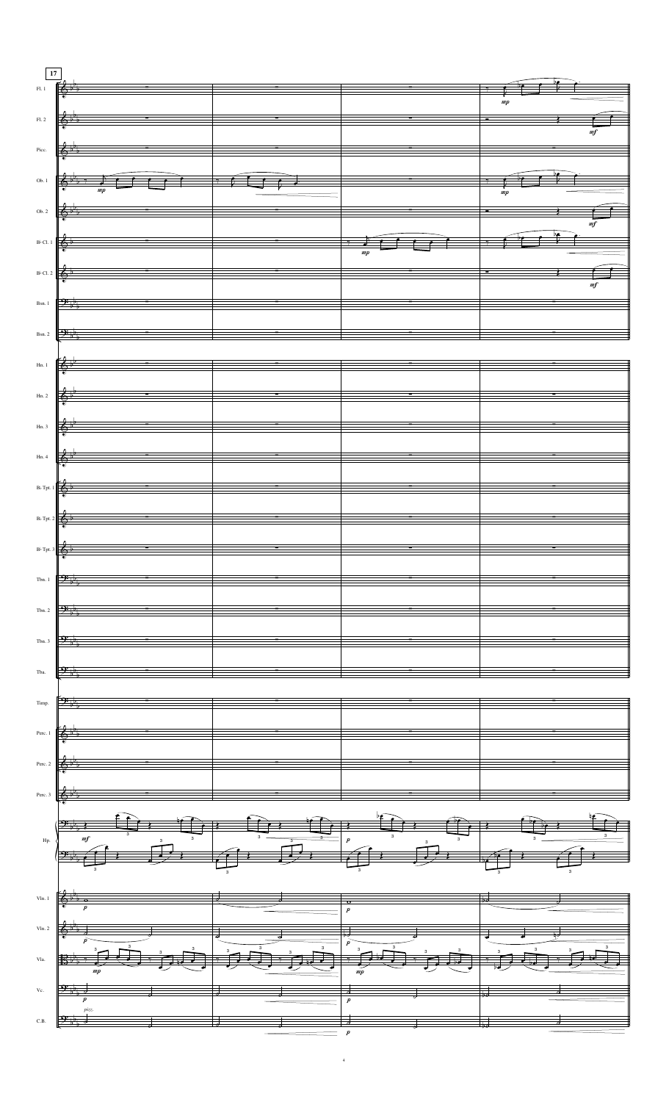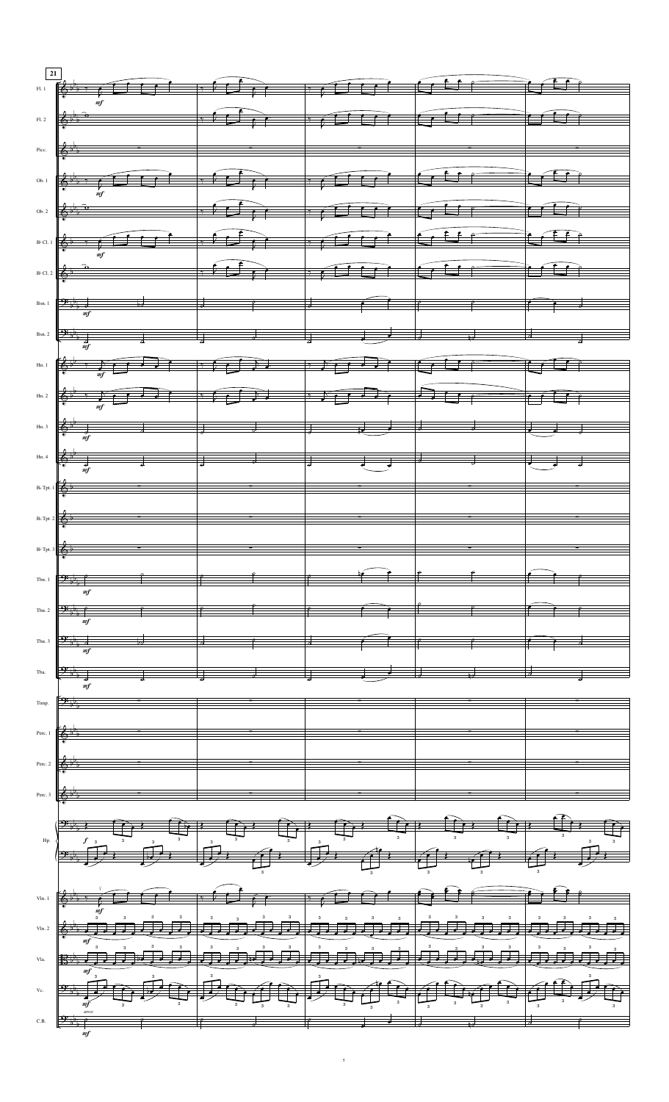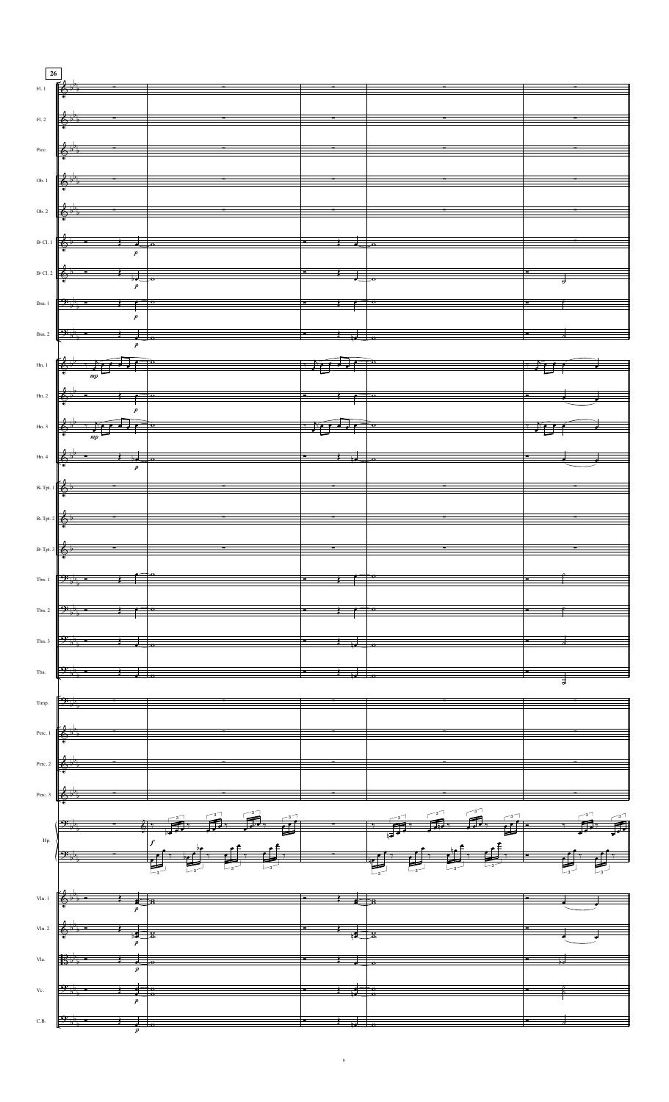| 26                        |                                                                                                                                                                                                                                                                                                                                                                                                                                             |                                                                                                                                                                                                                                                                                                                     |  |
|---------------------------|---------------------------------------------------------------------------------------------------------------------------------------------------------------------------------------------------------------------------------------------------------------------------------------------------------------------------------------------------------------------------------------------------------------------------------------------|---------------------------------------------------------------------------------------------------------------------------------------------------------------------------------------------------------------------------------------------------------------------------------------------------------------------|--|
| FI.1 $\mathbb{R}$         |                                                                                                                                                                                                                                                                                                                                                                                                                                             |                                                                                                                                                                                                                                                                                                                     |  |
| $\mathsf{Fl.}\,2$         | $6^{\frac{1}{2}}$                                                                                                                                                                                                                                                                                                                                                                                                                           |                                                                                                                                                                                                                                                                                                                     |  |
|                           |                                                                                                                                                                                                                                                                                                                                                                                                                                             |                                                                                                                                                                                                                                                                                                                     |  |
| $\rm Picc.$               | $\frac{2}{9}$                                                                                                                                                                                                                                                                                                                                                                                                                               |                                                                                                                                                                                                                                                                                                                     |  |
|                           | 0b.1                                                                                                                                                                                                                                                                                                                                                                                                                                        |                                                                                                                                                                                                                                                                                                                     |  |
|                           | $0b.2$ $\left(\frac{1}{2}b^2\right)$                                                                                                                                                                                                                                                                                                                                                                                                        |                                                                                                                                                                                                                                                                                                                     |  |
|                           |                                                                                                                                                                                                                                                                                                                                                                                                                                             |                                                                                                                                                                                                                                                                                                                     |  |
|                           | $B \triangleright C1.1$                                                                                                                                                                                                                                                                                                                                                                                                                     |                                                                                                                                                                                                                                                                                                                     |  |
|                           | B <sub>b</sub> CI.2                                                                                                                                                                                                                                                                                                                                                                                                                         |                                                                                                                                                                                                                                                                                                                     |  |
|                           | Bsn. 1 $\left[\frac{2^k}{\nu}\right]$ =<br>$\rightarrow$ $\rightarrow$                                                                                                                                                                                                                                                                                                                                                                      |                                                                                                                                                                                                                                                                                                                     |  |
|                           |                                                                                                                                                                                                                                                                                                                                                                                                                                             |                                                                                                                                                                                                                                                                                                                     |  |
|                           | Bsn. 2 $2^{n}$                                                                                                                                                                                                                                                                                                                                                                                                                              |                                                                                                                                                                                                                                                                                                                     |  |
|                           | Hn. 1 $\left[\begin{array}{c} 1 & 1 \\ 1 & 1 \\ 0 & 0 \end{array}\right]$ $\left[\begin{array}{c} 1 & 1 \\ 1 & 1 \end{array}\right]$ $\left[\begin{array}{c} 1 & 1 \\ 1 & 1 \end{array}\right]$ $\left[\begin{array}{c} 1 & 1 \\ 1 & 1 \end{array}\right]$ $\left[\begin{array}{c} 1 & 1 \\ 1 & 1 \end{array}\right]$ $\left[\begin{array}{c} 1 & 1 \\ 1 & 1 \end{array}\right]$ $\left[\begin{array}{c} 1 & 1 \\ 1 & 1 \end{array}\right]$ | $\frac{1}{\sqrt{2}}$                                                                                                                                                                                                                                                                                                |  |
|                           | $Hn.2$ $\theta$ $\theta$ $\theta$ $\theta$ $\theta$                                                                                                                                                                                                                                                                                                                                                                                         | $\overrightarrow{ }$                                                                                                                                                                                                                                                                                                |  |
|                           |                                                                                                                                                                                                                                                                                                                                                                                                                                             |                                                                                                                                                                                                                                                                                                                     |  |
|                           | Hn.3 $\left \begin{array}{ccc} \frac{1}{2} & \frac{1}{2} & \frac{1}{2} \\ \frac{1}{2} & \frac{1}{2} & \frac{1}{2} \\ \frac{1}{2} & \frac{1}{2} & \frac{1}{2} \end{array}\right $                                                                                                                                                                                                                                                            | $\sqrt{2}$                                                                                                                                                                                                                                                                                                          |  |
|                           | $Hn.4$ $\downarrow \qquad \qquad \downarrow \qquad \qquad \downarrow \qquad \downarrow \qquad \downarrow \qquad \downarrow \qquad \qquad \downarrow \qquad \downarrow \qquad \downarrow \qquad \downarrow \qquad \qquad \downarrow \qquad \downarrow \qquad \downarrow \qquad \downarrow \qquad \qquad \downarrow \qquad \qquad \downarrow \qquad \downarrow$                                                                               | $\overline{\bullet}$                                                                                                                                                                                                                                                                                                |  |
| $B \triangleright Tpt. 1$ |                                                                                                                                                                                                                                                                                                                                                                                                                                             |                                                                                                                                                                                                                                                                                                                     |  |
|                           |                                                                                                                                                                                                                                                                                                                                                                                                                                             |                                                                                                                                                                                                                                                                                                                     |  |
| $B \triangleright Tpt. 2$ |                                                                                                                                                                                                                                                                                                                                                                                                                                             |                                                                                                                                                                                                                                                                                                                     |  |
| $B \triangleright Tpt.3$  | <u>—</u>                                                                                                                                                                                                                                                                                                                                                                                                                                    |                                                                                                                                                                                                                                                                                                                     |  |
| Tbn. $1$                  |                                                                                                                                                                                                                                                                                                                                                                                                                                             |                                                                                                                                                                                                                                                                                                                     |  |
| Tbn.2                     | $\mathbb{P}^1$ -                                                                                                                                                                                                                                                                                                                                                                                                                            |                                                                                                                                                                                                                                                                                                                     |  |
|                           |                                                                                                                                                                                                                                                                                                                                                                                                                                             |                                                                                                                                                                                                                                                                                                                     |  |
| Tbn. 3                    | $\mathbb{P}$ .                                                                                                                                                                                                                                                                                                                                                                                                                              |                                                                                                                                                                                                                                                                                                                     |  |
| Tba.                      |                                                                                                                                                                                                                                                                                                                                                                                                                                             |                                                                                                                                                                                                                                                                                                                     |  |
| Timp.                     | $\mathcal{P}$                                                                                                                                                                                                                                                                                                                                                                                                                               |                                                                                                                                                                                                                                                                                                                     |  |
|                           | Perc. 1                                                                                                                                                                                                                                                                                                                                                                                                                                     |                                                                                                                                                                                                                                                                                                                     |  |
|                           |                                                                                                                                                                                                                                                                                                                                                                                                                                             |                                                                                                                                                                                                                                                                                                                     |  |
|                           | Perc. 2 $\left[\begin{array}{ccc} \overline{6} & \overline{5} \\ \overline{6} & \overline{5} \\ \end{array}\right]$                                                                                                                                                                                                                                                                                                                         |                                                                                                                                                                                                                                                                                                                     |  |
|                           | Perc. 3 $\left[\begin{array}{ccc} \begin{array}{ccc} \end{array} & \begin{array}{ccc} \end{array} & \end{array} \right]$                                                                                                                                                                                                                                                                                                                    |                                                                                                                                                                                                                                                                                                                     |  |
|                           |                                                                                                                                                                                                                                                                                                                                                                                                                                             |                                                                                                                                                                                                                                                                                                                     |  |
| Hp.                       |                                                                                                                                                                                                                                                                                                                                                                                                                                             |                                                                                                                                                                                                                                                                                                                     |  |
|                           | المستخدم المستخدم المستخدم المستخدم المستخدم المستخدم المستخدم المستخدم المستخدم المستخدم المستخدم المستخدم ال<br>ويستخدم المستخدم المستخدم المستخدم المستخدم المستخدم المستخدم المستخدم المستخدم المستخدم المستخدم المستخدم الم<br>$\frac{1}{2}$                                                                                                                                                                                           |                                                                                                                                                                                                                                                                                                                     |  |
|                           | $V_{\text{ln.1}}$ $\phi$ $\frac{1}{2}$ $\phi$<br>$\frac{1}{2}$ $\frac{1}{2}$ $\frac{1}{2}$ $\frac{1}{2}$                                                                                                                                                                                                                                                                                                                                    | $\begin{array}{ c c c c c c c c c }\n\hline\n\text{} & \text{} & \text{} & \text{} \end{array}$                                                                                                                                                                                                                     |  |
|                           |                                                                                                                                                                                                                                                                                                                                                                                                                                             |                                                                                                                                                                                                                                                                                                                     |  |
| $_{\rm Vln. \ 2}$         | $\frac{1}{2}$ $\frac{1}{2}$ $\frac{1}{2}$                                                                                                                                                                                                                                                                                                                                                                                                   |                                                                                                                                                                                                                                                                                                                     |  |
| Vla.                      | $\frac{1}{p}$                                                                                                                                                                                                                                                                                                                                                                                                                               |                                                                                                                                                                                                                                                                                                                     |  |
| Vc.                       | $\longrightarrow$ $\longrightarrow$                                                                                                                                                                                                                                                                                                                                                                                                         | $\frac{1}{2}$ $\frac{1}{2}$ $\frac{1}{2}$ $\frac{1}{2}$ $\frac{1}{2}$ $\frac{1}{2}$ $\frac{1}{2}$ $\frac{1}{2}$ $\frac{1}{2}$ $\frac{1}{2}$ $\frac{1}{2}$ $\frac{1}{2}$ $\frac{1}{2}$ $\frac{1}{2}$ $\frac{1}{2}$ $\frac{1}{2}$ $\frac{1}{2}$ $\frac{1}{2}$ $\frac{1}{2}$ $\frac{1}{2}$ $\frac{1}{2}$ $\frac{1}{2}$ |  |
| C.B.                      | $\leftarrow$                                                                                                                                                                                                                                                                                                                                                                                                                                | $\overline{\phantom{a}}$                                                                                                                                                                                                                                                                                            |  |
|                           |                                                                                                                                                                                                                                                                                                                                                                                                                                             |                                                                                                                                                                                                                                                                                                                     |  |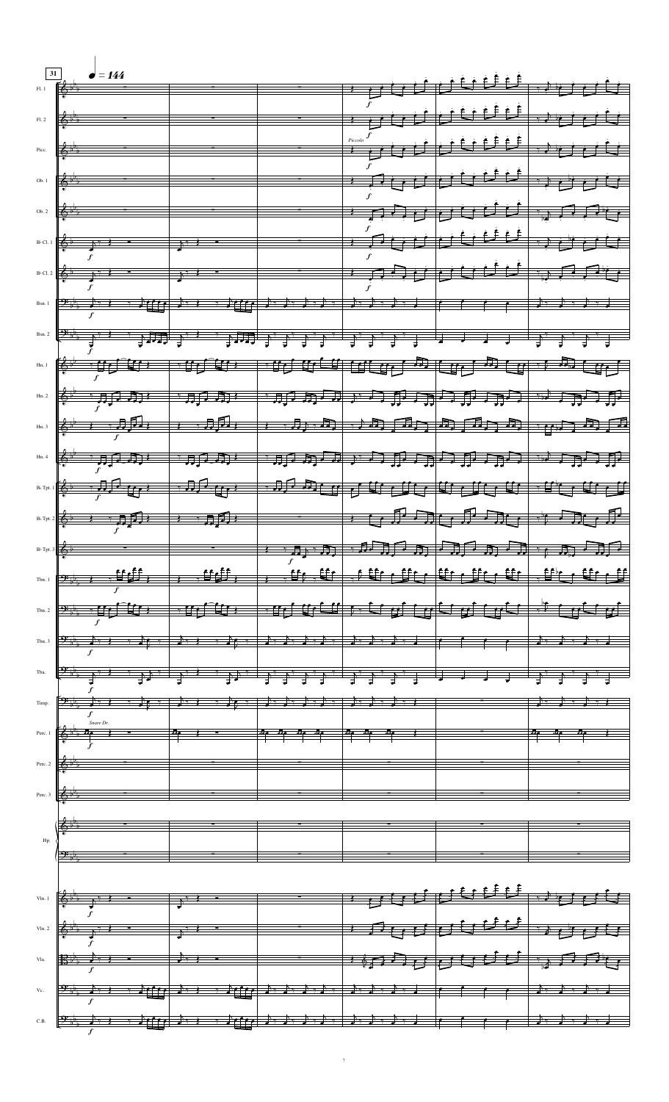| $\overline{31}$ | $\bullet$ = 144 $\bullet$                                                                                                                                                                                                                                                                                                                                                                                                                                                                                                                                         |  |  |                                                                                                                                                                                                                                                                                                                                                                                                                                                                                                                                                                              |
|-----------------|-------------------------------------------------------------------------------------------------------------------------------------------------------------------------------------------------------------------------------------------------------------------------------------------------------------------------------------------------------------------------------------------------------------------------------------------------------------------------------------------------------------------------------------------------------------------|--|--|------------------------------------------------------------------------------------------------------------------------------------------------------------------------------------------------------------------------------------------------------------------------------------------------------------------------------------------------------------------------------------------------------------------------------------------------------------------------------------------------------------------------------------------------------------------------------|
|                 |                                                                                                                                                                                                                                                                                                                                                                                                                                                                                                                                                                   |  |  | المسون ونأ النأكر فتأكيل أندوح والمنز                                                                                                                                                                                                                                                                                                                                                                                                                                                                                                                                        |
| Fl. 2           |                                                                                                                                                                                                                                                                                                                                                                                                                                                                                                                                                                   |  |  | <del>ین وی در انگامی توانید و در این می وی در ا</del>                                                                                                                                                                                                                                                                                                                                                                                                                                                                                                                        |
|                 |                                                                                                                                                                                                                                                                                                                                                                                                                                                                                                                                                                   |  |  | <u><math>\frac{1}{1}</math> <math>\frac{1}{1}</math> <math>\frac{1}{1}</math> <math>\frac{1}{1}</math> <math>\frac{1}{1}</math> <math>\frac{1}{1}</math> <math>\frac{1}{1}</math> <math>\frac{1}{1}</math> <math>\frac{1}{1}</math> <math>\frac{1}{1}</math> <math>\frac{1}{1}</math> <math>\frac{1}{1}</math> <math>\frac{1}{1}</math> <math>\frac{1}{1}</math> <math>\frac{1}{1}</math> <math>\frac{1}{1}</math> <math>\frac{1}{1}</math> <math>\frac{1}{1}</math> <math>\frac{1}{1}</math> <math>\frac{1}{1}</math> <math>\frac{1}{1}</math> <math>\frac{1}{1}</math></u> |
|                 | $0b.1$ $6b$                                                                                                                                                                                                                                                                                                                                                                                                                                                                                                                                                       |  |  | $\begin{picture}(130,10) \put(0,0){\line(1,0){10}} \put(15,0){\line(1,0){10}} \put(15,0){\line(1,0){10}} \put(15,0){\line(1,0){10}} \put(15,0){\line(1,0){10}} \put(15,0){\line(1,0){10}} \put(15,0){\line(1,0){10}} \put(15,0){\line(1,0){10}} \put(15,0){\line(1,0){10}} \put(15,0){\line(1,0){10}} \put(15,0){\line(1,0){10}} \put(15,0){\line($                                                                                                                                                                                                                          |
|                 | $0b.2$ $6b^2$                                                                                                                                                                                                                                                                                                                                                                                                                                                                                                                                                     |  |  | عالم المناطق الى (موجد ب                                                                                                                                                                                                                                                                                                                                                                                                                                                                                                                                                     |
|                 | BECILE $\frac{1}{2}$ $\frac{1}{2}$ $\frac{1}{2}$ $\frac{1}{2}$ $\frac{1}{2}$ $\frac{1}{2}$ $\frac{1}{2}$ $\frac{1}{2}$ $\frac{1}{2}$ $\frac{1}{2}$ $\frac{1}{2}$ $\frac{1}{2}$ $\frac{1}{2}$ $\frac{1}{2}$ $\frac{1}{2}$ $\frac{1}{2}$ $\frac{1}{2}$ $\frac{1}{2}$ $\frac{1}{2}$ $\frac{1}{2}$ $\frac{1}{2}$ $\frac{$                                                                                                                                                                                                                                             |  |  |                                                                                                                                                                                                                                                                                                                                                                                                                                                                                                                                                                              |
|                 | B) $C1.2$ $\frac{1}{2}$ $\frac{1}{2}$ $\frac{1}{2}$ $\frac{1}{2}$ $\frac{1}{2}$ $\frac{1}{2}$ $\frac{1}{2}$ $\frac{1}{2}$ $\frac{1}{2}$ $\frac{1}{2}$ $\frac{1}{2}$ $\frac{1}{2}$ $\frac{1}{2}$ $\frac{1}{2}$ $\frac{1}{2}$ $\frac{1}{2}$ $\frac{1}{2}$ $\frac{1}{2}$ $\frac{1}{2}$ $\frac{1}{2}$ $\frac{1}{2}$                                                                                                                                                                                                                                                   |  |  | سينات تتربرا كناف فنافي ترتبتها المستحصصات                                                                                                                                                                                                                                                                                                                                                                                                                                                                                                                                   |
|                 | $B_{SD,1}$ $\left[\frac{90}{25}\right]$ $\frac{1}{2}$ $\frac{1}{2}$ $\frac{1}{2}$ $\frac{1}{2}$ $\frac{1}{2}$ $\frac{1}{2}$ $\frac{1}{2}$ $\frac{1}{2}$ $\frac{1}{2}$ $\frac{1}{2}$ $\frac{1}{2}$ $\frac{1}{2}$ $\frac{1}{2}$ $\frac{1}{2}$ $\frac{1}{2}$ $\frac{1}{2}$ $\frac{1}{2}$ $\frac{1}{2}$ $\frac{1}{2}$ $\frac{1}{$                                                                                                                                                                                                                                     |  |  |                                                                                                                                                                                                                                                                                                                                                                                                                                                                                                                                                                              |
|                 | ᠉᠉᠈ <del>᠖᠑᠖ᢖᡑᡏ᠅᠅᠔᠓</del> ᡁ᠗ᢠ <del>ᡏ᠅᠅</del> ᡁ᠓ᡁ᠗ᠱ <i>ᠾᡃᢡ</i> ᠅ᡁ᠅ᡁ᠅ᠾ᠅ᡁ᠅ᡁ᠅ᡁ᠅ᡁ᠅ᡁ᠅᠗᠅᠗᠅᠗                                                                                                                                                                                                                                                                                                                                                                                                                                                                              |  |  |                                                                                                                                                                                                                                                                                                                                                                                                                                                                                                                                                                              |
|                 | "" الْمُحَبِّرِ وَالْمَارِينَ الْمُحْمَّلُ الْمُحْمَلِ الْمُحْمَلِ الْمُحَامَّةِ وَالْمَجْمَعَةِ الْ                                                                                                                                                                                                                                                                                                                                                                                                                                                              |  |  |                                                                                                                                                                                                                                                                                                                                                                                                                                                                                                                                                                              |
|                 | ون و منظر من الوافقة ون الفرة ون في في من القرة في فنه المن الاستحالات المن الاستحالات التاريخ المنا                                                                                                                                                                                                                                                                                                                                                                                                                                                              |  |  |                                                                                                                                                                                                                                                                                                                                                                                                                                                                                                                                                                              |
|                 | <u>وی از دانه از دانی از از این از است از است از است از است است از است از است از است از است است از است است است ا</u>                                                                                                                                                                                                                                                                                                                                                                                                                                              |  |  |                                                                                                                                                                                                                                                                                                                                                                                                                                                                                                                                                                              |
|                 | - ولا توفق وسر اتوفق ولا توافق ولا توجد ما التوفق والاند والاند الذكر المناقبة المستوفي السر                                                                                                                                                                                                                                                                                                                                                                                                                                                                      |  |  |                                                                                                                                                                                                                                                                                                                                                                                                                                                                                                                                                                              |
|                 | ە تەرەپل <del>ۇق ئېچىلىرى ئىكتاب ئىكتاب بىلەن كىلەر ئىكتاب ئىكتاب ئىكتاب ئىكتاب ئىكتاب ئىكتاب ئىكتاب ئىكتاب ئىكتاب ئىكت</del>                                                                                                                                                                                                                                                                                                                                                                                                                                     |  |  |                                                                                                                                                                                                                                                                                                                                                                                                                                                                                                                                                                              |
|                 | $B_3$ Tpt. 2 $\frac{2}{5}$ $\frac{1}{2}$ $\frac{1}{2}$ $\frac{1}{2}$ $\frac{1}{2}$ $\frac{1}{2}$ $\frac{1}{2}$ $\frac{1}{2}$ $\frac{1}{2}$ $\frac{1}{2}$ $\frac{1}{2}$ $\frac{1}{2}$ $\frac{1}{2}$                                                                                                                                                                                                                                                                                                                                                                |  |  | <del>ニュー</del> しょうかい アール・カムリ                                                                                                                                                                                                                                                                                                                                                                                                                                                                                                                                                 |
|                 |                                                                                                                                                                                                                                                                                                                                                                                                                                                                                                                                                                   |  |  | <u> تیاتی افغانه افزار افغان افغان افغان افغان افغان افغان افغان است.</u>                                                                                                                                                                                                                                                                                                                                                                                                                                                                                                    |
|                 | $T_{\rm{th}} = \left  \frac{1}{\frac{1}{2} \sum_{i=1}^n \frac{1}{2} \sum_{j=1}^n \frac{1}{j}} \right  \frac{1}{j} = \frac{1}{2} \sum_{i=1}^n \frac{1}{j} \frac{1}{j} \frac{1}{j} = \frac{1}{2} \sum_{i=1}^n \frac{1}{j} \frac{1}{j} = \frac{1}{2} \sum_{i=1}^n \frac{1}{j} \frac{1}{j} = \frac{1}{2} \sum_{i=1}^n \frac{1}{j} = \frac{1}{2} \sum_{i=1}^n \frac{1}{j} = \frac{1}{2$                                                                                                                                                                                |  |  |                                                                                                                                                                                                                                                                                                                                                                                                                                                                                                                                                                              |
|                 | <u>، وَالْمَالِيَةِ مِنْ الْمَالِيَةِ مِنْ الْمَالِيَةِ مِنْ الْمَالِينَ مِنْ الْمَالِينَ وَالْمَالِينَ وَالْمَا</u> لِينَ                                                                                                                                                                                                                                                                                                                                                                                                                                        |  |  |                                                                                                                                                                                                                                                                                                                                                                                                                                                                                                                                                                              |
|                 | $T_{\rm{Do},3}$ $\left[\frac{99\frac{1}{10^{10}}}{5},\frac{3\sqrt{3}}{5},\frac{3\sqrt{3}}{5},\frac{3\sqrt{3}}{5},\frac{3\sqrt{3}}{5},\frac{3\sqrt{3}}{5},\frac{3\sqrt{3}}{5},\frac{3\sqrt{3}}{5},\frac{3\sqrt{3}}{5},\frac{3\sqrt{3}}{5},\frac{3\sqrt{3}}{5},\frac{3\sqrt{3}}{5},\frac{3\sqrt{3}}{5},\frac{3\sqrt{3}}{5},\frac{3\sqrt{3}}{5},\frac{3\sqrt{3}}{5},\frac{3\sqrt{$                                                                                                                                                                                   |  |  |                                                                                                                                                                                                                                                                                                                                                                                                                                                                                                                                                                              |
|                 | ا الی کا کا کا این کا این کا این کا این کا این کا این کا این کا این کا این کا این کا این این این این این این ا<br>این کا کا کا کا این کا این کا این کا این کا این کا این کا این کا این کا این کا این کا این کا این کا این این ای                                                                                                                                                                                                                                                                                                                                  |  |  |                                                                                                                                                                                                                                                                                                                                                                                                                                                                                                                                                                              |
|                 |                                                                                                                                                                                                                                                                                                                                                                                                                                                                                                                                                                   |  |  |                                                                                                                                                                                                                                                                                                                                                                                                                                                                                                                                                                              |
|                 |                                                                                                                                                                                                                                                                                                                                                                                                                                                                                                                                                                   |  |  |                                                                                                                                                                                                                                                                                                                                                                                                                                                                                                                                                                              |
|                 | $\text{Prec 2}$ $\overline{\bigoplus_{i=1}^{D} \overline{\bigoplus_{i=1}^{D} \overline{\bigoplus_{i=1}^{D} \overline{\bigoplus_{i=1}^{D} \overline{\bigoplus_{i=1}^{D} \overline{\bigoplus_{i=1}^{D} \overline{\bigoplus_{i=1}^{D} \overline{\bigoplus_{i=1}^{D} \overline{\bigoplus_{i=1}^{D} \overline{\bigoplus_{i=1}^{D} \overline{\bigoplus_{i=1}^{D} \overline{\bigoplus_{i=1}^{D} \overline{\bigoplus_{i=1}^{D} \overline{\bigoplus_{i=1}^{D}$                                                                                                             |  |  |                                                                                                                                                                                                                                                                                                                                                                                                                                                                                                                                                                              |
|                 | Perc. 3 $\left[\begin{array}{ccc} \bullet & \bullet & \bullet \\ \bullet & \bullet & \bullet \end{array}\right]$                                                                                                                                                                                                                                                                                                                                                                                                                                                  |  |  |                                                                                                                                                                                                                                                                                                                                                                                                                                                                                                                                                                              |
|                 |                                                                                                                                                                                                                                                                                                                                                                                                                                                                                                                                                                   |  |  |                                                                                                                                                                                                                                                                                                                                                                                                                                                                                                                                                                              |
|                 |                                                                                                                                                                                                                                                                                                                                                                                                                                                                                                                                                                   |  |  |                                                                                                                                                                                                                                                                                                                                                                                                                                                                                                                                                                              |
|                 | Vin. 1 3 3 3 4 5 5 6 7 8 9 9 9 1 2 3 4 9 8 9 9 9 9 1 2 3 4 9 9 9 9 9 1 2 3 4 9 9 9 9 9 9 1 2 3 4 9 9 9 9 9 9 1                                                                                                                                                                                                                                                                                                                                                                                                                                                    |  |  |                                                                                                                                                                                                                                                                                                                                                                                                                                                                                                                                                                              |
|                 |                                                                                                                                                                                                                                                                                                                                                                                                                                                                                                                                                                   |  |  |                                                                                                                                                                                                                                                                                                                                                                                                                                                                                                                                                                              |
|                 |                                                                                                                                                                                                                                                                                                                                                                                                                                                                                                                                                                   |  |  |                                                                                                                                                                                                                                                                                                                                                                                                                                                                                                                                                                              |
|                 |                                                                                                                                                                                                                                                                                                                                                                                                                                                                                                                                                                   |  |  |                                                                                                                                                                                                                                                                                                                                                                                                                                                                                                                                                                              |
|                 |                                                                                                                                                                                                                                                                                                                                                                                                                                                                                                                                                                   |  |  |                                                                                                                                                                                                                                                                                                                                                                                                                                                                                                                                                                              |
|                 | ve   <del>2 5, 3 x x x</del> 3 <u>CLC</u>   3 x x x 3 CLC   3 x 3 x 3 x 3 x 3 x 3 x 3 x 3 x 1 c = c = ( 3 x 3 x 3 x 3 x 3 x 3<br>$\boxed{2^{n_1}, \quad 2^{n_2} \quad \cdots \quad 2^{n_2} \quad \cdots \quad 2^{n_2} \quad \cdots \quad 2^{n_2} \quad \cdots \quad 2^{n_2} \quad 2^{n_2} \quad \cdots \quad 2^{n_2} \quad 2^{n_2} \quad \cdots \quad 2^{n_2} \quad \cdots \quad 2^{n_2} \quad \cdots \quad 2^{n_2} \quad \cdots \quad 2^{n_2} \quad \cdots \quad 2^{n_2} \quad \cdots \quad 2^{n_2} \quad \cdots \quad 2^{n_2} \quad \cdots \quad 2^{n_2} \quad$ |  |  |                                                                                                                                                                                                                                                                                                                                                                                                                                                                                                                                                                              |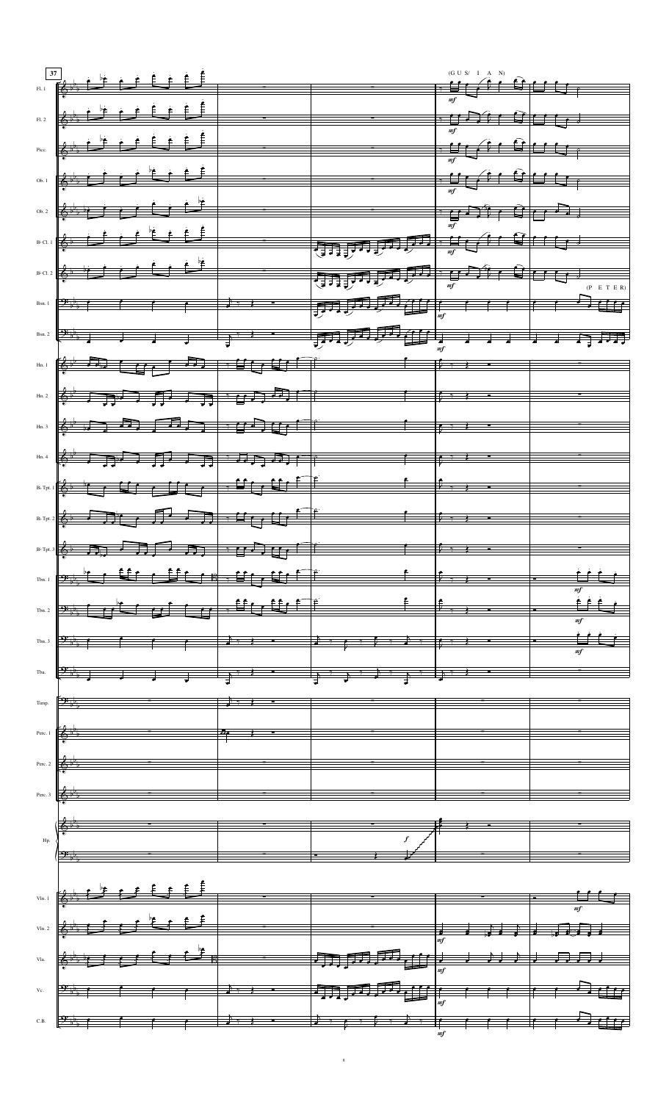|                            | $\begin{array}{ c c c c c c }\hline \rule{0pt}{12pt} \rule{0pt}{2pt} \rule{0pt}{2pt} \rule{0pt}{2pt} \rule{0pt}{2pt} \rule{0pt}{2pt} \rule{0pt}{2pt} \rule{0pt}{2pt} \rule{0pt}{2pt} \rule{0pt}{2pt} \rule{0pt}{2pt} \rule{0pt}{2pt} \rule{0pt}{2pt} \rule{0pt}{2pt} \rule{0pt}{2pt} \rule{0pt}{2pt} \rule{0pt}{2pt} \rule{0pt}{2pt} \rule{0pt}{2pt} \rule{0pt}{2pt} \rule{0pt}{2pt} \rule{0pt}{2pt}$                                                                                                                            |                             |                                                                                                                                                                                                                                                                                                                                                     | <del>بنا زب<sup>ان</sup> انتخاب</del><br>سا                                                                      |                                                   |
|----------------------------|----------------------------------------------------------------------------------------------------------------------------------------------------------------------------------------------------------------------------------------------------------------------------------------------------------------------------------------------------------------------------------------------------------------------------------------------------------------------------------------------------------------------------------|-----------------------------|-----------------------------------------------------------------------------------------------------------------------------------------------------------------------------------------------------------------------------------------------------------------------------------------------------------------------------------------------------|------------------------------------------------------------------------------------------------------------------|---------------------------------------------------|
| FL.2                       | $\begin{array}{c} \hline \text{AB} & \text{AB} & \text{AB} & \text{AB} \\ \hline \end{array}$                                                                                                                                                                                                                                                                                                                                                                                                                                    |                             |                                                                                                                                                                                                                                                                                                                                                     |                                                                                                                  |                                                   |
|                            | Pice. $\frac{1}{2}$ $\frac{1}{2}$ $\frac{1}{2}$ $\frac{1}{2}$ $\frac{1}{2}$ $\frac{1}{2}$ $\frac{1}{2}$ $\frac{1}{2}$ $\frac{1}{2}$ $\frac{1}{2}$ $\frac{1}{2}$ $\frac{1}{2}$ $\frac{1}{2}$ $\frac{1}{2}$ $\frac{1}{2}$ $\frac{1}{2}$ $\frac{1}{2}$ $\frac{1}{2}$ $\frac{1}{2}$ $\frac{1}{2}$ $\frac{1}{2}$ $\frac{1$                                                                                                                                                                                                            |                             |                                                                                                                                                                                                                                                                                                                                                     |                                                                                                                  |                                                   |
| Ob.1                       |                                                                                                                                                                                                                                                                                                                                                                                                                                                                                                                                  |                             |                                                                                                                                                                                                                                                                                                                                                     |                                                                                                                  |                                                   |
|                            |                                                                                                                                                                                                                                                                                                                                                                                                                                                                                                                                  |                             |                                                                                                                                                                                                                                                                                                                                                     | $\frac{1}{\sqrt{2}}$ , $\frac{1}{\sqrt{2}}$ , $\frac{1}{\sqrt{2}}$ , $\frac{1}{\sqrt{2}}$ , $\frac{1}{\sqrt{2}}$ |                                                   |
|                            | $B = 1$                                                                                                                                                                                                                                                                                                                                                                                                                                                                                                                          |                             |                                                                                                                                                                                                                                                                                                                                                     |                                                                                                                  |                                                   |
|                            |                                                                                                                                                                                                                                                                                                                                                                                                                                                                                                                                  |                             |                                                                                                                                                                                                                                                                                                                                                     |                                                                                                                  |                                                   |
|                            | Bsn. 1 $\frac{1}{2}$                                                                                                                                                                                                                                                                                                                                                                                                                                                                                                             |                             | $\begin{picture}(100,10) \put(0,0){\line(1,0){10}} \put(10,0){\line(1,0){10}} \put(10,0){\line(1,0){10}} \put(10,0){\line(1,0){10}} \put(10,0){\line(1,0){10}} \put(10,0){\line(1,0){10}} \put(10,0){\line(1,0){10}} \put(10,0){\line(1,0){10}} \put(10,0){\line(1,0){10}} \put(10,0){\line(1,0){10}} \put(10,0){\line(1,0){10}} \put(10,0){\line($ |                                                                                                                  |                                                   |
|                            | $Bsn.2$ $\frac{3p+1}{p+1}$ $\frac{3p+1}{p+1}$ $\frac{3p+1}{p+1}$ $\frac{3p+1}{p+1}$ $\frac{3p+1}{p+1}$ $\frac{3p+1}{p+1}$ $\frac{3p+1}{p+1}$ $\frac{3p+1}{p+1}$ $\frac{3p+1}{p+1}$ $\frac{3p+1}{p+1}$ $\frac{3p+1}{p+1}$ $\frac{3p+1}{p+1}$ $\frac{3p+1}{p+1}$ $\frac{3p+1}{p+1}$ $\frac{$                                                                                                                                                                                                                                       |                             | بنندنا فالمستسلط والتقاربان والتاريخ                                                                                                                                                                                                                                                                                                                |                                                                                                                  |                                                   |
|                            |                                                                                                                                                                                                                                                                                                                                                                                                                                                                                                                                  |                             |                                                                                                                                                                                                                                                                                                                                                     |                                                                                                                  |                                                   |
|                            |                                                                                                                                                                                                                                                                                                                                                                                                                                                                                                                                  |                             |                                                                                                                                                                                                                                                                                                                                                     | $\uparrow$ $\uparrow$ $\uparrow$                                                                                 |                                                   |
|                            | د المالي ( يو ) ( را الريم السلطني المسلطني المسلطني المسلطني المسلطني المسلطني المسلطني المسلطني المسلطني الم                                                                                                                                                                                                                                                                                                                                                                                                                   |                             |                                                                                                                                                                                                                                                                                                                                                     | $\parallel$ f $\rightarrow$ $\parallel$                                                                          |                                                   |
|                            |                                                                                                                                                                                                                                                                                                                                                                                                                                                                                                                                  |                             |                                                                                                                                                                                                                                                                                                                                                     |                                                                                                                  |                                                   |
|                            | $\text{BFT}(X, \mathbb{R}) \overset{\text{def}}{=} \left\{ \begin{array}{c c} \begin{array}{c} \text{if} \begin{array}{c} \text{if} \begin{array}{c} \text{if} \begin{array}{c} \text{if} \begin{array}{c} \text{if} \begin{array}{c} \text{if} \begin{array}{c} \text{if} \begin{array}{c} \text{if} \begin{array}{c} \text{if} \begin{array}{c} \text{if} \end{array} \end{array} \end{array} \end{array} \end{array} \end{array} \right. \end{array} \right. \end{array} \right. \end{array} \end{array} \right. \$           |                             |                                                                                                                                                                                                                                                                                                                                                     |                                                                                                                  |                                                   |
|                            | $\frac{1}{\sqrt{2}}$ $\frac{1}{\sqrt{2}}$ $\frac{1}{\sqrt{2}}$ $\frac{1}{\sqrt{2}}$ $\frac{1}{\sqrt{2}}$ $\frac{1}{\sqrt{2}}$ $\frac{1}{\sqrt{2}}$ $\frac{1}{\sqrt{2}}$                                                                                                                                                                                                                                                                                                                                                          |                             |                                                                                                                                                                                                                                                                                                                                                     |                                                                                                                  |                                                   |
|                            | $\begin{picture}(130,10) \put(0,0){\vector(1,0){100}} \put(15,0){\vector(1,0){100}} \put(15,0){\vector(1,0){100}} \put(15,0){\vector(1,0){100}} \put(15,0){\vector(1,0){100}} \put(15,0){\vector(1,0){100}} \put(15,0){\vector(1,0){100}} \put(15,0){\vector(1,0){100}} \put(15,0){\vector(1,0){100}} \put(15,0){\vector(1,0){100}} \put(15,0){\vector(1,0){100}}$                                                                                                                                                               |                             |                                                                                                                                                                                                                                                                                                                                                     |                                                                                                                  |                                                   |
| Tbn. $1$                   | $2\frac{1}{2}$                                                                                                                                                                                                                                                                                                                                                                                                                                                                                                                   | <del>Lice</del> s Egli      |                                                                                                                                                                                                                                                                                                                                                     |                                                                                                                  |                                                   |
|                            | $T_{\rm{B}}$ , $T_{\rm{B}}$ , $T_{\rm{B}}$ , $T_{\rm{B}}$ , $T_{\rm{B}}$ , $T_{\rm{B}}$ , $T_{\rm{B}}$ , $T_{\rm{B}}$ , $T_{\rm{B}}$ , $T_{\rm{B}}$ , $T_{\rm{B}}$ , $T_{\rm{B}}$ , $T_{\rm{B}}$ , $T_{\rm{B}}$ , $T_{\rm{B}}$ , $T_{\rm{B}}$ , $T_{\rm{B}}$ , $T_{\rm{B}}$ , $T_{\rm$                                                                                                                                                                                                                                           |                             |                                                                                                                                                                                                                                                                                                                                                     |                                                                                                                  |                                                   |
| Tbn. 3                     |                                                                                                                                                                                                                                                                                                                                                                                                                                                                                                                                  | $\overline{\phantom{a}}$    |                                                                                                                                                                                                                                                                                                                                                     |                                                                                                                  |                                                   |
|                            |                                                                                                                                                                                                                                                                                                                                                                                                                                                                                                                                  | $N^*$ $\epsilon$ =          |                                                                                                                                                                                                                                                                                                                                                     |                                                                                                                  |                                                   |
| Timp.                      |                                                                                                                                                                                                                                                                                                                                                                                                                                                                                                                                  |                             |                                                                                                                                                                                                                                                                                                                                                     |                                                                                                                  |                                                   |
|                            | Perc. 1 $\left[\begin{array}{ccc} \bullet & \bullet & \bullet \\ \bullet & \bullet & \bullet \end{array}\right]$                                                                                                                                                                                                                                                                                                                                                                                                                 |                             |                                                                                                                                                                                                                                                                                                                                                     |                                                                                                                  |                                                   |
|                            | Perc. 2 $\left  \left( \frac{\sqrt{3}}{2} \right)^{\frac{1}{2}} \right $                                                                                                                                                                                                                                                                                                                                                                                                                                                         |                             |                                                                                                                                                                                                                                                                                                                                                     |                                                                                                                  |                                                   |
| Perc. 3                    |                                                                                                                                                                                                                                                                                                                                                                                                                                                                                                                                  |                             |                                                                                                                                                                                                                                                                                                                                                     |                                                                                                                  |                                                   |
|                            |                                                                                                                                                                                                                                                                                                                                                                                                                                                                                                                                  |                             |                                                                                                                                                                                                                                                                                                                                                     |                                                                                                                  |                                                   |
|                            |                                                                                                                                                                                                                                                                                                                                                                                                                                                                                                                                  |                             |                                                                                                                                                                                                                                                                                                                                                     |                                                                                                                  |                                                   |
| Vln. 1                     |                                                                                                                                                                                                                                                                                                                                                                                                                                                                                                                                  |                             |                                                                                                                                                                                                                                                                                                                                                     |                                                                                                                  |                                                   |
| $\mathbf{V}\mathbf{ln}.$ 2 |                                                                                                                                                                                                                                                                                                                                                                                                                                                                                                                                  |                             |                                                                                                                                                                                                                                                                                                                                                     |                                                                                                                  | $\overline{18}$ s $\overline{3}$ s $\overline{3}$ |
|                            | $\begin{array}{c} \begin{array}{c} \begin{array}{c} \end{array} \\ \begin{array}{c} \end{array} \\ \begin{array}{c} \end{array} \end{array} \end{array} \begin{array}{c} \begin{array}{c} \end{array} \end{array} \begin{array}{c} \begin{array}{c} \end{array} \end{array} \begin{array}{c} \begin{array}{c} \end{array} \end{array} \begin{array}{c} \begin{array}{c} \end{array} \end{array} \begin{array}{c} \begin{array}{c} \end{array} \end{array} \begin{array}{c} \end{array} \begin{array}{c} \end{array} \end{array}$ |                             |                                                                                                                                                                                                                                                                                                                                                     |                                                                                                                  |                                                   |
| $\mathrm{Vc}.$             |                                                                                                                                                                                                                                                                                                                                                                                                                                                                                                                                  | $\rightarrow$ $\rightarrow$ |                                                                                                                                                                                                                                                                                                                                                     |                                                                                                                  |                                                   |
|                            |                                                                                                                                                                                                                                                                                                                                                                                                                                                                                                                                  |                             | $\sqrt{2}$ $\sqrt{2}$                                                                                                                                                                                                                                                                                                                               | <u>   r</u>                                                                                                      | $\rightarrow$ and                                 |
|                            |                                                                                                                                                                                                                                                                                                                                                                                                                                                                                                                                  |                             |                                                                                                                                                                                                                                                                                                                                                     |                                                                                                                  |                                                   |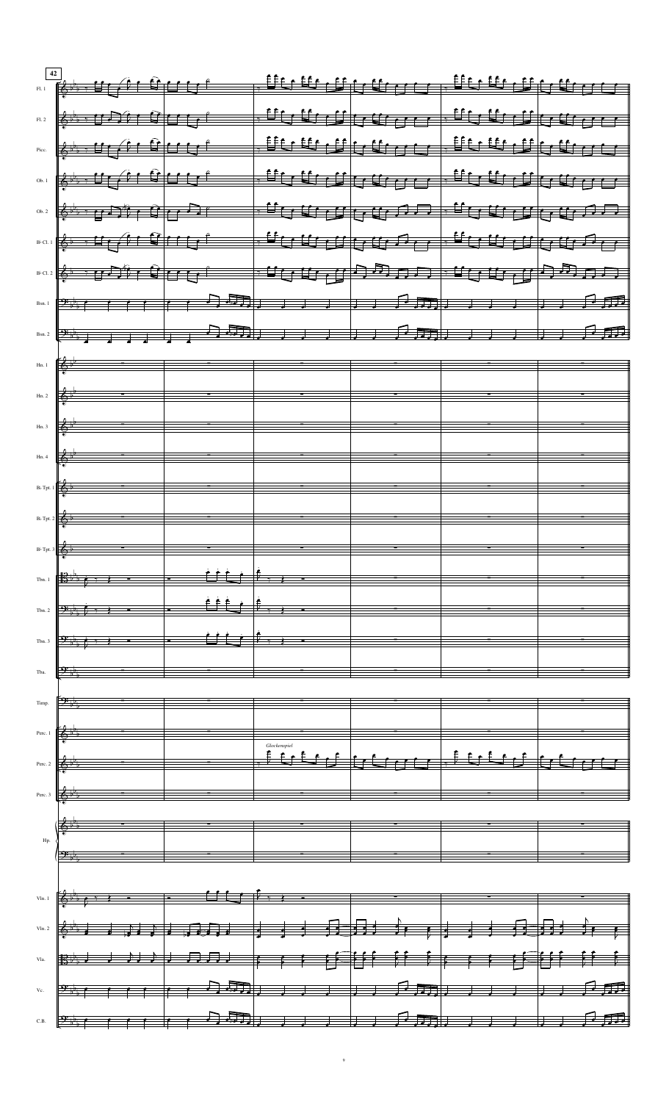|                                      | سا ال <del>أن من الأول الأول العامل المسابقة في قبل الأول الأول والمسابقة في الأول الأول والمسابقة والمسابقة والمسابقة</del>                                                                                                                                                                                                                                                                                                                                                                                                                                                                                       |                                    |                                                                                                                                      |              |                                               |  |  |  |
|--------------------------------------|--------------------------------------------------------------------------------------------------------------------------------------------------------------------------------------------------------------------------------------------------------------------------------------------------------------------------------------------------------------------------------------------------------------------------------------------------------------------------------------------------------------------------------------------------------------------------------------------------------------------|------------------------------------|--------------------------------------------------------------------------------------------------------------------------------------|--------------|-----------------------------------------------|--|--|--|
| F1.2                                 |                                                                                                                                                                                                                                                                                                                                                                                                                                                                                                                                                                                                                    |                                    |                                                                                                                                      |              |                                               |  |  |  |
|                                      | یس <mark>الجنین فقول فروش کے اس کے اس کی تعلیم کیا اور فق ور و کے اس فقت فقت و فقا اور فقت و و و و میں اس کی تعلیم کے اس</mark>                                                                                                                                                                                                                                                                                                                                                                                                                                                                                    |                                    |                                                                                                                                      |              |                                               |  |  |  |
|                                      | ه ال <del>اقت قار فی قال نی است به قان قل دین دی او قان قل دان د</del> ان قل این قل دین                                                                                                                                                                                                                                                                                                                                                                                                                                                                                                                            |                                    |                                                                                                                                      |              |                                               |  |  |  |
|                                      | ه » ال <del>إنه ، در ١٩۶</del> ٠ قرار، ٢٠ به السلسلة قائر قد ولا الرون ٢٠ - ٢٠ فائر قد ولا الرون ٢٠ -                                                                                                                                                                                                                                                                                                                                                                                                                                                                                                              |                                    |                                                                                                                                      |              |                                               |  |  |  |
|                                      | » « ال <del>أن جنف و لأن الفكر العالمية الفكرة الفقرة الفرق المربع المحمد المحمد المحمد المحمد المحمد المحمد المحمد المحمد المحمد المحمد المحمد المحمد المحمد المحمد المحمد المحمد المحمد المحمد المحمد المحمد المحمد المحمد الم</del>                                                                                                                                                                                                                                                                                                                                                                             |                                    |                                                                                                                                      |              |                                               |  |  |  |
|                                      |                                                                                                                                                                                                                                                                                                                                                                                                                                                                                                                                                                                                                    |                                    |                                                                                                                                      |              |                                               |  |  |  |
|                                      |                                                                                                                                                                                                                                                                                                                                                                                                                                                                                                                                                                                                                    | $\sim$ $\sim$ $\sim$ $\sim$ $\sim$ |                                                                                                                                      |              | <del>תקלות והיה היה המלון היה היה היה ה</del> |  |  |  |
|                                      | $F_{\rm Bn,2}$ $\left[\frac{1}{2\sqrt{2\pi(1-\frac{1}{2}-\frac{1}{2}-\frac{1}{2}-\frac{1}{2}-\frac{1}{2}-\frac{1}{2}-\frac{1}{2}-\frac{1}{2}-\frac{1}{2}-\frac{1}{2}-\frac{1}{2}-\frac{1}{2}-\frac{1}{2}-\frac{1}{2}-\frac{1}{2}-\frac{1}{2}-\frac{1}{2}-\frac{1}{2}-\frac{1}{2}-\frac{1}{2}-\frac{1}{2}-\frac{1}{2}-\frac{1}{2}-\frac{1}{2}-\frac{1}{2}-\frac{1}{2}-\frac{1}{2}-\frac{$                                                                                                                                                                                                                           |                                    |                                                                                                                                      |              |                                               |  |  |  |
|                                      | Hn.1                                                                                                                                                                                                                                                                                                                                                                                                                                                                                                                                                                                                               |                                    |                                                                                                                                      |              |                                               |  |  |  |
|                                      | Hn.2                                                                                                                                                                                                                                                                                                                                                                                                                                                                                                                                                                                                               |                                    |                                                                                                                                      |              |                                               |  |  |  |
|                                      | Hn.3                                                                                                                                                                                                                                                                                                                                                                                                                                                                                                                                                                                                               |                                    |                                                                                                                                      |              |                                               |  |  |  |
|                                      |                                                                                                                                                                                                                                                                                                                                                                                                                                                                                                                                                                                                                    |                                    |                                                                                                                                      |              |                                               |  |  |  |
| $B \triangleright Tpt.1$             |                                                                                                                                                                                                                                                                                                                                                                                                                                                                                                                                                                                                                    |                                    |                                                                                                                                      |              |                                               |  |  |  |
| $B \triangleright Tpt. 2$            |                                                                                                                                                                                                                                                                                                                                                                                                                                                                                                                                                                                                                    |                                    |                                                                                                                                      |              |                                               |  |  |  |
| $B\flat$ Tpt. 3 $\frac{1}{\sqrt{2}}$ |                                                                                                                                                                                                                                                                                                                                                                                                                                                                                                                                                                                                                    |                                    |                                                                                                                                      |              |                                               |  |  |  |
|                                      |                                                                                                                                                                                                                                                                                                                                                                                                                                                                                                                                                                                                                    |                                    |                                                                                                                                      |              |                                               |  |  |  |
|                                      |                                                                                                                                                                                                                                                                                                                                                                                                                                                                                                                                                                                                                    |                                    | $\frac{f}{\sqrt{2}}$ $\frac{f}{\sqrt{2}}$ $\frac{f}{\sqrt{2}}$ $\frac{f}{\sqrt{2}}$ $\frac{f}{\sqrt{2}}$                             |              |                                               |  |  |  |
|                                      |                                                                                                                                                                                                                                                                                                                                                                                                                                                                                                                                                                                                                    |                                    |                                                                                                                                      |              |                                               |  |  |  |
|                                      |                                                                                                                                                                                                                                                                                                                                                                                                                                                                                                                                                                                                                    |                                    |                                                                                                                                      |              |                                               |  |  |  |
|                                      |                                                                                                                                                                                                                                                                                                                                                                                                                                                                                                                                                                                                                    |                                    |                                                                                                                                      |              |                                               |  |  |  |
|                                      | Perc. 1 $\left[\begin{array}{ccc} \overline{\left(\begin{array}{c} \overline{\left(\begin{array}{c} \overline{\left(\begin{array}{c} \overline{\left(\begin{array}{c} \overline{\left(\begin{array}{c} \overline{\left(\begin{array}{c} \overline{\left(\begin{array}{c} \overline{\left(\begin{array}{c} \overline{\left(\begin{array}{c} \overline{\left(\begin{array}{c} \overline{\left(\begin{array}{c} \overline{\left(\begin{array}{c} \overline{\left(\begin{array}{c} \overline{\left(\begin{array}{c} \overline{\left(\begin{array}{c} \overline{\left(\begin{array}{c} \overline{\left(\begin{array}{c$ |                                    |                                                                                                                                      |              |                                               |  |  |  |
|                                      | Perc. 2 $\theta$ $\theta$ $\theta$                                                                                                                                                                                                                                                                                                                                                                                                                                                                                                                                                                                 |                                    |                                                                                                                                      | Glockenspiel |                                               |  |  |  |
|                                      |                                                                                                                                                                                                                                                                                                                                                                                                                                                                                                                                                                                                                    |                                    |                                                                                                                                      |              |                                               |  |  |  |
|                                      |                                                                                                                                                                                                                                                                                                                                                                                                                                                                                                                                                                                                                    |                                    |                                                                                                                                      |              |                                               |  |  |  |
|                                      |                                                                                                                                                                                                                                                                                                                                                                                                                                                                                                                                                                                                                    |                                    |                                                                                                                                      |              |                                               |  |  |  |
|                                      |                                                                                                                                                                                                                                                                                                                                                                                                                                                                                                                                                                                                                    |                                    |                                                                                                                                      |              |                                               |  |  |  |
|                                      | $\frac{1}{2}$ $\frac{1}{2}$ $\frac{1}{2}$ $\frac{1}{2}$ $\frac{1}{2}$ $\frac{1}{2}$ $\frac{1}{2}$ $\frac{1}{2}$ $\frac{1}{2}$ $\frac{1}{2}$ $\frac{1}{2}$ $\frac{1}{2}$ $\frac{1}{2}$ $\frac{1}{2}$ $\frac{1}{2}$ $\frac{1}{2}$ $\frac{1}{2}$ $\frac{1}{2}$ $\frac{1}{2}$ $\frac{1}{2}$ $\frac{1}{2}$ $\frac{1}{2}$                                                                                                                                                                                                                                                                                                |                                    |                                                                                                                                      |              |                                               |  |  |  |
|                                      |                                                                                                                                                                                                                                                                                                                                                                                                                                                                                                                                                                                                                    |                                    |                                                                                                                                      |              |                                               |  |  |  |
|                                      |                                                                                                                                                                                                                                                                                                                                                                                                                                                                                                                                                                                                                    |                                    |                                                                                                                                      |              |                                               |  |  |  |
|                                      |                                                                                                                                                                                                                                                                                                                                                                                                                                                                                                                                                                                                                    |                                    |                                                                                                                                      |              |                                               |  |  |  |
|                                      |                                                                                                                                                                                                                                                                                                                                                                                                                                                                                                                                                                                                                    |                                    | $\overline{\phantom{a}}$ , $\overline{\phantom{a}}$ , $\overline{\phantom{a}}$ , $\overline{\phantom{a}}$ , $\overline{\phantom{a}}$ |              | <del>, , , , , , , , , , , ,</del>            |  |  |  |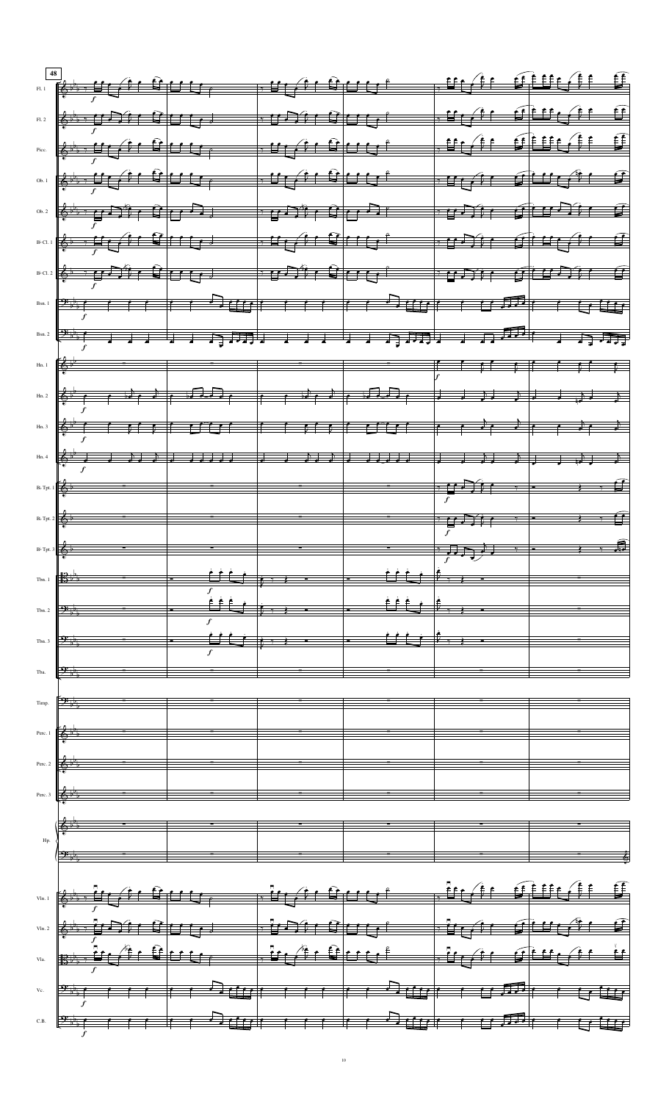|                           |                           |                                                                                                                                                                   | $\mathbb{E} \left[ \frac{1}{\sqrt{2\pi}} \frac{1}{\sqrt{2\pi}} \frac{1}{\sqrt{2\pi}} \frac{1}{\sqrt{2\pi}} \frac{1}{\sqrt{2\pi}} \frac{1}{\sqrt{2\pi}} \frac{1}{\sqrt{2\pi}} \frac{1}{\sqrt{2\pi}} \frac{1}{\sqrt{2\pi}} \frac{1}{\sqrt{2\pi}} \frac{1}{\sqrt{2\pi}} \frac{1}{\sqrt{2\pi}} \frac{1}{\sqrt{2\pi}} \frac{1}{\sqrt{2\pi}} \frac{1}{\sqrt{2\pi}} \frac{1}{\sqrt{2\pi}} \frac{1}{\sqrt{2\pi}} \frac{1}{\sqrt$ |  |  |  |  |  |
|---------------------------|---------------------------|-------------------------------------------------------------------------------------------------------------------------------------------------------------------|--------------------------------------------------------------------------------------------------------------------------------------------------------------------------------------------------------------------------------------------------------------------------------------------------------------------------------------------------------------------------------------------------------------------------|--|--|--|--|--|
|                           |                           |                                                                                                                                                                   |                                                                                                                                                                                                                                                                                                                                                                                                                          |  |  |  |  |  |
|                           |                           |                                                                                                                                                                   |                                                                                                                                                                                                                                                                                                                                                                                                                          |  |  |  |  |  |
|                           |                           |                                                                                                                                                                   |                                                                                                                                                                                                                                                                                                                                                                                                                          |  |  |  |  |  |
|                           |                           |                                                                                                                                                                   | Bas <mark>के सुवारित में पहले को संविधित के बाद के स</mark> ुवार के सुवार के सुवार के सुवार को सुवार को सुवार को सुवार को सुवार को                                                                                                                                                                                                                                                                                       |  |  |  |  |  |
|                           |                           |                                                                                                                                                                   | $F_{\rm gas}$ $\frac{1}{2}$ $\frac{1}{2}$ $\frac{1}{2}$ $\frac{1}{2}$ $\frac{1}{2}$ $\frac{1}{2}$ $\frac{1}{2}$ $\frac{1}{2}$ $\frac{1}{2}$ $\frac{1}{2}$ $\frac{1}{2}$ $\frac{1}{2}$ $\frac{1}{2}$ $\frac{1}{2}$ $\frac{1}{2}$ $\frac{1}{2}$ $\frac{1}{2}$ $\frac{1}{2}$ $\frac{1}{2}$ $\frac{1}{2}$ $\frac{1}{2}$ $\$                                                                                                  |  |  |  |  |  |
|                           |                           |                                                                                                                                                                   | <del>وردار و در از محمد و در از در از در از در از در از در از در از در از در از در از در از در از از محمد از محمد</del>                                                                                                                                                                                                                                                                                                  |  |  |  |  |  |
|                           |                           |                                                                                                                                                                   | $H_{\rm B}$ , $\left[\begin{array}{ccc} \frac{1}{2} & \frac{1}{2} & \frac{1}{2} & \frac{1}{2} & \frac{1}{2} & \frac{1}{2} & \frac{1}{2} & \frac{1}{2} & \frac{1}{2} & \frac{1}{2} & \frac{1}{2} & \frac{1}{2} & \frac{1}{2} & \frac{1}{2} & \frac{1}{2} & \frac{1}{2} & \frac{1}{2} & \frac{1}{2} & \frac{1}{2} & \frac{1}{2} & \frac{1}{2} & \frac{1}{2} & \frac{1}{2} & \frac{1}{2} & \frac{1}{2} & \$                 |  |  |  |  |  |
|                           |                           |                                                                                                                                                                   | $H_{\rm m,2}$ $\left  \frac{d^2y}{dx^2 + y^2 + z^2} - \frac{1}{x^2 + z^2} - \frac{1}{x^2 + z^2} - \frac{1}{x^2 + z^2} - \frac{1}{x^2 + z^2} - \frac{1}{x^2 + z^2} - \frac{1}{x^2 + z^2} - \frac{1}{x^2 + z^2} - \frac{1}{x^2 + z^2} - \frac{1}{x^2 + z^2} - \frac{1}{x^2 + z^2} - \frac{1}{x^2 + z^2} - \frac{1}{x^2 + z^2} - \frac{1}{x^2 + z^2} - \frac{$                                                              |  |  |  |  |  |
|                           |                           |                                                                                                                                                                   | <u>10.3    English    English    1990    English    1990    1990    1990    1990    1990    1990    1990    1990</u>                                                                                                                                                                                                                                                                                                     |  |  |  |  |  |
|                           |                           |                                                                                                                                                                   |                                                                                                                                                                                                                                                                                                                                                                                                                          |  |  |  |  |  |
| $B \triangleright Tpt. 1$ |                           |                                                                                                                                                                   |                                                                                                                                                                                                                                                                                                                                                                                                                          |  |  |  |  |  |
|                           | $B \triangleright Tpt. 2$ |                                                                                                                                                                   |                                                                                                                                                                                                                                                                                                                                                                                                                          |  |  |  |  |  |
|                           | $B \triangleright Tpt. 3$ |                                                                                                                                                                   |                                                                                                                                                                                                                                                                                                                                                                                                                          |  |  |  |  |  |
|                           |                           |                                                                                                                                                                   |                                                                                                                                                                                                                                                                                                                                                                                                                          |  |  |  |  |  |
|                           |                           |                                                                                                                                                                   |                                                                                                                                                                                                                                                                                                                                                                                                                          |  |  |  |  |  |
|                           |                           |                                                                                                                                                                   |                                                                                                                                                                                                                                                                                                                                                                                                                          |  |  |  |  |  |
|                           |                           |                                                                                                                                                                   |                                                                                                                                                                                                                                                                                                                                                                                                                          |  |  |  |  |  |
|                           |                           |                                                                                                                                                                   |                                                                                                                                                                                                                                                                                                                                                                                                                          |  |  |  |  |  |
|                           |                           |                                                                                                                                                                   |                                                                                                                                                                                                                                                                                                                                                                                                                          |  |  |  |  |  |
|                           |                           |                                                                                                                                                                   |                                                                                                                                                                                                                                                                                                                                                                                                                          |  |  |  |  |  |
|                           |                           |                                                                                                                                                                   |                                                                                                                                                                                                                                                                                                                                                                                                                          |  |  |  |  |  |
|                           |                           |                                                                                                                                                                   |                                                                                                                                                                                                                                                                                                                                                                                                                          |  |  |  |  |  |
|                           |                           |                                                                                                                                                                   |                                                                                                                                                                                                                                                                                                                                                                                                                          |  |  |  |  |  |
|                           |                           |                                                                                                                                                                   |                                                                                                                                                                                                                                                                                                                                                                                                                          |  |  |  |  |  |
|                           |                           | $\mathcal{L}_{\text{Vin.2}}$ $\mathcal{L}_{\text{b}}$ , $\mathcal{L}_{\text{c}}$ , $\mathcal{L}_{\text{c}}$ , $\mathcal{L}_{\text{c}}$ , $\mathcal{L}_{\text{c}}$ | $\frac{1}{\sqrt{2}}\frac{1}{\sqrt{2}}\frac{1}{\sqrt{2}}\frac{1}{\sqrt{2}}\frac{1}{\sqrt{2}}\frac{1}{\sqrt{2}}\frac{1}{\sqrt{2}}\frac{1}{\sqrt{2}}\frac{1}{\sqrt{2}}\frac{1}{\sqrt{2}}\frac{1}{\sqrt{2}}\frac{1}{\sqrt{2}}\frac{1}{\sqrt{2}}\frac{1}{\sqrt{2}}\frac{1}{\sqrt{2}}\frac{1}{\sqrt{2}}\frac{1}{\sqrt{2}}\frac{1}{\sqrt{2}}\frac{1}{\sqrt{2}}\frac{1}{\sqrt{2}}\frac{1}{\sqrt{2}}\frac{1}{\sqrt{2}}$           |  |  |  |  |  |
|                           |                           |                                                                                                                                                                   |                                                                                                                                                                                                                                                                                                                                                                                                                          |  |  |  |  |  |
|                           |                           |                                                                                                                                                                   | $\frac{1}{2}$                                                                                                                                                                                                                                                                                                                                                                                                            |  |  |  |  |  |
|                           |                           |                                                                                                                                                                   |                                                                                                                                                                                                                                                                                                                                                                                                                          |  |  |  |  |  |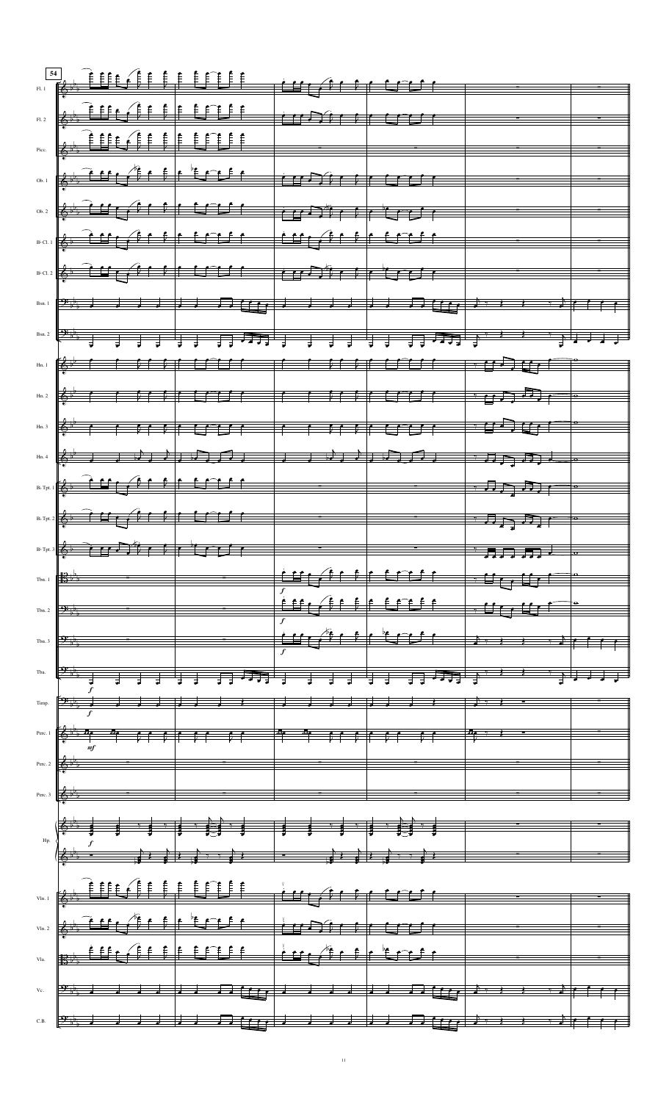|                                                                                                                                                                                                                                                                                                                                                                                                                    |                |  | <u>نىن زۇرۇرۇ ئون ئىستىستىستىستان ئىكى ئىك</u>                                                                                                                                                                                                                                                                                                                                                                                                                                                                                                                                                                                                                                                                                                                                                                                                    |  |
|--------------------------------------------------------------------------------------------------------------------------------------------------------------------------------------------------------------------------------------------------------------------------------------------------------------------------------------------------------------------------------------------------------------------|----------------|--|---------------------------------------------------------------------------------------------------------------------------------------------------------------------------------------------------------------------------------------------------------------------------------------------------------------------------------------------------------------------------------------------------------------------------------------------------------------------------------------------------------------------------------------------------------------------------------------------------------------------------------------------------------------------------------------------------------------------------------------------------------------------------------------------------------------------------------------------------|--|
|                                                                                                                                                                                                                                                                                                                                                                                                                    |                |  |                                                                                                                                                                                                                                                                                                                                                                                                                                                                                                                                                                                                                                                                                                                                                                                                                                                   |  |
| $P_{\text{PCC}} = \frac{1}{\frac{1}{\sqrt{3}}\frac{1}{\sqrt{3}}\frac{1}{\sqrt{3}}}\frac{\frac{1}{\sqrt{3}}\frac{1}{\sqrt{3}}\frac{1}{\sqrt{3}}\frac{1}{\sqrt{3}}\frac{1}{\sqrt{3}}\frac{1}{\sqrt{3}}\frac{1}{\sqrt{3}}\frac{1}{\sqrt{3}}\frac{1}{\sqrt{3}}\frac{1}{\sqrt{3}}\frac{1}{\sqrt{3}}\frac{1}{\sqrt{3}}\frac{1}{\sqrt{3}}\frac{1}{\sqrt{3}}\frac{1}{\sqrt{3}}\frac{1}{\sqrt{3}}\frac{1}{\sqrt{3}}\frac{1$ |                |  |                                                                                                                                                                                                                                                                                                                                                                                                                                                                                                                                                                                                                                                                                                                                                                                                                                                   |  |
| 0.1 85 CCC 1 1 200 1 1 200 1 200 1 200 1 200 1 200 1 200 1 200 1 200 1 200 1 200 1 200 1 200 1 200 1 200 1 200 1 200 1 200 1 200 1 200 1 200 1 200 1 200 1 200 1 200 1 200 1 200 1 200 1 200 1 200 1 200 1 200 1 200 1 200 1 20                                                                                                                                                                                    |                |  |                                                                                                                                                                                                                                                                                                                                                                                                                                                                                                                                                                                                                                                                                                                                                                                                                                                   |  |
|                                                                                                                                                                                                                                                                                                                                                                                                                    |                |  |                                                                                                                                                                                                                                                                                                                                                                                                                                                                                                                                                                                                                                                                                                                                                                                                                                                   |  |
|                                                                                                                                                                                                                                                                                                                                                                                                                    |                |  |                                                                                                                                                                                                                                                                                                                                                                                                                                                                                                                                                                                                                                                                                                                                                                                                                                                   |  |
|                                                                                                                                                                                                                                                                                                                                                                                                                    |                |  |                                                                                                                                                                                                                                                                                                                                                                                                                                                                                                                                                                                                                                                                                                                                                                                                                                                   |  |
| 95 J J J J J G C J J J J J J G C J <sup>3</sup> 3 3 4 5 <sup>4</sup> 1 1 1                                                                                                                                                                                                                                                                                                                                         |                |  |                                                                                                                                                                                                                                                                                                                                                                                                                                                                                                                                                                                                                                                                                                                                                                                                                                                   |  |
| ᠉ <sub>᠉</sub> ᠈ <i>᠖ᢀ</i> ᢌᢖ <del>ᢖᢖᢖᢖ</del> ᢖᡩᢖᢖᢖᢖᡜ <b>ᡵᡏᡵᡛᡵᡵᡵᡵ</b> ᢩᡁᠾᡵᡵᡵᠾᠾᠾᠾᠾᠾᠾᠾᠾ                                                                                                                                                                                                                                                                                                                              |                |  |                                                                                                                                                                                                                                                                                                                                                                                                                                                                                                                                                                                                                                                                                                                                                                                                                                                   |  |
| <u>nais   de factor for the factor of the factor of the factor of the factor of the factor of the factor of the factor of the factor of the factor of the factor of the factor of the factor of the factor of the factor of the </u>                                                                                                                                                                               |                |  |                                                                                                                                                                                                                                                                                                                                                                                                                                                                                                                                                                                                                                                                                                                                                                                                                                                   |  |
| <u>10.2    Este de la característica de la característica de la característica de la característica de la característica de la característica de la característica de la característica de la característica de la característic</u>                                                                                                                                                                               |                |  |                                                                                                                                                                                                                                                                                                                                                                                                                                                                                                                                                                                                                                                                                                                                                                                                                                                   |  |
|                                                                                                                                                                                                                                                                                                                                                                                                                    |                |  |                                                                                                                                                                                                                                                                                                                                                                                                                                                                                                                                                                                                                                                                                                                                                                                                                                                   |  |
|                                                                                                                                                                                                                                                                                                                                                                                                                    |                |  |                                                                                                                                                                                                                                                                                                                                                                                                                                                                                                                                                                                                                                                                                                                                                                                                                                                   |  |
| $\begin{picture}(180,10) \put(0,0){\vector(1,0){100}} \put(10,0){\vector(1,0){100}} \put(10,0){\vector(1,0){100}} \put(10,0){\vector(1,0){100}} \put(10,0){\vector(1,0){100}} \put(10,0){\vector(1,0){100}} \put(10,0){\vector(1,0){100}} \put(10,0){\vector(1,0){100}} \put(10,0){\vector(1,0){100}} \put(10,0){\vector(1,0){100}} \put(10,0){\vector(1,0){100}}$                                                 |                |  |                                                                                                                                                                                                                                                                                                                                                                                                                                                                                                                                                                                                                                                                                                                                                                                                                                                   |  |
|                                                                                                                                                                                                                                                                                                                                                                                                                    |                |  |                                                                                                                                                                                                                                                                                                                                                                                                                                                                                                                                                                                                                                                                                                                                                                                                                                                   |  |
|                                                                                                                                                                                                                                                                                                                                                                                                                    |                |  |                                                                                                                                                                                                                                                                                                                                                                                                                                                                                                                                                                                                                                                                                                                                                                                                                                                   |  |
| $B_{\rm B, Tpx}$ , $B_{\rm B}$ , $B_{\rm B}$ , $B_{\rm B}$ , $B_{\rm B}$ , $B_{\rm B}$ , $B_{\rm B}$ , $B_{\rm B}$ , $B_{\rm B}$ , $B_{\rm B}$ , $B_{\rm B}$ , $B_{\rm B}$ , $B_{\rm B}$ , $B_{\rm B}$ , $B_{\rm B}$ , $B_{\rm B}$ , $B_{\rm B}$ , $B_{\rm B}$ , $B_{\rm B}$ , $B_{\rm B}$                                                                                                                         |                |  |                                                                                                                                                                                                                                                                                                                                                                                                                                                                                                                                                                                                                                                                                                                                                                                                                                                   |  |
| Tbn. 1 $\frac{1}{3}$                                                                                                                                                                                                                                                                                                                                                                                               | $\blacksquare$ |  |                                                                                                                                                                                                                                                                                                                                                                                                                                                                                                                                                                                                                                                                                                                                                                                                                                                   |  |
|                                                                                                                                                                                                                                                                                                                                                                                                                    |                |  | $\begin{picture}(100,10) \put(0,0){\line(1,0){10}} \put(15,0){\line(1,0){10}} \put(15,0){\line(1,0){10}} \put(15,0){\line(1,0){10}} \put(15,0){\line(1,0){10}} \put(15,0){\line(1,0){10}} \put(15,0){\line(1,0){10}} \put(15,0){\line(1,0){10}} \put(15,0){\line(1,0){10}} \put(15,0){\line(1,0){10}} \put(15,0){\line(1,0){10}} \put(15,0){\line($<br>$\underbrace{\texttt{if}}\underbrace{\hspace{1.5cm}\texttt{if}}\underbrace{\hspace{1.5cm}\texttt{if}}\texttt{if}\texttt{if}}\underbrace{\hspace{1.5cm}\texttt{if}}\underbrace{\hspace{1.5cm}\texttt{if}}\texttt{if}}_{\hspace{1.5cm}\texttt{if}}\underbrace{\hspace{1.5cm}\texttt{if}}\texttt{if}}_{\hspace{1.5cm}\texttt{if}}\underbrace{\hspace{1.5cm}\texttt{if}}_{\hspace{1.5cm}\texttt{if}}\underbrace{\hspace{1.5cm}\texttt{if}}_{\hspace{1.5cm}\texttt{if}}\texttt{if}}\underbrace$ |  |
|                                                                                                                                                                                                                                                                                                                                                                                                                    |                |  |                                                                                                                                                                                                                                                                                                                                                                                                                                                                                                                                                                                                                                                                                                                                                                                                                                                   |  |
| $T_{\rm{Dn},3}$ 3 $\frac{1}{2}$ $\frac{1}{2}$ $\frac{1}{2}$ $\frac{1}{2}$ $\frac{1}{2}$ $\frac{1}{2}$ $\frac{1}{2}$ $\frac{1}{2}$ $\frac{1}{2}$ $\frac{1}{2}$ $\frac{1}{2}$ $\frac{1}{2}$ $\frac{1}{2}$ $\frac{1}{2}$ $\frac{1}{2}$ $\frac{1}{2}$ $\frac{1}{2}$ $\frac{1}{2}$ $\frac{1}{2}$ $\frac{1}{2}$ $\frac{1}{$                                                                                              |                |  |                                                                                                                                                                                                                                                                                                                                                                                                                                                                                                                                                                                                                                                                                                                                                                                                                                                   |  |
|                                                                                                                                                                                                                                                                                                                                                                                                                    |                |  | ا <del>پارل کا او داده داده داده و او داده و او داده و او داده و او داده و او داده و او داده و او داده و او داده و</del>                                                                                                                                                                                                                                                                                                                                                                                                                                                                                                                                                                                                                                                                                                                          |  |
|                                                                                                                                                                                                                                                                                                                                                                                                                    |                |  |                                                                                                                                                                                                                                                                                                                                                                                                                                                                                                                                                                                                                                                                                                                                                                                                                                                   |  |
| Perc. 2 $\left[\begin{array}{ccc} \left\{\begin{array}{ccc} \left\{\right\} & \left\{\right\} & \left\{\right\} & \left\{\right\} & \left\{\left\{\right\} & \left\{\right\} & \left\{\left\{\right\} & \left\{\right\}\end{array}\right\}\right\}\end{array}\right]$                                                                                                                                              |                |  |                                                                                                                                                                                                                                                                                                                                                                                                                                                                                                                                                                                                                                                                                                                                                                                                                                                   |  |
|                                                                                                                                                                                                                                                                                                                                                                                                                    |                |  |                                                                                                                                                                                                                                                                                                                                                                                                                                                                                                                                                                                                                                                                                                                                                                                                                                                   |  |
| $\sqrt{6}$ , and the set of $\sqrt{6}$ , and $\sqrt{6}$ , and $\sqrt{6}$ , and $\sqrt{6}$ , and $\sqrt{6}$ , and $\sqrt{6}$ , and $\sqrt{6}$ , and $\sqrt{6}$ , and $\sqrt{6}$ , and $\sqrt{6}$ , and $\sqrt{6}$ , and $\sqrt{6}$ , and $\sqrt{6}$ , and $\sqrt{6}$ , and                                                                                                                                          |                |  |                                                                                                                                                                                                                                                                                                                                                                                                                                                                                                                                                                                                                                                                                                                                                                                                                                                   |  |
| $\left(\frac{2}{3}+1+\frac{1}{3}+\frac{1}{3}+\frac{1}{3}+\frac{1}{3}+\frac{1}{3}+\frac{1}{3}+\frac{1}{3}+\frac{1}{3}+\frac{1}{3}+\frac{1}{3}+\frac{1}{3}+\frac{1}{3}+\frac{1}{3}+\frac{1}{3}+\frac{1}{3}+\frac{1}{3}+\frac{1}{3}+\frac{1}{3}+\frac{1}{3}+\frac{1}{3}+\frac{1}{3}+\frac{1}{3}+\frac{1}{3}+\frac{1}{3}+\frac{1}{3}+\frac{1}{3}+\frac{1}{3}+\frac{1}{3}+\frac{1}{3}+\frac{1}{3$                       |                |  |                                                                                                                                                                                                                                                                                                                                                                                                                                                                                                                                                                                                                                                                                                                                                                                                                                                   |  |
|                                                                                                                                                                                                                                                                                                                                                                                                                    |                |  |                                                                                                                                                                                                                                                                                                                                                                                                                                                                                                                                                                                                                                                                                                                                                                                                                                                   |  |
| RA EECHEELELEE LAND LAND                                                                                                                                                                                                                                                                                                                                                                                           |                |  |                                                                                                                                                                                                                                                                                                                                                                                                                                                                                                                                                                                                                                                                                                                                                                                                                                                   |  |
| <u> Le friche erre iverienne</u>                                                                                                                                                                                                                                                                                                                                                                                   |                |  |                                                                                                                                                                                                                                                                                                                                                                                                                                                                                                                                                                                                                                                                                                                                                                                                                                                   |  |
| $\mathbb{P}^n$ , and the set of $\mathbb{P}^n$ ( $\mathbb{P}^n$ ) and the set of $\mathbb{P}^n$ ( $\mathbb{P}^n$ ) and $\mathbb{P}^n$                                                                                                                                                                                                                                                                              |                |  |                                                                                                                                                                                                                                                                                                                                                                                                                                                                                                                                                                                                                                                                                                                                                                                                                                                   |  |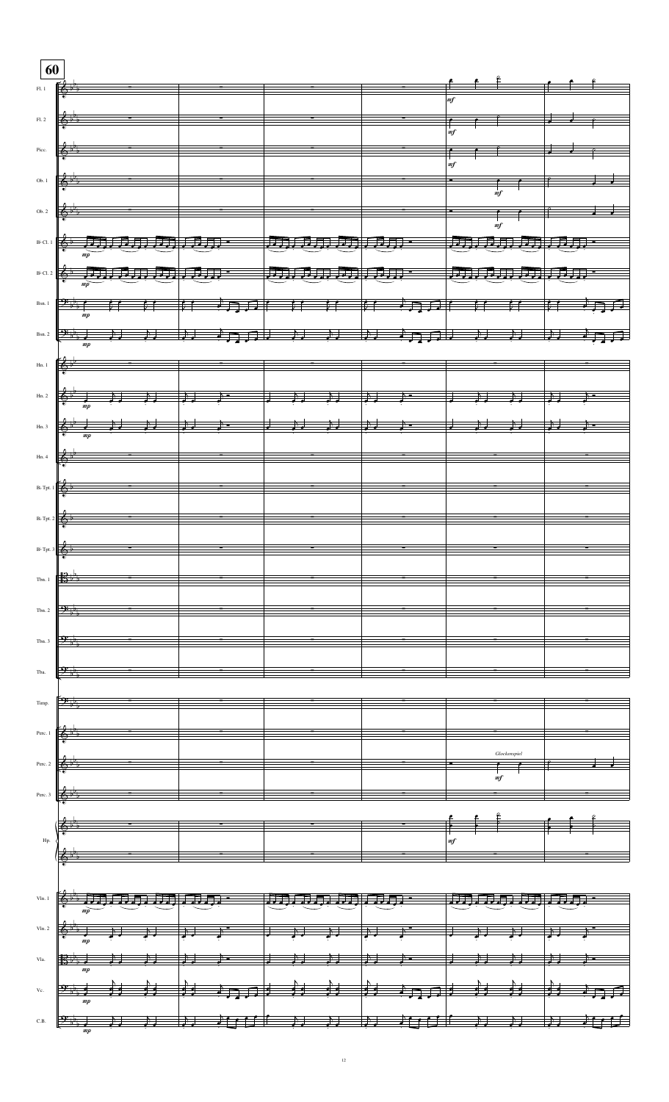| 60                           |                                                                                                                                                                                                                                                                                                                                                                                                                                                                                                     |  |                                                                                                                                                                                                                                                                                                                       |               |
|------------------------------|-----------------------------------------------------------------------------------------------------------------------------------------------------------------------------------------------------------------------------------------------------------------------------------------------------------------------------------------------------------------------------------------------------------------------------------------------------------------------------------------------------|--|-----------------------------------------------------------------------------------------------------------------------------------------------------------------------------------------------------------------------------------------------------------------------------------------------------------------------|---------------|
| F1.1                         |                                                                                                                                                                                                                                                                                                                                                                                                                                                                                                     |  |                                                                                                                                                                                                                                                                                                                       |               |
| FL.2                         |                                                                                                                                                                                                                                                                                                                                                                                                                                                                                                     |  | $\begin{tabular}{ c c } \hline \quad \quad & \quad \quad & \quad \quad & \quad \quad \\ \hline \quad \quad & \quad \quad & \quad \quad \\ \hline \quad \quad & \quad \quad & \quad \quad \\ \hline \quad \quad & \quad \quad & \quad \quad \\ \hline \quad \quad & \quad \quad & \quad \quad \\ \hline \end{tabular}$ |               |
| $\mathop{\text{\rm Picc}}$ . | $\frac{2}{9}$                                                                                                                                                                                                                                                                                                                                                                                                                                                                                       |  |                                                                                                                                                                                                                                                                                                                       |               |
|                              |                                                                                                                                                                                                                                                                                                                                                                                                                                                                                                     |  |                                                                                                                                                                                                                                                                                                                       |               |
|                              | $0b.1$ $\left(\frac{1}{2} + \frac{b}{2}\right)$                                                                                                                                                                                                                                                                                                                                                                                                                                                     |  |                                                                                                                                                                                                                                                                                                                       |               |
|                              | $0b.2$ $\left(\frac{b}{2}\right)$                                                                                                                                                                                                                                                                                                                                                                                                                                                                   |  |                                                                                                                                                                                                                                                                                                                       |               |
|                              | $\begin{picture}(100,100) \put(0,0){\vector(1,0){100}} \put(10,0){\vector(1,0){100}} \put(10,0){\vector(1,0){100}} \put(10,0){\vector(1,0){100}} \put(10,0){\vector(1,0){100}} \put(10,0){\vector(1,0){100}} \put(10,0){\vector(1,0){100}} \put(10,0){\vector(1,0){100}} \put(10,0){\vector(1,0){100}} \put(10,0){\vector(1,0){100}} \put(10,0){\vector(1,0){100$                                                                                                                                   |  | $\sqrt{2}$ , $\sqrt{2}$ , $\sqrt{2}$ , $\sqrt{2}$ , $\sqrt{2}$ , $\sqrt{2}$                                                                                                                                                                                                                                           |               |
|                              | $\begin{picture}(100,100) \put(0,0){\line(1,0){10}} \put(10,0){\line(1,0){10}} \put(10,0){\line(1,0){10}} \put(10,0){\line(1,0){10}} \put(10,0){\line(1,0){10}} \put(10,0){\line(1,0){10}} \put(10,0){\line(1,0){10}} \put(10,0){\line(1,0){10}} \put(10,0){\line(1,0){10}} \put(10,0){\line(1,0){10}} \put(10,0){\line(1,0){10}} \put(10,0){\line$                                                                                                                                                 |  |                                                                                                                                                                                                                                                                                                                       |               |
|                              | <u>Basile de de production de production de production de production de production de production de production de</u>                                                                                                                                                                                                                                                                                                                                                                               |  |                                                                                                                                                                                                                                                                                                                       |               |
|                              |                                                                                                                                                                                                                                                                                                                                                                                                                                                                                                     |  |                                                                                                                                                                                                                                                                                                                       |               |
|                              | Hn.1                                                                                                                                                                                                                                                                                                                                                                                                                                                                                                |  |                                                                                                                                                                                                                                                                                                                       |               |
|                              |                                                                                                                                                                                                                                                                                                                                                                                                                                                                                                     |  |                                                                                                                                                                                                                                                                                                                       |               |
|                              | $\frac{1}{10^{12}}$ $\frac{1}{10^{12}}$ $\frac{1}{10^{12}}$ $\frac{1}{10^{12}}$ $\frac{1}{10^{12}}$ $\frac{1}{10^{12}}$ $\frac{1}{10^{12}}$ $\frac{1}{10^{12}}$ $\frac{1}{10^{12}}$ $\frac{1}{10^{12}}$ $\frac{1}{10^{12}}$                                                                                                                                                                                                                                                                         |  | $\Rightarrow$                                                                                                                                                                                                                                                                                                         |               |
|                              | $H_{\rm m,3}$ $\left[\frac{2}{\sqrt{3}}\frac{1}{\sqrt{3}}\frac{1}{\sqrt{3}}\frac{1}{\sqrt{3}}\frac{1}{\sqrt{3}}\frac{1}{\sqrt{3}}\frac{1}{\sqrt{3}}\frac{1}{\sqrt{3}}\frac{1}{\sqrt{3}}\frac{1}{\sqrt{3}}\frac{1}{\sqrt{3}}\frac{1}{\sqrt{3}}\frac{1}{\sqrt{3}}\frac{1}{\sqrt{3}}\frac{1}{\sqrt{3}}\frac{1}{\sqrt{3}}\frac{1}{\sqrt{3}}\frac{1}{\sqrt{3}}\frac{1}{\sqrt{3}}\frac{1}{\sqrt{3}}\frac{1}{\sqrt$                                                                                        |  |                                                                                                                                                                                                                                                                                                                       |               |
|                              | Hn.4                                                                                                                                                                                                                                                                                                                                                                                                                                                                                                |  |                                                                                                                                                                                                                                                                                                                       |               |
| $B \triangleright Tpt. 1$    |                                                                                                                                                                                                                                                                                                                                                                                                                                                                                                     |  |                                                                                                                                                                                                                                                                                                                       |               |
|                              | $B \triangleright Tpt. 2$                                                                                                                                                                                                                                                                                                                                                                                                                                                                           |  |                                                                                                                                                                                                                                                                                                                       |               |
|                              | $B \triangleright Tpt.3$                                                                                                                                                                                                                                                                                                                                                                                                                                                                            |  |                                                                                                                                                                                                                                                                                                                       |               |
| Tbn. $1$                     |                                                                                                                                                                                                                                                                                                                                                                                                                                                                                                     |  |                                                                                                                                                                                                                                                                                                                       |               |
| Tbn. 2                       |                                                                                                                                                                                                                                                                                                                                                                                                                                                                                                     |  |                                                                                                                                                                                                                                                                                                                       |               |
|                              |                                                                                                                                                                                                                                                                                                                                                                                                                                                                                                     |  |                                                                                                                                                                                                                                                                                                                       |               |
| Tbn. 3                       |                                                                                                                                                                                                                                                                                                                                                                                                                                                                                                     |  |                                                                                                                                                                                                                                                                                                                       |               |
| Tba.                         |                                                                                                                                                                                                                                                                                                                                                                                                                                                                                                     |  |                                                                                                                                                                                                                                                                                                                       |               |
| Timp.                        |                                                                                                                                                                                                                                                                                                                                                                                                                                                                                                     |  |                                                                                                                                                                                                                                                                                                                       |               |
|                              | Perc. 1                                                                                                                                                                                                                                                                                                                                                                                                                                                                                             |  |                                                                                                                                                                                                                                                                                                                       |               |
|                              | Perc. 2 $\left\lfloor \left\lfloor \frac{1}{2} \right\rfloor \right\rfloor$                                                                                                                                                                                                                                                                                                                                                                                                                         |  | $\label{thm:block} Glockenspiel$                                                                                                                                                                                                                                                                                      |               |
|                              | Perc. 3 $\left[\begin{array}{ccc} \overline{3} & \overline{1} \\ \overline{4} & \overline{2} \\ \overline{4} & \overline{2} \\ \overline{4} & \overline{2} \\ \overline{4} & \overline{2} \\ \overline{4} & \overline{2} \\ \overline{4} & \overline{2} \\ \overline{4} & \overline{2} \\ \overline{4} & \overline{2} \\ \overline{4} & \overline{2} \\ \overline{4} & \overline{2} \\ \overline{4} & \overline{2} \\ \overline{5} & \overline{2} \\ \overline{5} & \overline{2} \\ \overline{6} &$ |  |                                                                                                                                                                                                                                                                                                                       |               |
|                              |                                                                                                                                                                                                                                                                                                                                                                                                                                                                                                     |  | $\overline{\phantom{a}}$                                                                                                                                                                                                                                                                                              |               |
| $_{\rm Hp.}$                 |                                                                                                                                                                                                                                                                                                                                                                                                                                                                                                     |  |                                                                                                                                                                                                                                                                                                                       |               |
|                              |                                                                                                                                                                                                                                                                                                                                                                                                                                                                                                     |  |                                                                                                                                                                                                                                                                                                                       |               |
|                              | ्ला <mark>हिने गुजा गया, नाम गाला, नाम गया, ग</mark> या, नाम गया, नाम गया, नाम गया, नाम गया, नाम गया, नाम गया, नाम गया, नाम                                                                                                                                                                                                                                                                                                                                                                         |  |                                                                                                                                                                                                                                                                                                                       |               |
|                              | <u> ما الله الله الله عليه الله عليه الله الله عليه الله عليه المسلم المسلم المسلم المسلم المسلم المسلم المسلم ال</u>                                                                                                                                                                                                                                                                                                                                                                               |  | $\rightarrow$<br>$\rightarrow$                                                                                                                                                                                                                                                                                        | $\mathcal{D}$ |
| Vla.                         | $\mathbb{B}$ , $\Box$                                                                                                                                                                                                                                                                                                                                                                                                                                                                               |  |                                                                                                                                                                                                                                                                                                                       | $\rightarrow$ |
| Vc.                          | المرور فالأخلاف فارتز ورواد فالمسافي وترورها فالمستوف والمنافس                                                                                                                                                                                                                                                                                                                                                                                                                                      |  |                                                                                                                                                                                                                                                                                                                       |               |
|                              | $\sum_{i=1}^{n}$<br>$\mathcal{P}_{\mathcal{P}_{\mathcal{P}}}$                                                                                                                                                                                                                                                                                                                                                                                                                                       |  |                                                                                                                                                                                                                                                                                                                       |               |
|                              |                                                                                                                                                                                                                                                                                                                                                                                                                                                                                                     |  |                                                                                                                                                                                                                                                                                                                       |               |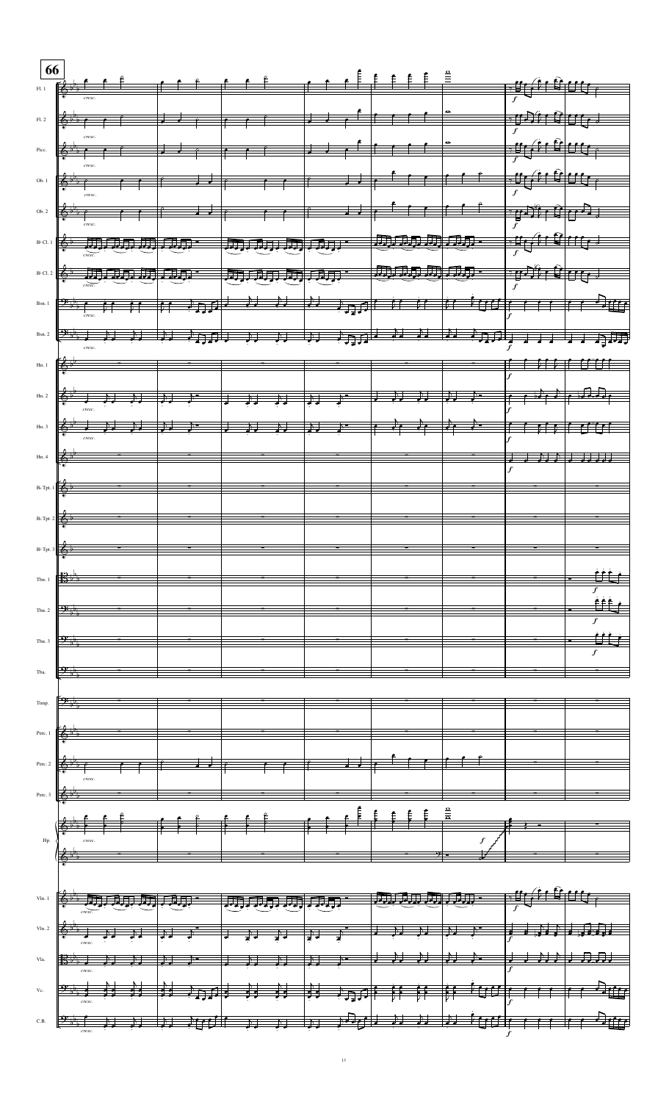| 66                                |                                                                                                                                                                                                                                                                                                                                                                                                                                                                                                                                                                                                                                                                                                                                                                                                              |                                                     |                                                                                                                      |                                 |                                                                                             |                                                                                                                                                                                                                                                                                                                                                                                                                |                                                     |
|-----------------------------------|--------------------------------------------------------------------------------------------------------------------------------------------------------------------------------------------------------------------------------------------------------------------------------------------------------------------------------------------------------------------------------------------------------------------------------------------------------------------------------------------------------------------------------------------------------------------------------------------------------------------------------------------------------------------------------------------------------------------------------------------------------------------------------------------------------------|-----------------------------------------------------|----------------------------------------------------------------------------------------------------------------------|---------------------------------|---------------------------------------------------------------------------------------------|----------------------------------------------------------------------------------------------------------------------------------------------------------------------------------------------------------------------------------------------------------------------------------------------------------------------------------------------------------------------------------------------------------------|-----------------------------------------------------|
|                                   |                                                                                                                                                                                                                                                                                                                                                                                                                                                                                                                                                                                                                                                                                                                                                                                                              |                                                     | <u>e presenta providente de la contenta de la contenta de la contenta de la contenta de la contenta de la conten</u> |                                 |                                                                                             | <del>יְיָיָרָי<sup>ָ</sup>יָ גַוֹ</del>                                                                                                                                                                                                                                                                                                                                                                        |                                                     |
| F1.2                              | $\phi$ <sup>b</sup>                                                                                                                                                                                                                                                                                                                                                                                                                                                                                                                                                                                                                                                                                                                                                                                          |                                                     | ₣                                                                                                                    | $\overline{\phantom{0}}$        |                                                                                             | <u>, g.) în Sigger</u>                                                                                                                                                                                                                                                                                                                                                                                         |                                                     |
| Picc.                             | $\left[\stackrel{\rightarrow}{\bullet} \stackrel{\rightarrow}{\circ} \stackrel{\rightarrow}{\bullet} \stackrel{\rightarrow}{\bullet} \stackrel{\rightarrow}{\bullet} \stackrel{\rightarrow}{\bullet} \stackrel{\rightarrow}{\bullet} \stackrel{\rightarrow}{\bullet} \stackrel{\rightarrow}{\bullet} \stackrel{\rightarrow}{\bullet} \stackrel{\rightarrow}{\bullet} \stackrel{\rightarrow}{\bullet} \stackrel{\rightarrow}{\bullet} \stackrel{\rightarrow}{\bullet} \stackrel{\rightarrow}{\bullet} \stackrel{\rightarrow}{\bullet} \stackrel{\rightarrow}{\bullet} \stackrel{\rightarrow}{\bullet} \stackrel{\rightarrow}{\bullet} \stackrel{\rightarrow}{\bullet} \stackrel{\rightarrow}{\bullet} \stackrel{\rightarrow}{\bullet} \stackrel{\rightarrow}{\bullet} \stackrel{\rightarrow}{\bullet} \stack$ |                                                     | $\left  \cdot \right $ $\left  \cdot \right $                                                                        | $\overline{a}$ , $\overline{a}$ |                                                                                             | $\frac{1}{\sqrt{2}}\frac{1}{\sqrt{2}}\frac{1}{\sqrt{2}}\frac{1}{\sqrt{2}}\frac{1}{\sqrt{2}}\frac{1}{\sqrt{2}}\frac{1}{\sqrt{2}}\frac{1}{\sqrt{2}}\frac{1}{\sqrt{2}}\frac{1}{\sqrt{2}}\frac{1}{\sqrt{2}}\frac{1}{\sqrt{2}}\frac{1}{\sqrt{2}}\frac{1}{\sqrt{2}}\frac{1}{\sqrt{2}}\frac{1}{\sqrt{2}}\frac{1}{\sqrt{2}}\frac{1}{\sqrt{2}}\frac{1}{\sqrt{2}}\frac{1}{\sqrt{2}}\frac{1}{\sqrt{2}}\frac{1}{\sqrt{2}}$ |                                                     |
| Ob. $1\,$                         | $6^{p}P$<br>$\frac{1}{\sqrt{2}}$                                                                                                                                                                                                                                                                                                                                                                                                                                                                                                                                                                                                                                                                                                                                                                             | $\frac{1}{2}$                                       | $\left  \begin{array}{cc} 0 & 0 \\ 0 & 0 \end{array} \right $                                                        | $\overline{\phantom{a}}$        |                                                                                             | $\frac{1}{\sqrt{2}}\frac{1}{\sqrt{2}}\left(\frac{\partial}{\partial x}\right)^2\left(\frac{\partial}{\partial x}\right)^2\left(\frac{\partial}{\partial x}\right)^2$                                                                                                                                                                                                                                           |                                                     |
|                                   | $\frac{1}{2}$ $\frac{1}{2}$ $\frac{1}{2}$ $\frac{1}{2}$ $\frac{1}{2}$ $\frac{1}{2}$ $\frac{1}{2}$ $\frac{1}{2}$ $\frac{1}{2}$ $\frac{1}{2}$ $\frac{1}{2}$ $\frac{1}{2}$ $\frac{1}{2}$ $\frac{1}{2}$ $\frac{1}{2}$ $\frac{1}{2}$ $\frac{1}{2}$ $\frac{1}{2}$ $\frac{1}{2}$ $\frac{1}{2}$ $\frac{1}{2}$ $\frac{1}{2}$                                                                                                                                                                                                                                                                                                                                                                                                                                                                                          |                                                     |                                                                                                                      | $\frac{1}{2}$                   |                                                                                             | $\frac{1}{2}$                                                                                                                                                                                                                                                                                                                                                                                                  |                                                     |
|                                   | <u> கூறு மற்றின் - குற்றியிய - குறைநுலை</u>                                                                                                                                                                                                                                                                                                                                                                                                                                                                                                                                                                                                                                                                                                                                                                  |                                                     |                                                                                                                      |                                 |                                                                                             | $\frac{1}{\sqrt{2}}$                                                                                                                                                                                                                                                                                                                                                                                           |                                                     |
|                                   | <u> 1997 ) او او التواصل التي توضع التي تنظير التو تنظير التي تقارآ التي تقارير التي تو</u>                                                                                                                                                                                                                                                                                                                                                                                                                                                                                                                                                                                                                                                                                                                  |                                                     |                                                                                                                      |                                 |                                                                                             |                                                                                                                                                                                                                                                                                                                                                                                                                |                                                     |
|                                   | <u>. ان المحمود المعلمي المحمود المعلمين المحمود المواسود المعلمين المحمود المعلمين المعلمين المعلمين المعلمين المعلمين</u>                                                                                                                                                                                                                                                                                                                                                                                                                                                                                                                                                                                                                                                                                  |                                                     |                                                                                                                      |                                 |                                                                                             |                                                                                                                                                                                                                                                                                                                                                                                                                |                                                     |
|                                   | Bsn. 2 $\left[\begin{array}{ccc} \mathbf{P} & \mathbf{P} & \mathbf{P} \\ \mathbf{P} & \mathbf{P} & \mathbf{P} \end{array}\right]$                                                                                                                                                                                                                                                                                                                                                                                                                                                                                                                                                                                                                                                                            | <u>ا أزادتن بن بن بن واناقن نني بن بن اناقات من</u> |                                                                                                                      |                                 |                                                                                             |                                                                                                                                                                                                                                                                                                                                                                                                                | $\overline{11}$ , $\overline{11}$ , $\overline{11}$ |
| Hn. 1                             | 嘩                                                                                                                                                                                                                                                                                                                                                                                                                                                                                                                                                                                                                                                                                                                                                                                                            |                                                     |                                                                                                                      |                                 |                                                                                             |                                                                                                                                                                                                                                                                                                                                                                                                                |                                                     |
| Hn. 2                             | $\frac{1}{2}$ $\frac{1}{2}$ $\frac{1}{2}$ $\frac{1}{2}$ $\frac{1}{2}$ $\frac{1}{2}$ $\frac{1}{2}$ $\frac{1}{2}$ $\frac{1}{2}$                                                                                                                                                                                                                                                                                                                                                                                                                                                                                                                                                                                                                                                                                |                                                     |                                                                                                                      |                                 | $\left  \cdot \right $ $\left  \cdot \right $ $\left  \cdot \right $ $\left  \cdot \right $ | $\left  \cdot \right $ $\left  \cdot \right $ $\left  \cdot \right $ $\left  \cdot \right $ $\left  \cdot \right $                                                                                                                                                                                                                                                                                             |                                                     |
| Hn. 3                             | $\phi$ , ), )                                                                                                                                                                                                                                                                                                                                                                                                                                                                                                                                                                                                                                                                                                                                                                                                | $\rightarrow$                                       | $\rightarrow$<br>$\mathbb{D}$                                                                                        |                                 |                                                                                             |                                                                                                                                                                                                                                                                                                                                                                                                                |                                                     |
| Hn. 4                             |                                                                                                                                                                                                                                                                                                                                                                                                                                                                                                                                                                                                                                                                                                                                                                                                              |                                                     |                                                                                                                      |                                 |                                                                                             |                                                                                                                                                                                                                                                                                                                                                                                                                |                                                     |
| $B \triangleright Tpt.1$          |                                                                                                                                                                                                                                                                                                                                                                                                                                                                                                                                                                                                                                                                                                                                                                                                              |                                                     |                                                                                                                      |                                 |                                                                                             |                                                                                                                                                                                                                                                                                                                                                                                                                |                                                     |
| $B\triangleright$ Tpt. 2          |                                                                                                                                                                                                                                                                                                                                                                                                                                                                                                                                                                                                                                                                                                                                                                                                              |                                                     |                                                                                                                      |                                 |                                                                                             |                                                                                                                                                                                                                                                                                                                                                                                                                |                                                     |
| $\mathbf{B}$ Tpt. 3 $\frac{1}{2}$ |                                                                                                                                                                                                                                                                                                                                                                                                                                                                                                                                                                                                                                                                                                                                                                                                              |                                                     |                                                                                                                      |                                 |                                                                                             |                                                                                                                                                                                                                                                                                                                                                                                                                |                                                     |
| Tbn. 1                            |                                                                                                                                                                                                                                                                                                                                                                                                                                                                                                                                                                                                                                                                                                                                                                                                              |                                                     |                                                                                                                      |                                 |                                                                                             |                                                                                                                                                                                                                                                                                                                                                                                                                |                                                     |
| Tbn. 2                            |                                                                                                                                                                                                                                                                                                                                                                                                                                                                                                                                                                                                                                                                                                                                                                                                              |                                                     |                                                                                                                      |                                 |                                                                                             |                                                                                                                                                                                                                                                                                                                                                                                                                |                                                     |
| Tbn.3                             |                                                                                                                                                                                                                                                                                                                                                                                                                                                                                                                                                                                                                                                                                                                                                                                                              |                                                     |                                                                                                                      |                                 |                                                                                             |                                                                                                                                                                                                                                                                                                                                                                                                                |                                                     |
| Tba                               |                                                                                                                                                                                                                                                                                                                                                                                                                                                                                                                                                                                                                                                                                                                                                                                                              |                                                     |                                                                                                                      |                                 |                                                                                             |                                                                                                                                                                                                                                                                                                                                                                                                                |                                                     |
| Timp.                             |                                                                                                                                                                                                                                                                                                                                                                                                                                                                                                                                                                                                                                                                                                                                                                                                              |                                                     |                                                                                                                      |                                 |                                                                                             |                                                                                                                                                                                                                                                                                                                                                                                                                |                                                     |
|                                   | Perc. 1 $\left[\begin{array}{ccc} \bullet & \bullet & \bullet \\ \bullet & \bullet & \bullet \end{array}\right]$                                                                                                                                                                                                                                                                                                                                                                                                                                                                                                                                                                                                                                                                                             |                                                     |                                                                                                                      |                                 |                                                                                             |                                                                                                                                                                                                                                                                                                                                                                                                                |                                                     |
|                                   | Perc. 2 $\left[\begin{array}{ccc} \bullet & \mathbf{p} \\ \bullet & \mathbf{p} \end{array}\right]$                                                                                                                                                                                                                                                                                                                                                                                                                                                                                                                                                                                                                                                                                                           |                                                     |                                                                                                                      |                                 |                                                                                             |                                                                                                                                                                                                                                                                                                                                                                                                                |                                                     |
|                                   | Perc. 3 $\sqrt{6}$                                                                                                                                                                                                                                                                                                                                                                                                                                                                                                                                                                                                                                                                                                                                                                                           |                                                     |                                                                                                                      |                                 |                                                                                             |                                                                                                                                                                                                                                                                                                                                                                                                                |                                                     |
|                                   |                                                                                                                                                                                                                                                                                                                                                                                                                                                                                                                                                                                                                                                                                                                                                                                                              |                                                     |                                                                                                                      |                                 |                                                                                             |                                                                                                                                                                                                                                                                                                                                                                                                                |                                                     |
|                                   |                                                                                                                                                                                                                                                                                                                                                                                                                                                                                                                                                                                                                                                                                                                                                                                                              |                                                     |                                                                                                                      |                                 |                                                                                             |                                                                                                                                                                                                                                                                                                                                                                                                                |                                                     |
| Vln.1                             | $\frac{1}{2} \left( \frac{1}{2} \right) \left( \frac{1}{2} \right) \left( \frac{1}{2} \right) \left( \frac{1}{2} \right) \left( \frac{1}{2} \right) \left( \frac{1}{2} \right) \left( \frac{1}{2} \right) \left( \frac{1}{2} \right) \left( \frac{1}{2} \right) \left( \frac{1}{2} \right) \left( \frac{1}{2} \right) \left( \frac{1}{2} \right) \left( \frac{1}{2} \right) \left( \frac{1}{2} \right) \left( \frac{1}{2} \right) \left( \frac{1}{2} \right) \left( \frac$                                                                                                                                                                                                                                                                                                                                   |                                                     |                                                                                                                      |                                 |                                                                                             |                                                                                                                                                                                                                                                                                                                                                                                                                |                                                     |
|                                   |                                                                                                                                                                                                                                                                                                                                                                                                                                                                                                                                                                                                                                                                                                                                                                                                              |                                                     |                                                                                                                      |                                 |                                                                                             |                                                                                                                                                                                                                                                                                                                                                                                                                |                                                     |
| Vln.2                             |                                                                                                                                                                                                                                                                                                                                                                                                                                                                                                                                                                                                                                                                                                                                                                                                              |                                                     |                                                                                                                      |                                 |                                                                                             |                                                                                                                                                                                                                                                                                                                                                                                                                |                                                     |
| Vla.                              | $3^{3}$                                                                                                                                                                                                                                                                                                                                                                                                                                                                                                                                                                                                                                                                                                                                                                                                      |                                                     |                                                                                                                      |                                 | $D = D$                                                                                     |                                                                                                                                                                                                                                                                                                                                                                                                                |                                                     |
| Vc.                               | أعتنائها والمسام أنتابته والمؤامرة والمرورة الحزام الحزم الجواري والمرورة والمرام والمسام والمستعمل والمستعمل                                                                                                                                                                                                                                                                                                                                                                                                                                                                                                                                                                                                                                                                                                |                                                     |                                                                                                                      |                                 |                                                                                             |                                                                                                                                                                                                                                                                                                                                                                                                                |                                                     |
|                                   | الحيث عليه المستعمل المناسبة المناسبة المعادلة المناسبة المناسبة المناسبة المناسبة المناسبة المناسبة المناسبة ا                                                                                                                                                                                                                                                                                                                                                                                                                                                                                                                                                                                                                                                                                              |                                                     |                                                                                                                      |                                 |                                                                                             |                                                                                                                                                                                                                                                                                                                                                                                                                |                                                     |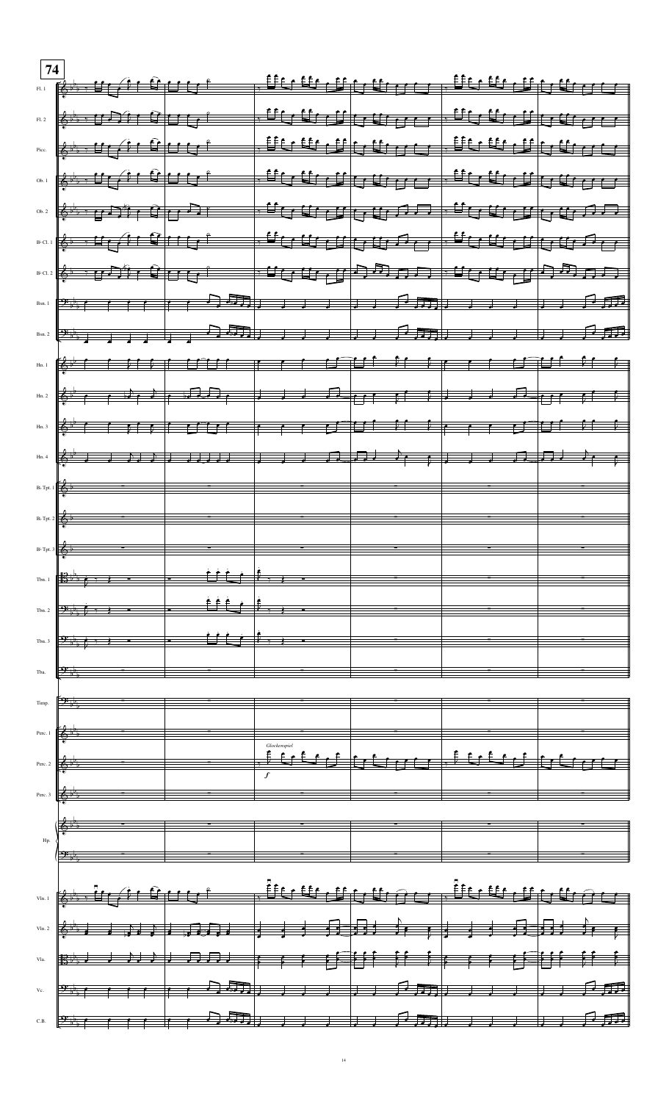| 74 |                                                                                                                                                                                                                                                                                                                                                                                                  |                            |                                                                                         |  |  |  |  |
|----|--------------------------------------------------------------------------------------------------------------------------------------------------------------------------------------------------------------------------------------------------------------------------------------------------------------------------------------------------------------------------------------------------|----------------------------|-----------------------------------------------------------------------------------------|--|--|--|--|
|    |                                                                                                                                                                                                                                                                                                                                                                                                  |                            |                                                                                         |  |  |  |  |
|    |                                                                                                                                                                                                                                                                                                                                                                                                  |                            |                                                                                         |  |  |  |  |
|    | یس ال <del>ائین ناور فروش کا این در شده به فاقت قش دفانی نش و در اب فاقت قش در این این نش و در ا</del>                                                                                                                                                                                                                                                                                           |                            |                                                                                         |  |  |  |  |
|    | ه بال <del>مراة بالقارنة التفاقية المرادة المرادة القارنة والمرادية المرادة المرادية والمرادية والمرادية والمرادية والمرادية</del>                                                                                                                                                                                                                                                               |                            |                                                                                         |  |  |  |  |
|    |                                                                                                                                                                                                                                                                                                                                                                                                  |                            |                                                                                         |  |  |  |  |
|    | ه » ال <del>أن در الأن و المعاشرة المعاشرة المعاشرة المعاشرة المعاشرة المعاشرة المعاشرة المعاشرة المعاشرة المعاشرة المعاشرة</del>                                                                                                                                                                                                                                                                |                            |                                                                                         |  |  |  |  |
|    |                                                                                                                                                                                                                                                                                                                                                                                                  |                            |                                                                                         |  |  |  |  |
|    |                                                                                                                                                                                                                                                                                                                                                                                                  |                            |                                                                                         |  |  |  |  |
|    | $F_{\rm max}$ $\left[ 2\frac{1}{2} + \frac{1}{2} + \frac{1}{2} + \frac{1}{2} + \frac{1}{2} + \frac{1}{2} + \frac{1}{2} + \frac{1}{2} + \frac{1}{2} + \frac{1}{2} + \frac{1}{2} + \frac{1}{2} + \frac{1}{2} + \frac{1}{2} + \frac{1}{2} + \frac{1}{2} + \frac{1}{2} + \frac{1}{2} + \frac{1}{2} + \frac{1}{2} + \frac{1}{2} + \frac{1}{2} + \frac{1}{2} + \frac{1}{2} + \frac{1}{2} + \frac{1}{2$ |                            |                                                                                         |  |  |  |  |
|    |                                                                                                                                                                                                                                                                                                                                                                                                  |                            |                                                                                         |  |  |  |  |
|    |                                                                                                                                                                                                                                                                                                                                                                                                  |                            |                                                                                         |  |  |  |  |
|    | 10.2 <del>\$ 1<sup>3</sup> c c i) e</del> }  e is J J e c i i i J = J = c c c c i i i = j = c c c c c c c c c c c c c c                                                                                                                                                                                                                                                                          |                            |                                                                                         |  |  |  |  |
|    |                                                                                                                                                                                                                                                                                                                                                                                                  |                            |                                                                                         |  |  |  |  |
|    | <u>10.3    Este et per personal et personal et personal et personal et personal et personal et personal et personal et p</u>                                                                                                                                                                                                                                                                     |                            |                                                                                         |  |  |  |  |
|    | 11.4 <del>(4) ) ) ) ) ) ) ) ) ) ) ) ) ) (</del>                                                                                                                                                                                                                                                                                                                                                  |                            |                                                                                         |  |  |  |  |
|    | $B \triangleright Tpt.1$                                                                                                                                                                                                                                                                                                                                                                         |                            |                                                                                         |  |  |  |  |
|    | $B \triangleright Tpt. 2$                                                                                                                                                                                                                                                                                                                                                                        |                            |                                                                                         |  |  |  |  |
|    | $B \triangleright Tpt. 3$                                                                                                                                                                                                                                                                                                                                                                        |                            |                                                                                         |  |  |  |  |
|    |                                                                                                                                                                                                                                                                                                                                                                                                  |                            |                                                                                         |  |  |  |  |
|    |                                                                                                                                                                                                                                                                                                                                                                                                  |                            |                                                                                         |  |  |  |  |
|    |                                                                                                                                                                                                                                                                                                                                                                                                  | $C \rightarrow \mathbb{R}$ |                                                                                         |  |  |  |  |
|    |                                                                                                                                                                                                                                                                                                                                                                                                  |                            |                                                                                         |  |  |  |  |
|    |                                                                                                                                                                                                                                                                                                                                                                                                  |                            |                                                                                         |  |  |  |  |
|    |                                                                                                                                                                                                                                                                                                                                                                                                  |                            |                                                                                         |  |  |  |  |
|    | Perc. 1                                                                                                                                                                                                                                                                                                                                                                                          |                            |                                                                                         |  |  |  |  |
|    | اسمنا ال <del>أوان المستخدمة المستخدمة المرأة</del> أشرائسا في أسراف والتواصل المرأة أشراف في أسراف والمستخدمة الأواشية والمستخدمة                                                                                                                                                                                                                                                               |                            |                                                                                         |  |  |  |  |
|    |                                                                                                                                                                                                                                                                                                                                                                                                  |                            |                                                                                         |  |  |  |  |
|    |                                                                                                                                                                                                                                                                                                                                                                                                  |                            |                                                                                         |  |  |  |  |
|    |                                                                                                                                                                                                                                                                                                                                                                                                  |                            |                                                                                         |  |  |  |  |
|    |                                                                                                                                                                                                                                                                                                                                                                                                  |                            |                                                                                         |  |  |  |  |
|    |                                                                                                                                                                                                                                                                                                                                                                                                  |                            |                                                                                         |  |  |  |  |
|    | $\frac{1}{2}$ $\frac{1}{2}$ $\frac{1}{2}$ $\frac{1}{2}$ $\frac{1}{2}$ $\frac{1}{2}$ $\frac{1}{2}$ $\frac{1}{2}$ $\frac{1}{2}$ $\frac{1}{2}$ $\frac{1}{2}$ $\frac{1}{2}$ $\frac{1}{2}$ $\frac{1}{2}$ $\frac{1}{2}$ $\frac{1}{2}$ $\frac{1}{2}$ $\frac{1}{2}$ $\frac{1}{2}$ $\frac{1}{2}$ $\frac{1}{2}$ $\frac{1}{2}$                                                                              |                            |                                                                                         |  |  |  |  |
|    |                                                                                                                                                                                                                                                                                                                                                                                                  |                            |                                                                                         |  |  |  |  |
|    |                                                                                                                                                                                                                                                                                                                                                                                                  | $\sim$                     | <b>A.D., P.D., P.D., P.D., P.D.</b>                                                     |  |  |  |  |
|    | $\sim$ $\sim$ $\sim$ $\sim$ $\sim$                                                                                                                                                                                                                                                                                                                                                               |                            | ا <del>می</del> ر کر رہا ہے جس در را <del>رد</del> کر دریا ہے جس در را <del>ردہ</del> ک |  |  |  |  |
|    |                                                                                                                                                                                                                                                                                                                                                                                                  |                            |                                                                                         |  |  |  |  |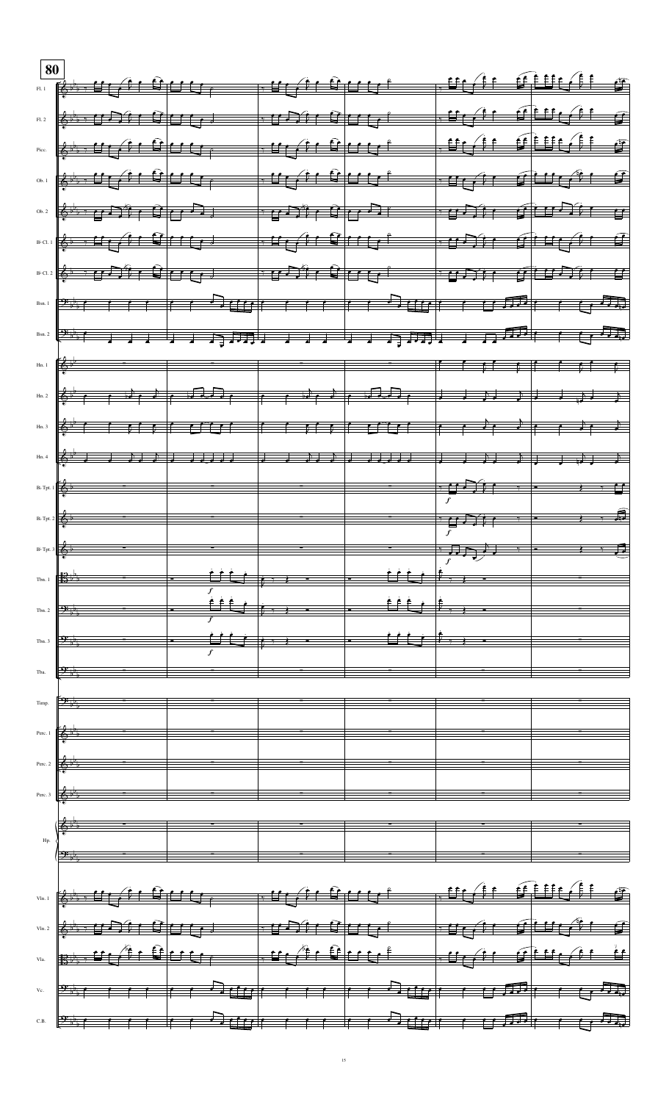| 80                        |                                                                                   |  |                                                                                                                                                                                                                                                                                                                                                                                                                 |                          |                           |                                                                                                                                                                                                                                                                                                                                                                                                                                   |
|---------------------------|-----------------------------------------------------------------------------------|--|-----------------------------------------------------------------------------------------------------------------------------------------------------------------------------------------------------------------------------------------------------------------------------------------------------------------------------------------------------------------------------------------------------------------|--------------------------|---------------------------|-----------------------------------------------------------------------------------------------------------------------------------------------------------------------------------------------------------------------------------------------------------------------------------------------------------------------------------------------------------------------------------------------------------------------------------|
|                           |                                                                                   |  |                                                                                                                                                                                                                                                                                                                                                                                                                 |                          |                           |                                                                                                                                                                                                                                                                                                                                                                                                                                   |
|                           |                                                                                   |  |                                                                                                                                                                                                                                                                                                                                                                                                                 |                          |                           |                                                                                                                                                                                                                                                                                                                                                                                                                                   |
|                           |                                                                                   |  |                                                                                                                                                                                                                                                                                                                                                                                                                 |                          |                           |                                                                                                                                                                                                                                                                                                                                                                                                                                   |
|                           |                                                                                   |  |                                                                                                                                                                                                                                                                                                                                                                                                                 |                          |                           |                                                                                                                                                                                                                                                                                                                                                                                                                                   |
|                           |                                                                                   |  |                                                                                                                                                                                                                                                                                                                                                                                                                 |                          |                           | ن الأشياءَ الألبية المسافرين المسافرين المسافرة الأربع المسافرة المسافرة المسافرة المسافرة المسافرة المسافرة ا                                                                                                                                                                                                                                                                                                                    |
|                           |                                                                                   |  |                                                                                                                                                                                                                                                                                                                                                                                                                 |                          |                           |                                                                                                                                                                                                                                                                                                                                                                                                                                   |
|                           |                                                                                   |  |                                                                                                                                                                                                                                                                                                                                                                                                                 |                          |                           | BOLL 1999 - 1999 - 1999 - 1999 - 1999 - 1999 - 1999 - 1999 - 1999 - 1999 - 1999 - 1999 - 1999 - 1999 - 1999 - 1                                                                                                                                                                                                                                                                                                                   |
|                           |                                                                                   |  |                                                                                                                                                                                                                                                                                                                                                                                                                 |                          |                           | ا <del>مرکز می از از از این است و است و است و است و است و است و است و است و است و است و</del> است است و است و است و است ا<br>است و است و است و است و است و است و است و است و است و است و است و است و است و است و است و است و است و است و                                                                                                                                                                                          |
|                           |                                                                                   |  |                                                                                                                                                                                                                                                                                                                                                                                                                 |                          |                           |                                                                                                                                                                                                                                                                                                                                                                                                                                   |
|                           | $\mathbf{H}_{\text{n.1}}$ $\left[\bigotimes^{\mathbf{L}} \mathbf{P}^{\mathbf{L}}$ |  |                                                                                                                                                                                                                                                                                                                                                                                                                 |                          |                           |                                                                                                                                                                                                                                                                                                                                                                                                                                   |
|                           |                                                                                   |  |                                                                                                                                                                                                                                                                                                                                                                                                                 |                          |                           | ح نوبي نسبت المرض نسور المال م <del>تركيب والمرض من المركب والمرض و منظر</del> ة المنسور                                                                                                                                                                                                                                                                                                                                          |
|                           |                                                                                   |  |                                                                                                                                                                                                                                                                                                                                                                                                                 |                          |                           |                                                                                                                                                                                                                                                                                                                                                                                                                                   |
|                           |                                                                                   |  | Hn.4 ( $\left(\frac{1}{\sqrt{2}}\right)$ , $\left(\frac{1}{\sqrt{2}}\right)$ , $\left(\frac{1}{\sqrt{2}}\right)$ , $\left(\frac{1}{\sqrt{2}}\right)$ , $\left(\frac{1}{\sqrt{2}}\right)$ , $\left(\frac{1}{\sqrt{2}}\right)$ , $\left(\frac{1}{\sqrt{2}}\right)$ , $\left(\frac{1}{\sqrt{2}}\right)$ , $\left(\frac{1}{\sqrt{2}}\right)$ , $\left(\frac{1}{\sqrt{2}}\right)$ , $\left(\frac{1}{\sqrt{2}}\right$ |                          |                           | $\frac{1}{2}$ $\frac{1}{2}$                                                                                                                                                                                                                                                                                                                                                                                                       |
|                           | $B \triangleright Tpt.1$                                                          |  |                                                                                                                                                                                                                                                                                                                                                                                                                 |                          |                           |                                                                                                                                                                                                                                                                                                                                                                                                                                   |
| $B \triangleright Tpt. 2$ |                                                                                   |  |                                                                                                                                                                                                                                                                                                                                                                                                                 |                          |                           | $\frac{1}{2}$ $\frac{1}{2}$ $\frac{1}{2}$ $\frac{1}{2}$ $\frac{1}{2}$ $\frac{1}{2}$ $\frac{1}{2}$ $\frac{1}{2}$ $\frac{1}{2}$ $\frac{1}{2}$ $\frac{1}{2}$ $\frac{1}{2}$ $\frac{1}{2}$ $\frac{1}{2}$ $\frac{1}{2}$ $\frac{1}{2}$ $\frac{1}{2}$ $\frac{1}{2}$ $\frac{1}{2}$ $\frac{1}{2}$ $\frac{1}{2}$ $\frac{1}{2}$                                                                                                               |
| $\mathbf{B}$ Tpt. 3       |                                                                                   |  |                                                                                                                                                                                                                                                                                                                                                                                                                 |                          |                           | $\vdash$ $\qquad \qquad$ $\qquad$ $\qquad$ $\qquad$ $\qquad$ $\qquad$ $\qquad$ $\qquad$ $\qquad$ $\qquad$ $\qquad$ $\qquad$ $\qquad$ $\qquad$ $\qquad$ $\qquad$ $\qquad$ $\qquad$ $\qquad$ $\qquad$ $\qquad$ $\qquad$ $\qquad$ $\qquad$ $\qquad$ $\qquad$ $\qquad$ $\qquad$ $\qquad$ $\qquad$ $\qquad$ $\qquad$ $\qquad$ $\qquad$ $\qquad$ $\$                                                                                    |
|                           |                                                                                   |  |                                                                                                                                                                                                                                                                                                                                                                                                                 |                          | $\mathbf{P} = \mathbf{P}$ |                                                                                                                                                                                                                                                                                                                                                                                                                                   |
|                           |                                                                                   |  |                                                                                                                                                                                                                                                                                                                                                                                                                 |                          |                           |                                                                                                                                                                                                                                                                                                                                                                                                                                   |
|                           |                                                                                   |  |                                                                                                                                                                                                                                                                                                                                                                                                                 |                          |                           |                                                                                                                                                                                                                                                                                                                                                                                                                                   |
|                           |                                                                                   |  |                                                                                                                                                                                                                                                                                                                                                                                                                 |                          |                           |                                                                                                                                                                                                                                                                                                                                                                                                                                   |
|                           |                                                                                   |  |                                                                                                                                                                                                                                                                                                                                                                                                                 |                          |                           |                                                                                                                                                                                                                                                                                                                                                                                                                                   |
|                           |                                                                                   |  |                                                                                                                                                                                                                                                                                                                                                                                                                 |                          |                           |                                                                                                                                                                                                                                                                                                                                                                                                                                   |
|                           |                                                                                   |  |                                                                                                                                                                                                                                                                                                                                                                                                                 |                          |                           |                                                                                                                                                                                                                                                                                                                                                                                                                                   |
|                           |                                                                                   |  |                                                                                                                                                                                                                                                                                                                                                                                                                 |                          |                           |                                                                                                                                                                                                                                                                                                                                                                                                                                   |
|                           |                                                                                   |  |                                                                                                                                                                                                                                                                                                                                                                                                                 |                          |                           |                                                                                                                                                                                                                                                                                                                                                                                                                                   |
|                           |                                                                                   |  |                                                                                                                                                                                                                                                                                                                                                                                                                 |                          |                           |                                                                                                                                                                                                                                                                                                                                                                                                                                   |
|                           |                                                                                   |  |                                                                                                                                                                                                                                                                                                                                                                                                                 |                          |                           |                                                                                                                                                                                                                                                                                                                                                                                                                                   |
|                           |                                                                                   |  |                                                                                                                                                                                                                                                                                                                                                                                                                 |                          |                           | $\frac{1}{2}+\frac{1}{2}+\frac{1}{2}+\frac{1}{2}+\frac{1}{2}+\frac{1}{2}+\frac{1}{2}+\frac{1}{2}+\frac{1}{2}+\frac{1}{2}+\frac{1}{2}+\frac{1}{2}+\frac{1}{2}+\frac{1}{2}+\frac{1}{2}+\frac{1}{2}+\frac{1}{2}+\frac{1}{2}+\frac{1}{2}+\frac{1}{2}+\frac{1}{2}+\frac{1}{2}+\frac{1}{2}+\frac{1}{2}+\frac{1}{2}+\frac{1}{2}+\frac{1}{2}+\frac{1}{2}+\frac{1}{2}+\frac{1}{2}+\frac{1}{2}+\frac{$                                      |
|                           |                                                                                   |  |                                                                                                                                                                                                                                                                                                                                                                                                                 |                          |                           |                                                                                                                                                                                                                                                                                                                                                                                                                                   |
|                           |                                                                                   |  |                                                                                                                                                                                                                                                                                                                                                                                                                 |                          |                           | $\big \frac{1}{6},\frac{1}{4}\big  \frac{1}{4}\big  \frac{1}{4}\big  \frac{1}{4}\big  \frac{1}{4}\big  \frac{1}{4}\big  \frac{1}{4}\big  \frac{1}{4}\big  \frac{1}{4}\big  \frac{1}{4}\big  \frac{1}{4}\big  \frac{1}{4}\big  \frac{1}{4}\big  \frac{1}{4}\big  \frac{1}{4}\big  \frac{1}{4}\big  \frac{1}{4}\big  \frac{1}{4}\big  \frac{1}{4}\big  \frac{1}{4}\big  \frac{1}{4}\big  \frac{1}{4}\big  \frac{1}{4}\big  \frac{1$ |
|                           |                                                                                   |  |                                                                                                                                                                                                                                                                                                                                                                                                                 |                          |                           |                                                                                                                                                                                                                                                                                                                                                                                                                                   |
|                           |                                                                                   |  |                                                                                                                                                                                                                                                                                                                                                                                                                 | $\overline{\phantom{a}}$ | $\sqrt{1}$                |                                                                                                                                                                                                                                                                                                                                                                                                                                   |
|                           |                                                                                   |  |                                                                                                                                                                                                                                                                                                                                                                                                                 |                          |                           | اب <del>رہے ہے ، جاری ہے ، جاری ہے ، جو ، جاری</del> ک                                                                                                                                                                                                                                                                                                                                                                            |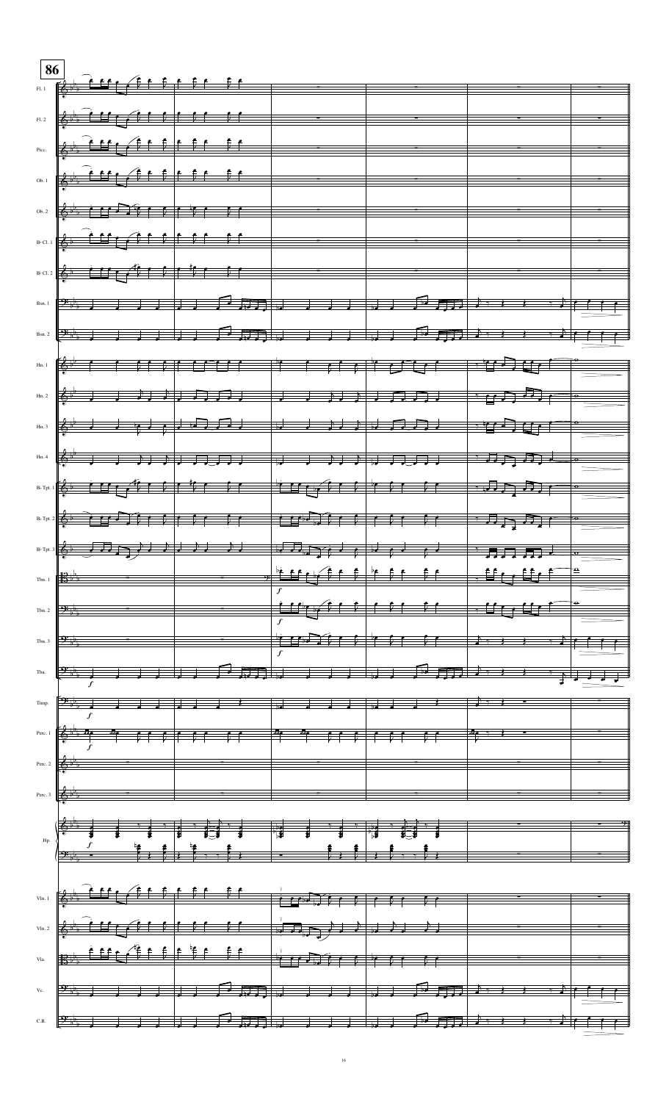|      | $F_{R,1}$ $F_{R,2}$ $F_{R,1}$ $F_{R,2}$ $F_{R,1}$ $F_{R,1}$ $F_{R,1}$ $F_{R,1}$ $F_{R,1}$ $F_{R,1}$                                                                                                                                                                                                                                                                                                                                |  |                                                                                                                                                                                                                                                                                                                                                                    |  |
|------|------------------------------------------------------------------------------------------------------------------------------------------------------------------------------------------------------------------------------------------------------------------------------------------------------------------------------------------------------------------------------------------------------------------------------------|--|--------------------------------------------------------------------------------------------------------------------------------------------------------------------------------------------------------------------------------------------------------------------------------------------------------------------------------------------------------------------|--|
| FL.2 | $8 + 11 + 11 + 11 + 11$                                                                                                                                                                                                                                                                                                                                                                                                            |  |                                                                                                                                                                                                                                                                                                                                                                    |  |
|      |                                                                                                                                                                                                                                                                                                                                                                                                                                    |  |                                                                                                                                                                                                                                                                                                                                                                    |  |
|      |                                                                                                                                                                                                                                                                                                                                                                                                                                    |  |                                                                                                                                                                                                                                                                                                                                                                    |  |
|      |                                                                                                                                                                                                                                                                                                                                                                                                                                    |  |                                                                                                                                                                                                                                                                                                                                                                    |  |
|      | 06.2 85 CC-538 C F 8 C F CC                                                                                                                                                                                                                                                                                                                                                                                                        |  |                                                                                                                                                                                                                                                                                                                                                                    |  |
|      | BKCLIC PIPILE PLAN AND COMPANY                                                                                                                                                                                                                                                                                                                                                                                                     |  |                                                                                                                                                                                                                                                                                                                                                                    |  |
|      | $B(0,2)$ $\frac{2}{5}$ $\frac{1}{5}$ $\frac{1}{5}$ $\frac{1}{5}$ $\frac{1}{5}$ $\frac{1}{5}$ $\frac{1}{5}$ $\frac{1}{5}$ $\frac{1}{5}$ $\frac{1}{5}$ $\frac{1}{5}$ $\frac{1}{5}$ $\frac{1}{5}$ $\frac{1}{5}$ $\frac{1}{5}$ $\frac{1}{5}$ $\frac{1}{5}$ $\frac{1}{5}$ $\frac{1}{5}$ $\frac{1}{5}$ $\frac{1}{5}$ $\$                                                                                                                 |  |                                                                                                                                                                                                                                                                                                                                                                    |  |
|      |                                                                                                                                                                                                                                                                                                                                                                                                                                    |  |                                                                                                                                                                                                                                                                                                                                                                    |  |
|      |                                                                                                                                                                                                                                                                                                                                                                                                                                    |  |                                                                                                                                                                                                                                                                                                                                                                    |  |
|      | الم مع مع الأمريك المعاملة التي تتبع التي تساول المعامل المعامل المعامل التي تستطير المساول المساول المستطير ا                                                                                                                                                                                                                                                                                                                     |  |                                                                                                                                                                                                                                                                                                                                                                    |  |
|      |                                                                                                                                                                                                                                                                                                                                                                                                                                    |  |                                                                                                                                                                                                                                                                                                                                                                    |  |
|      |                                                                                                                                                                                                                                                                                                                                                                                                                                    |  |                                                                                                                                                                                                                                                                                                                                                                    |  |
|      |                                                                                                                                                                                                                                                                                                                                                                                                                                    |  |                                                                                                                                                                                                                                                                                                                                                                    |  |
|      |                                                                                                                                                                                                                                                                                                                                                                                                                                    |  |                                                                                                                                                                                                                                                                                                                                                                    |  |
|      |                                                                                                                                                                                                                                                                                                                                                                                                                                    |  |                                                                                                                                                                                                                                                                                                                                                                    |  |
|      |                                                                                                                                                                                                                                                                                                                                                                                                                                    |  |                                                                                                                                                                                                                                                                                                                                                                    |  |
|      |                                                                                                                                                                                                                                                                                                                                                                                                                                    |  |                                                                                                                                                                                                                                                                                                                                                                    |  |
|      |                                                                                                                                                                                                                                                                                                                                                                                                                                    |  |                                                                                                                                                                                                                                                                                                                                                                    |  |
|      |                                                                                                                                                                                                                                                                                                                                                                                                                                    |  | $\begin{picture}(180,10) \put(0,0){\vector(1,0){100}} \put(10,0){\vector(1,0){100}} \put(10,0){\vector(1,0){100}} \put(10,0){\vector(1,0){100}} \put(10,0){\vector(1,0){100}} \put(10,0){\vector(1,0){100}} \put(10,0){\vector(1,0){100}} \put(10,0){\vector(1,0){100}} \put(10,0){\vector(1,0){100}} \put(10,0){\vector(1,0){100}} \put(10,0){\vector(1,0){100}}$ |  |
|      |                                                                                                                                                                                                                                                                                                                                                                                                                                    |  |                                                                                                                                                                                                                                                                                                                                                                    |  |
|      |                                                                                                                                                                                                                                                                                                                                                                                                                                    |  |                                                                                                                                                                                                                                                                                                                                                                    |  |
|      | $T_{\rm{10.1}}$ $\frac{1}{20}$ $\frac{1}{20}$ $\frac{1}{20}$ $\frac{1}{20}$ $\frac{1}{20}$ $\frac{1}{20}$ $\frac{1}{20}$ $\frac{1}{20}$ $\frac{1}{20}$ $\frac{1}{20}$ $\frac{1}{20}$ $\frac{1}{20}$ $\frac{1}{20}$ $\frac{1}{20}$ $\frac{1}{20}$ $\frac{1}{20}$ $\frac{1}{20}$ $\frac{1}{20}$ $\frac{1}{20}$                                                                                                                       |  |                                                                                                                                                                                                                                                                                                                                                                    |  |
|      |                                                                                                                                                                                                                                                                                                                                                                                                                                    |  |                                                                                                                                                                                                                                                                                                                                                                    |  |
|      |                                                                                                                                                                                                                                                                                                                                                                                                                                    |  | $\frac{1}{2}$ , $\frac{1}{2}$ , $\frac{1}{2}$ , $\frac{1}{2}$ , $\frac{1}{2}$ , $\frac{1}{2}$ , $\frac{1}{2}$ , $\frac{1}{2}$ , $\frac{1}{2}$ , $\frac{1}{2}$ , $\frac{1}{2}$ , $\frac{1}{2}$ , $\frac{1}{2}$ , $\frac{1}{2}$ , $\frac{1}{2}$ , $\frac{1}{2}$ , $\frac{1}{2}$ , $\frac{1}{2}$ , $\frac{1$                                                          |  |
|      |                                                                                                                                                                                                                                                                                                                                                                                                                                    |  |                                                                                                                                                                                                                                                                                                                                                                    |  |
|      | Perc. 1 $\frac{1}{2}$ $\frac{1}{2}$ $\frac{1}{2}$ $\frac{1}{2}$ $\frac{1}{2}$ $\frac{1}{2}$ $\frac{1}{2}$ $\frac{1}{2}$ $\frac{1}{2}$ $\frac{1}{2}$ $\frac{1}{2}$ $\frac{1}{2}$ $\frac{1}{2}$ $\frac{1}{2}$ $\frac{1}{2}$ $\frac{1}{2}$ $\frac{1}{2}$ $\frac{1}{2}$ $\frac{1}{2}$ $\frac{1}{2}$ $\frac{1}{2}$ $\frac$                                                                                                              |  |                                                                                                                                                                                                                                                                                                                                                                    |  |
|      | Perc. 2 $\left\lfloor \left\langle \left\langle \cdot \right\rangle \right\rangle \right\rfloor$                                                                                                                                                                                                                                                                                                                                   |  |                                                                                                                                                                                                                                                                                                                                                                    |  |
|      | Perc. 3 $\left[\begin{array}{ccc} b & b \\ c & d \end{array}\right]$                                                                                                                                                                                                                                                                                                                                                               |  |                                                                                                                                                                                                                                                                                                                                                                    |  |
|      |                                                                                                                                                                                                                                                                                                                                                                                                                                    |  |                                                                                                                                                                                                                                                                                                                                                                    |  |
|      |                                                                                                                                                                                                                                                                                                                                                                                                                                    |  |                                                                                                                                                                                                                                                                                                                                                                    |  |
|      |                                                                                                                                                                                                                                                                                                                                                                                                                                    |  |                                                                                                                                                                                                                                                                                                                                                                    |  |
|      | $\text{VIn.1} \begin{array}{ ccccccccccccccccccc }\hline \text{Q} & \text{P} & \text{L} & \text{L} & \text{L} & \text{L} & \text{L} & \text{L} & \text{L} & \text{L} & \text{L} & \text{L} & \text{L} & \text{L} & \text{L} & \text{L} & \text{L} & \text{L} & \text{L} & \text{L} & \text{L} & \text{L} & \text{L} & \text{L} & \text{L} & \text{L} & \text{L} & \text{L} & \text{L} & \text{L} & \text{L} & \text{L} & \text{L}$ |  |                                                                                                                                                                                                                                                                                                                                                                    |  |
|      |                                                                                                                                                                                                                                                                                                                                                                                                                                    |  |                                                                                                                                                                                                                                                                                                                                                                    |  |
|      |                                                                                                                                                                                                                                                                                                                                                                                                                                    |  |                                                                                                                                                                                                                                                                                                                                                                    |  |
|      |                                                                                                                                                                                                                                                                                                                                                                                                                                    |  |                                                                                                                                                                                                                                                                                                                                                                    |  |
|      |                                                                                                                                                                                                                                                                                                                                                                                                                                    |  |                                                                                                                                                                                                                                                                                                                                                                    |  |
|      |                                                                                                                                                                                                                                                                                                                                                                                                                                    |  | ا م م ما د د د د د ا <del>رزی</del> لکن از بهار از از ارزادی کن از از از ا                                                                                                                                                                                                                                                                                         |  |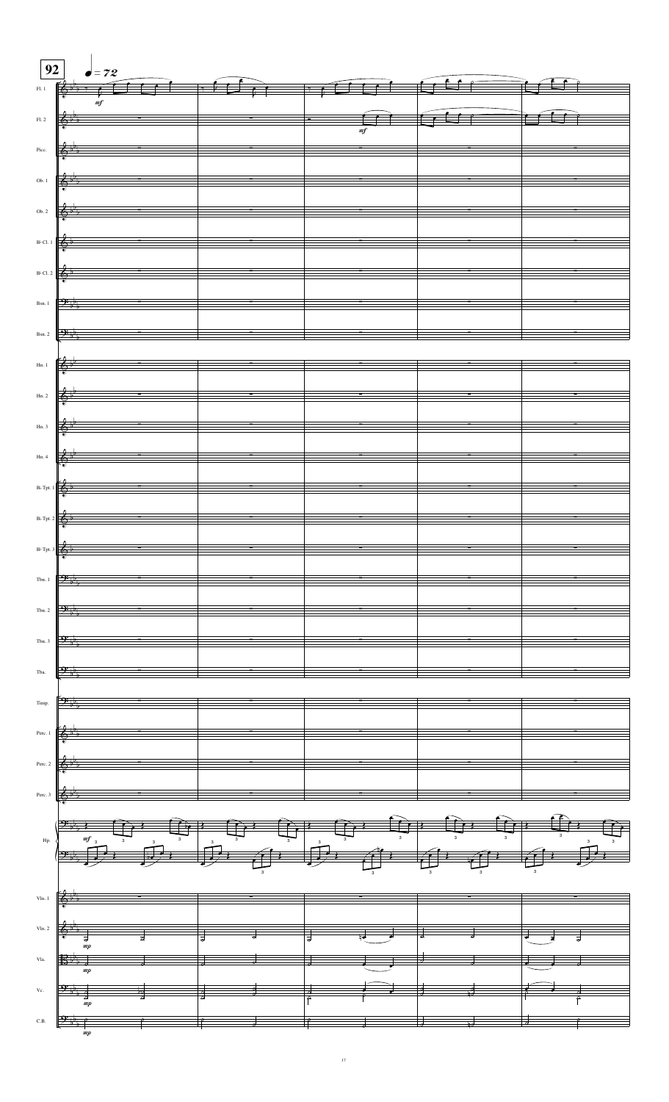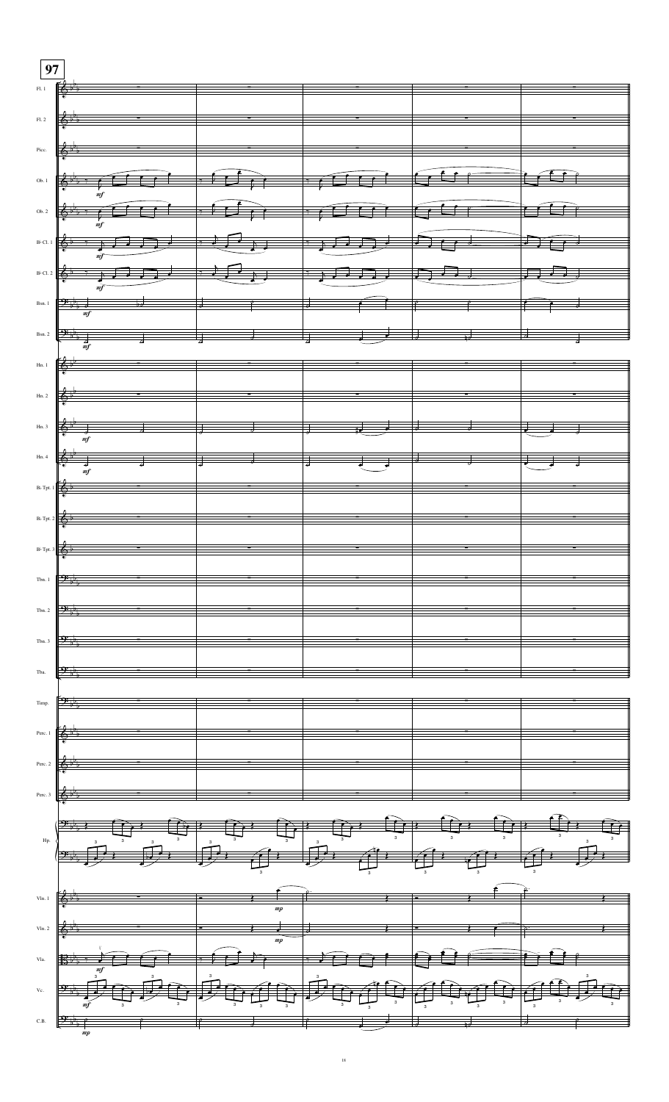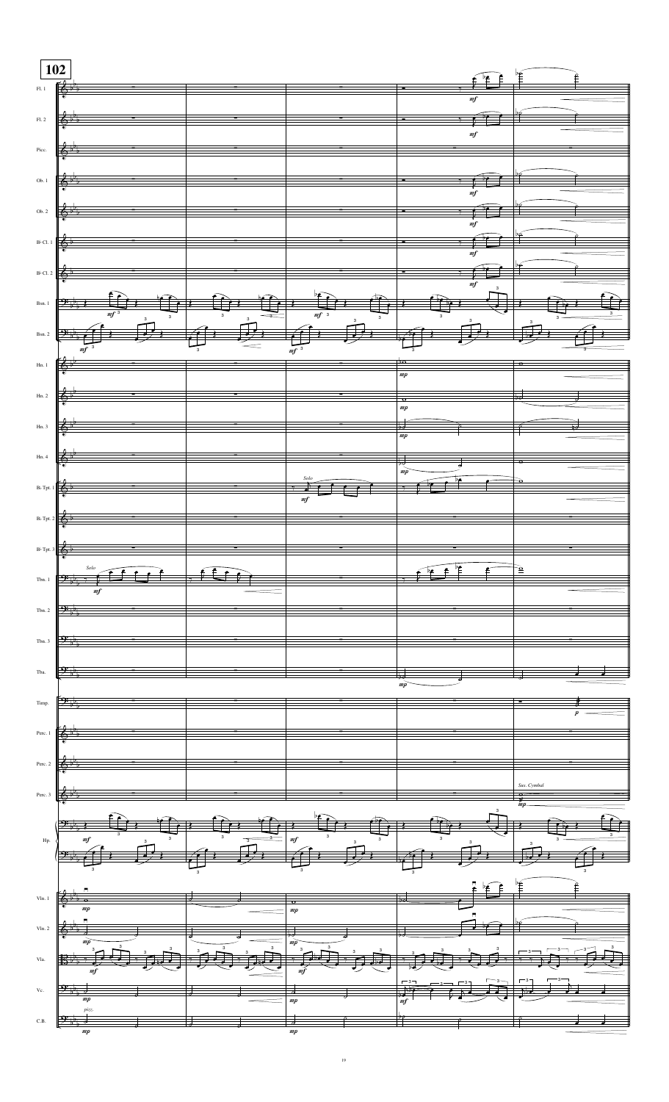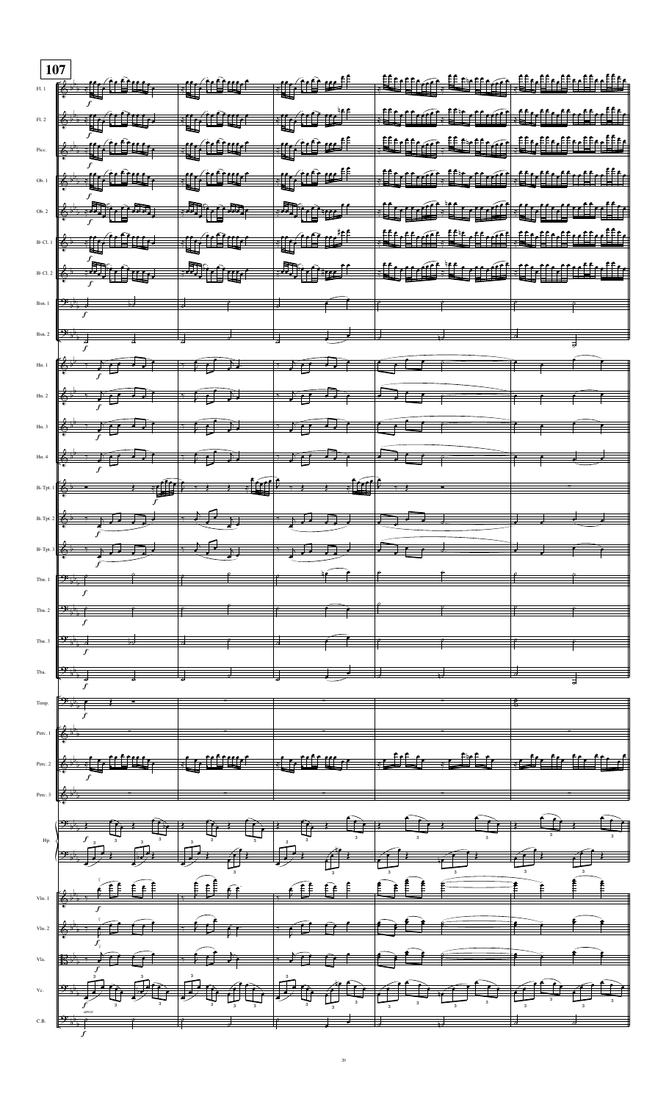| 107 |                                                                                                                            |  |  |                                                                                                                                                                                                                                                                                                                                                                                                                                                         |  |                          |                                                        |  |  |  |  |
|-----|----------------------------------------------------------------------------------------------------------------------------|--|--|---------------------------------------------------------------------------------------------------------------------------------------------------------------------------------------------------------------------------------------------------------------------------------------------------------------------------------------------------------------------------------------------------------------------------------------------------------|--|--------------------------|--------------------------------------------------------|--|--|--|--|
|     |                                                                                                                            |  |  |                                                                                                                                                                                                                                                                                                                                                                                                                                                         |  |                          |                                                        |  |  |  |  |
|     |                                                                                                                            |  |  | e production and the context of the context of the context of the context of the context of the context of the                                                                                                                                                                                                                                                                                                                                          |  |                          |                                                        |  |  |  |  |
|     |                                                                                                                            |  |  |                                                                                                                                                                                                                                                                                                                                                                                                                                                         |  |                          |                                                        |  |  |  |  |
|     |                                                                                                                            |  |  |                                                                                                                                                                                                                                                                                                                                                                                                                                                         |  |                          |                                                        |  |  |  |  |
|     |                                                                                                                            |  |  | Britain Partie (1995) (1995) (1995) (1996) (1996) (1996)                                                                                                                                                                                                                                                                                                                                                                                                |  |                          |                                                        |  |  |  |  |
|     |                                                                                                                            |  |  | Book and the state of the state of the state of the state of the state of the state of the state of the state of the state of the state of the state of the state of the state of the state of the state of the state of the s                                                                                                                                                                                                                          |  |                          |                                                        |  |  |  |  |
|     |                                                                                                                            |  |  | 1999 - Prince Marie Marie Marie Marie Marie Marie Marie Marie Marie Marie Marie Marie Marie Marie Marie Marie                                                                                                                                                                                                                                                                                                                                           |  |                          |                                                        |  |  |  |  |
|     |                                                                                                                            |  |  | $Bsn.1$ $\frac{336}{5}$ $\frac{1}{5}$ $\frac{1}{5}$ $\frac{1}{5}$ $\frac{1}{5}$ $\frac{1}{5}$ $\frac{1}{5}$ $\frac{1}{5}$ $\frac{1}{5}$ $\frac{1}{5}$ $\frac{1}{5}$ $\frac{1}{5}$ $\frac{1}{5}$ $\frac{1}{5}$ $\frac{1}{5}$ $\frac{1}{5}$ $\frac{1}{5}$ $\frac{1}{5}$ $\frac{1}{5}$ $\frac{1}{5}$ $\frac{1}{5}$ $\$                                                                                                                                     |  |                          |                                                        |  |  |  |  |
|     |                                                                                                                            |  |  | $Bsn.2$ $\frac{1}{2}$ $\frac{1}{2}$ $\frac{1}{2}$ $\frac{1}{2}$ $\frac{1}{2}$ $\frac{1}{2}$ $\frac{1}{2}$ $\frac{1}{2}$ $\frac{1}{2}$ $\frac{1}{2}$ $\frac{1}{2}$ $\frac{1}{2}$ $\frac{1}{2}$ $\frac{1}{2}$ $\frac{1}{2}$ $\frac{1}{2}$ $\frac{1}{2}$ $\frac{1}{2}$ $\frac{1}{2}$ $\frac{1}{2}$ $\frac{1}{2}$ $\frac{$                                                                                                                                  |  |                          |                                                        |  |  |  |  |
|     |                                                                                                                            |  |  |                                                                                                                                                                                                                                                                                                                                                                                                                                                         |  |                          |                                                        |  |  |  |  |
|     |                                                                                                                            |  |  | $H_{\rm in}:\left[\begin{array}{ccccc} \frac{1}{2} & 0 & 0 \\ 0 & 0 & 0 \\ 0 & 0 & 0 \end{array}\right],\quad \left[\begin{array}{ccccc} \frac{1}{2} & 0 & 0 \\ 0 & 0 & 0 \\ 0 & 0 & 0 \end{array}\right],\quad \left[\begin{array}{ccccc} \frac{1}{2} & 0 & 0 \\ 0 & 0 & 0 \\ 0 & 0 & 0 \end{array}\right],\quad \left[\begin{array}{ccccc} \frac{1}{2} & 0 & 0 \\ 0 & 0 & 0 \\ 0 & 0 & 0 \end{array}\right],\quad \left[\begin{array}{ccccc} \frac{1$ |  |                          |                                                        |  |  |  |  |
|     |                                                                                                                            |  |  | $H_{\rm m,2}$ $\frac{1}{2}$ $\frac{1}{2}$ $\frac{1}{2}$ $\frac{1}{2}$ $\frac{1}{2}$ $\frac{1}{2}$ $\frac{1}{2}$ $\frac{1}{2}$ $\frac{1}{2}$ $\frac{1}{2}$ $\frac{1}{2}$ $\frac{1}{2}$ $\frac{1}{2}$ $\frac{1}{2}$ $\frac{1}{2}$ $\frac{1}{2}$ $\frac{1}{2}$ $\frac{1}{2}$ $\frac{1}{2}$ $\frac{1}{2}$ $\frac{1}{2}$                                                                                                                                     |  |                          |                                                        |  |  |  |  |
|     |                                                                                                                            |  |  | $\frac{1}{2}$                                                                                                                                                                                                                                                                                                                                                                                                                                           |  |                          |                                                        |  |  |  |  |
|     |                                                                                                                            |  |  | $\mathbb{R}^{n+1} \left[ \frac{1}{\sqrt{2}} \frac{1}{\sqrt{2}} \frac{1}{\sqrt{2}} \frac{1}{\sqrt{2}} \frac{1}{\sqrt{2}} \frac{1}{\sqrt{2}} \frac{1}{\sqrt{2}} \frac{1}{\sqrt{2}} \frac{1}{\sqrt{2}} \frac{1}{\sqrt{2}} \frac{1}{\sqrt{2}} \frac{1}{\sqrt{2}} \frac{1}{\sqrt{2}} \frac{1}{\sqrt{2}} \frac{1}{\sqrt{2}} \frac{1}{\sqrt{2}} \frac{1}{\sqrt{2}} \frac{1}{\sqrt{2}} \frac{1}{\sqrt{2}} \frac{1}{\sqrt{2}} \frac{1}{\$                        |  |                          |                                                        |  |  |  |  |
|     |                                                                                                                            |  |  | $\text{B-1}[\mathcal{E}_1] = \frac{1}{2} \sum_{i=1}^{n} \frac{1}{2} \sum_{i=1}^{n} \frac{1}{2} \sum_{j=1}^{n} \frac{1}{2} \sum_{i=1}^{n} \frac{1}{2} \sum_{j=1}^{n} \frac{1}{2} \sum_{j=1}^{n} \frac{1}{2} \sum_{j=1}^{n} \frac{1}{2} \sum_{j=1}^{n} \frac{1}{2} \sum_{j=1}^{n} \frac{1}{2} \sum_{j=1}^{n} \frac{1}{2} \sum_{j=1}^{n} \frac{1}{2} \sum_{j=1}^{n}$                                                                                       |  |                          |                                                        |  |  |  |  |
|     |                                                                                                                            |  |  | $\begin{picture}(100,100) \put(0,0){\vector(1,0){100}} \put(10,0){\vector(1,0){100}} \put(10,0){\vector(1,0){100}} \put(10,0){\vector(1,0){100}} \put(10,0){\vector(1,0){100}} \put(10,0){\vector(1,0){100}} \put(10,0){\vector(1,0){100}} \put(10,0){\vector(1,0){100}} \put(10,0){\vector(1,0){100}} \put(10,0){\vector(1,0){100}} \put(10,0){\vector(1,0){100$                                                                                       |  |                          |                                                        |  |  |  |  |
|     | $B\flat$ Tpt. 3 $\left\{\begin{array}{ccc} \bullet & \bullet & \bullet \\ \bullet & \bullet & \bullet \end{array}\right\}$ |  |  | $\overline{1},$ $\overline{2},$ $\overline{3},$ $\overline{4},$ $\overline{4},$ $\overline{1},$ $\overline{1},$ $\overline{1},$ $\overline{1},$ $\overline{1},$ $\overline{1},$ $\overline{1},$ $\overline{1},$ $\overline{1},$ $\overline{1},$ $\overline{1},$ $\overline{1},$ $\overline{1},$ $\overline{1},$ $\overline{1},$ $\overline{1},$ $\overline{1},$ $\overline{1},$ $\overline{1},$ $\overline{$                                            |  |                          |                                                        |  |  |  |  |
|     |                                                                                                                            |  |  |                                                                                                                                                                                                                                                                                                                                                                                                                                                         |  |                          |                                                        |  |  |  |  |
|     |                                                                                                                            |  |  |                                                                                                                                                                                                                                                                                                                                                                                                                                                         |  |                          |                                                        |  |  |  |  |
|     |                                                                                                                            |  |  |                                                                                                                                                                                                                                                                                                                                                                                                                                                         |  |                          | $\epsilon$ $\epsilon$ $\epsilon$ $\epsilon$ $\epsilon$ |  |  |  |  |
|     |                                                                                                                            |  |  |                                                                                                                                                                                                                                                                                                                                                                                                                                                         |  | $\overline{\phantom{a}}$ |                                                        |  |  |  |  |
|     |                                                                                                                            |  |  |                                                                                                                                                                                                                                                                                                                                                                                                                                                         |  |                          |                                                        |  |  |  |  |
|     |                                                                                                                            |  |  |                                                                                                                                                                                                                                                                                                                                                                                                                                                         |  |                          |                                                        |  |  |  |  |
|     |                                                                                                                            |  |  | Perce & Partial Control of the Control of the Control of the Control of the Control of the Control of the Control of the Control of the Control of the Control of the Control of the Control of the Control of the Control of                                                                                                                                                                                                                           |  |                          |                                                        |  |  |  |  |
|     |                                                                                                                            |  |  |                                                                                                                                                                                                                                                                                                                                                                                                                                                         |  |                          |                                                        |  |  |  |  |
|     |                                                                                                                            |  |  | $\begin{picture}(130,10) \put(0,0){\vector(1,0){100}} \put(15,0){\vector(1,0){100}} \put(15,0){\vector(1,0){100}} \put(15,0){\vector(1,0){100}} \put(15,0){\vector(1,0){100}} \put(15,0){\vector(1,0){100}} \put(15,0){\vector(1,0){100}} \put(15,0){\vector(1,0){100}} \put(15,0){\vector(1,0){100}} \put(15,0){\vector(1,0){100}} \put(15,0){\vector(1,0){100}}$                                                                                      |  |                          |                                                        |  |  |  |  |
|     |                                                                                                                            |  |  |                                                                                                                                                                                                                                                                                                                                                                                                                                                         |  |                          |                                                        |  |  |  |  |
|     |                                                                                                                            |  |  | $\frac{1}{2}$                                                                                                                                                                                                                                                                                                                                                                                                                                           |  |                          |                                                        |  |  |  |  |
|     |                                                                                                                            |  |  | $\begin{picture}(180,10) \put(0,0){\vector(1,0){100}} \put(10,0){\vector(1,0){100}} \put(10,0){\vector(1,0){100}} \put(10,0){\vector(1,0){100}} \put(10,0){\vector(1,0){100}} \put(10,0){\vector(1,0){100}} \put(10,0){\vector(1,0){100}} \put(10,0){\vector(1,0){100}} \put(10,0){\vector(1,0){100}} \put(10,0){\vector(1,0){100}} \put(10,0){\vector(1,0){100}}$                                                                                      |  |                          |                                                        |  |  |  |  |
|     |                                                                                                                            |  |  | $\text{Vth.2} \begin{picture}(100,10) \put(0,0){\line(1,0){10}} \put(10,0){\line(1,0){10}} \put(10,0){\line(1,0){10}} \put(10,0){\line(1,0){10}} \put(10,0){\line(1,0){10}} \put(10,0){\line(1,0){10}} \put(10,0){\line(1,0){10}} \put(10,0){\line(1,0){10}} \put(10,0){\line(1,0){10}} \put(10,0){\line(1,0){10}} \put(10,0){\line(1,0){10}} \put($                                                                                                    |  |                          |                                                        |  |  |  |  |
|     |                                                                                                                            |  |  |                                                                                                                                                                                                                                                                                                                                                                                                                                                         |  |                          |                                                        |  |  |  |  |
|     |                                                                                                                            |  |  | $\begin{picture}(130,10) \put(0,0){\line(1,0){10}} \put(15,0){\line(1,0){10}} \put(15,0){\line(1,0){10}} \put(15,0){\line(1,0){10}} \put(15,0){\line(1,0){10}} \put(15,0){\line(1,0){10}} \put(15,0){\line(1,0){10}} \put(15,0){\line(1,0){10}} \put(15,0){\line(1,0){10}} \put(15,0){\line(1,0){10}} \put(15,0){\line(1,0){10}} \put(15,0){\line($                                                                                                     |  |                          |                                                        |  |  |  |  |
|     |                                                                                                                            |  |  |                                                                                                                                                                                                                                                                                                                                                                                                                                                         |  |                          |                                                        |  |  |  |  |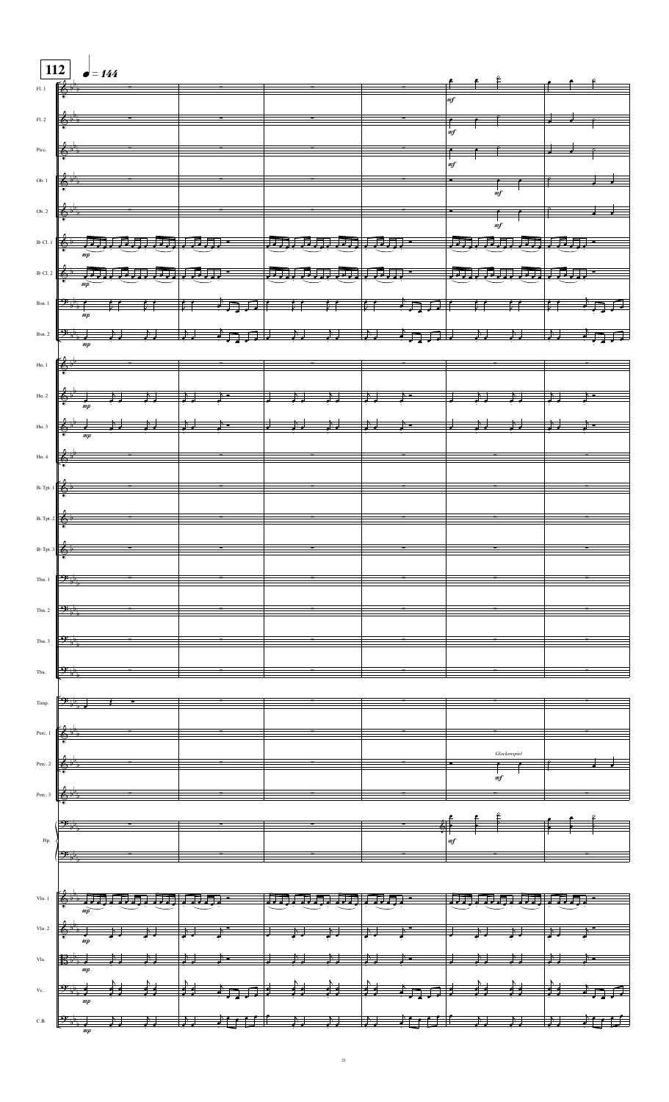| 112                          | $= 144$                                                                                                                                                                                                                                                                                                                                                                                                                                                                           |                                             |                                                                                                                                                                                                                                                                                                                                                                                                                                                                                                                |                                                                     |                                                                                                                                                                                                                                                                                                                                                                                                                                                               |                                                                                                                                                                                                                                                                                                                                                                                                                                                                                                                                                                                                                             |
|------------------------------|-----------------------------------------------------------------------------------------------------------------------------------------------------------------------------------------------------------------------------------------------------------------------------------------------------------------------------------------------------------------------------------------------------------------------------------------------------------------------------------|---------------------------------------------|----------------------------------------------------------------------------------------------------------------------------------------------------------------------------------------------------------------------------------------------------------------------------------------------------------------------------------------------------------------------------------------------------------------------------------------------------------------------------------------------------------------|---------------------------------------------------------------------|---------------------------------------------------------------------------------------------------------------------------------------------------------------------------------------------------------------------------------------------------------------------------------------------------------------------------------------------------------------------------------------------------------------------------------------------------------------|-----------------------------------------------------------------------------------------------------------------------------------------------------------------------------------------------------------------------------------------------------------------------------------------------------------------------------------------------------------------------------------------------------------------------------------------------------------------------------------------------------------------------------------------------------------------------------------------------------------------------------|
| F1.1                         |                                                                                                                                                                                                                                                                                                                                                                                                                                                                                   |                                             |                                                                                                                                                                                                                                                                                                                                                                                                                                                                                                                |                                                                     |                                                                                                                                                                                                                                                                                                                                                                                                                                                               |                                                                                                                                                                                                                                                                                                                                                                                                                                                                                                                                                                                                                             |
| $\rm{Fl.}\,2$                | 吟                                                                                                                                                                                                                                                                                                                                                                                                                                                                                 |                                             |                                                                                                                                                                                                                                                                                                                                                                                                                                                                                                                |                                                                     |                                                                                                                                                                                                                                                                                                                                                                                                                                                               |                                                                                                                                                                                                                                                                                                                                                                                                                                                                                                                                                                                                                             |
|                              |                                                                                                                                                                                                                                                                                                                                                                                                                                                                                   |                                             |                                                                                                                                                                                                                                                                                                                                                                                                                                                                                                                |                                                                     |                                                                                                                                                                                                                                                                                                                                                                                                                                                               |                                                                                                                                                                                                                                                                                                                                                                                                                                                                                                                                                                                                                             |
| $\mathop{\text{\rm Picc}}$ . | $6^{b}$                                                                                                                                                                                                                                                                                                                                                                                                                                                                           |                                             |                                                                                                                                                                                                                                                                                                                                                                                                                                                                                                                |                                                                     |                                                                                                                                                                                                                                                                                                                                                                                                                                                               |                                                                                                                                                                                                                                                                                                                                                                                                                                                                                                                                                                                                                             |
| Ob.1                         |                                                                                                                                                                                                                                                                                                                                                                                                                                                                                   |                                             |                                                                                                                                                                                                                                                                                                                                                                                                                                                                                                                |                                                                     |                                                                                                                                                                                                                                                                                                                                                                                                                                                               |                                                                                                                                                                                                                                                                                                                                                                                                                                                                                                                                                                                                                             |
|                              |                                                                                                                                                                                                                                                                                                                                                                                                                                                                                   |                                             |                                                                                                                                                                                                                                                                                                                                                                                                                                                                                                                |                                                                     |                                                                                                                                                                                                                                                                                                                                                                                                                                                               |                                                                                                                                                                                                                                                                                                                                                                                                                                                                                                                                                                                                                             |
| $\mbox{Ob.} \, 2$            | $6^{\frac{1}{2}}$                                                                                                                                                                                                                                                                                                                                                                                                                                                                 |                                             |                                                                                                                                                                                                                                                                                                                                                                                                                                                                                                                |                                                                     |                                                                                                                                                                                                                                                                                                                                                                                                                                                               |                                                                                                                                                                                                                                                                                                                                                                                                                                                                                                                                                                                                                             |
|                              | $\begin{picture}(130,10) \put(0,0){\line(1,0){10}} \put(15,0){\line(1,0){10}} \put(15,0){\line(1,0){10}} \put(15,0){\line(1,0){10}} \put(15,0){\line(1,0){10}} \put(15,0){\line(1,0){10}} \put(15,0){\line(1,0){10}} \put(15,0){\line(1,0){10}} \put(15,0){\line(1,0){10}} \put(15,0){\line(1,0){10}} \put(15,0){\line(1,0){10}} \put(15,0){\line($                                                                                                                               |                                             | $\sqrt{2}$ , $\sqrt{2}$ , $\sqrt{2}$ , $\sqrt{2}$ , $\sqrt{2}$                                                                                                                                                                                                                                                                                                                                                                                                                                                 |                                                                     |                                                                                                                                                                                                                                                                                                                                                                                                                                                               |                                                                                                                                                                                                                                                                                                                                                                                                                                                                                                                                                                                                                             |
|                              |                                                                                                                                                                                                                                                                                                                                                                                                                                                                                   |                                             |                                                                                                                                                                                                                                                                                                                                                                                                                                                                                                                |                                                                     |                                                                                                                                                                                                                                                                                                                                                                                                                                                               |                                                                                                                                                                                                                                                                                                                                                                                                                                                                                                                                                                                                                             |
|                              | $\begin{picture}(100,100) \put(0,0){\line(1,0){10}} \put(10,0){\line(1,0){10}} \put(10,0){\line(1,0){10}} \put(10,0){\line(1,0){10}} \put(10,0){\line(1,0){10}} \put(10,0){\line(1,0){10}} \put(10,0){\line(1,0){10}} \put(10,0){\line(1,0){10}} \put(10,0){\line(1,0){10}} \put(10,0){\line(1,0){10}} \put(10,0){\line(1,0){10}} \put(10,0){\line$                                                                                                                               |                                             |                                                                                                                                                                                                                                                                                                                                                                                                                                                                                                                |                                                                     | $\sqrt{2}$                                                                                                                                                                                                                                                                                                                                                                                                                                                    |                                                                                                                                                                                                                                                                                                                                                                                                                                                                                                                                                                                                                             |
|                              | $\mathbb{P}_{\mathbb{P}^{(n-1)}}$ . It is a set of the set of $\mathbb{P}_{\mathbb{P}^{(n-1)}}$ is the set of $\mathbb{P}_{\mathbb{P}^{(n-1)}}$                                                                                                                                                                                                                                                                                                                                   |                                             |                                                                                                                                                                                                                                                                                                                                                                                                                                                                                                                |                                                                     |                                                                                                                                                                                                                                                                                                                                                                                                                                                               |                                                                                                                                                                                                                                                                                                                                                                                                                                                                                                                                                                                                                             |
|                              |                                                                                                                                                                                                                                                                                                                                                                                                                                                                                   |                                             |                                                                                                                                                                                                                                                                                                                                                                                                                                                                                                                |                                                                     |                                                                                                                                                                                                                                                                                                                                                                                                                                                               |                                                                                                                                                                                                                                                                                                                                                                                                                                                                                                                                                                                                                             |
|                              | $\mathbb{R}^{n \times 2}$ and $\mathbb{R}^{n \times 2}$ and $\mathbb{R}^{n \times 2}$ and $\mathbb{R}^{n \times 2}$ and $\mathbb{R}^{n \times 2}$ and $\mathbb{R}^{n \times 2}$ and $\mathbb{R}^{n \times 2}$                                                                                                                                                                                                                                                                     |                                             |                                                                                                                                                                                                                                                                                                                                                                                                                                                                                                                |                                                                     |                                                                                                                                                                                                                                                                                                                                                                                                                                                               |                                                                                                                                                                                                                                                                                                                                                                                                                                                                                                                                                                                                                             |
| $\rm Hn.$ 1                  | $\left  \frac{1}{2} \right $                                                                                                                                                                                                                                                                                                                                                                                                                                                      |                                             |                                                                                                                                                                                                                                                                                                                                                                                                                                                                                                                |                                                                     |                                                                                                                                                                                                                                                                                                                                                                                                                                                               |                                                                                                                                                                                                                                                                                                                                                                                                                                                                                                                                                                                                                             |
|                              |                                                                                                                                                                                                                                                                                                                                                                                                                                                                                   |                                             |                                                                                                                                                                                                                                                                                                                                                                                                                                                                                                                |                                                                     |                                                                                                                                                                                                                                                                                                                                                                                                                                                               |                                                                                                                                                                                                                                                                                                                                                                                                                                                                                                                                                                                                                             |
| $\mbox{Hn.2}$                | $\frac{1}{2}$ $\frac{1}{2}$ $\frac{1}{2}$ $\frac{1}{2}$ $\frac{1}{2}$ $\frac{1}{2}$ $\frac{1}{2}$ $\frac{1}{2}$ $\frac{1}{2}$ $\frac{1}{2}$ $\frac{1}{2}$ $\frac{1}{2}$                                                                                                                                                                                                                                                                                                           |                                             |                                                                                                                                                                                                                                                                                                                                                                                                                                                                                                                |                                                                     |                                                                                                                                                                                                                                                                                                                                                                                                                                                               |                                                                                                                                                                                                                                                                                                                                                                                                                                                                                                                                                                                                                             |
| Hn. $3\,$                    | $\left(\begin{array}{ccccc}\n\bullet & \bullet & \bullet & \bullet \\ \bullet & \bullet & \bullet & \bullet\n\end{array}\right)$                                                                                                                                                                                                                                                                                                                                                  | $\rightarrow$                               | $\begin{array}{ccc} \hline \end{array}$ $\begin{array}{ccc} \hline \end{array}$ $\begin{array}{ccc} \hline \end{array}$ $\begin{array}{ccc} \hline \end{array}$ $\begin{array}{ccc} \hline \end{array}$ $\begin{array}{ccc} \hline \end{array}$ $\begin{array}{ccc} \hline \end{array}$ $\begin{array}{ccc} \hline \end{array}$ $\begin{array}{ccc} \hline \end{array}$ $\begin{array}{ccc} \hline \end{array}$ $\begin{array}{ccc} \hline \end{array}$ $\begin{array}{ccc} \hline \end{array}$ $\begin{array$ |                                                                     |                                                                                                                                                                                                                                                                                                                                                                                                                                                               |                                                                                                                                                                                                                                                                                                                                                                                                                                                                                                                                                                                                                             |
| Hn.4                         |                                                                                                                                                                                                                                                                                                                                                                                                                                                                                   |                                             |                                                                                                                                                                                                                                                                                                                                                                                                                                                                                                                |                                                                     |                                                                                                                                                                                                                                                                                                                                                                                                                                                               |                                                                                                                                                                                                                                                                                                                                                                                                                                                                                                                                                                                                                             |
|                              |                                                                                                                                                                                                                                                                                                                                                                                                                                                                                   |                                             |                                                                                                                                                                                                                                                                                                                                                                                                                                                                                                                |                                                                     |                                                                                                                                                                                                                                                                                                                                                                                                                                                               |                                                                                                                                                                                                                                                                                                                                                                                                                                                                                                                                                                                                                             |
| $B \triangleright Tpt.1$     |                                                                                                                                                                                                                                                                                                                                                                                                                                                                                   |                                             |                                                                                                                                                                                                                                                                                                                                                                                                                                                                                                                |                                                                     |                                                                                                                                                                                                                                                                                                                                                                                                                                                               |                                                                                                                                                                                                                                                                                                                                                                                                                                                                                                                                                                                                                             |
| $B \triangleright Tpt. 2$    |                                                                                                                                                                                                                                                                                                                                                                                                                                                                                   |                                             |                                                                                                                                                                                                                                                                                                                                                                                                                                                                                                                |                                                                     |                                                                                                                                                                                                                                                                                                                                                                                                                                                               |                                                                                                                                                                                                                                                                                                                                                                                                                                                                                                                                                                                                                             |
|                              |                                                                                                                                                                                                                                                                                                                                                                                                                                                                                   |                                             |                                                                                                                                                                                                                                                                                                                                                                                                                                                                                                                |                                                                     |                                                                                                                                                                                                                                                                                                                                                                                                                                                               |                                                                                                                                                                                                                                                                                                                                                                                                                                                                                                                                                                                                                             |
|                              | $\frac{B}{2}$ Tpt. 3                                                                                                                                                                                                                                                                                                                                                                                                                                                              |                                             |                                                                                                                                                                                                                                                                                                                                                                                                                                                                                                                |                                                                     |                                                                                                                                                                                                                                                                                                                                                                                                                                                               |                                                                                                                                                                                                                                                                                                                                                                                                                                                                                                                                                                                                                             |
| Tbn. 1                       |                                                                                                                                                                                                                                                                                                                                                                                                                                                                                   |                                             |                                                                                                                                                                                                                                                                                                                                                                                                                                                                                                                |                                                                     |                                                                                                                                                                                                                                                                                                                                                                                                                                                               |                                                                                                                                                                                                                                                                                                                                                                                                                                                                                                                                                                                                                             |
| Tbn. 2                       |                                                                                                                                                                                                                                                                                                                                                                                                                                                                                   |                                             |                                                                                                                                                                                                                                                                                                                                                                                                                                                                                                                |                                                                     |                                                                                                                                                                                                                                                                                                                                                                                                                                                               |                                                                                                                                                                                                                                                                                                                                                                                                                                                                                                                                                                                                                             |
|                              |                                                                                                                                                                                                                                                                                                                                                                                                                                                                                   |                                             |                                                                                                                                                                                                                                                                                                                                                                                                                                                                                                                |                                                                     |                                                                                                                                                                                                                                                                                                                                                                                                                                                               |                                                                                                                                                                                                                                                                                                                                                                                                                                                                                                                                                                                                                             |
| Tbn. 3                       |                                                                                                                                                                                                                                                                                                                                                                                                                                                                                   |                                             |                                                                                                                                                                                                                                                                                                                                                                                                                                                                                                                |                                                                     |                                                                                                                                                                                                                                                                                                                                                                                                                                                               |                                                                                                                                                                                                                                                                                                                                                                                                                                                                                                                                                                                                                             |
| Tba.                         |                                                                                                                                                                                                                                                                                                                                                                                                                                                                                   |                                             |                                                                                                                                                                                                                                                                                                                                                                                                                                                                                                                |                                                                     |                                                                                                                                                                                                                                                                                                                                                                                                                                                               |                                                                                                                                                                                                                                                                                                                                                                                                                                                                                                                                                                                                                             |
|                              |                                                                                                                                                                                                                                                                                                                                                                                                                                                                                   |                                             |                                                                                                                                                                                                                                                                                                                                                                                                                                                                                                                |                                                                     |                                                                                                                                                                                                                                                                                                                                                                                                                                                               |                                                                                                                                                                                                                                                                                                                                                                                                                                                                                                                                                                                                                             |
| Timp.                        |                                                                                                                                                                                                                                                                                                                                                                                                                                                                                   |                                             |                                                                                                                                                                                                                                                                                                                                                                                                                                                                                                                |                                                                     |                                                                                                                                                                                                                                                                                                                                                                                                                                                               |                                                                                                                                                                                                                                                                                                                                                                                                                                                                                                                                                                                                                             |
|                              | Perc. 1 $\left[\begin{array}{ccc} \bullet & \bullet \\ \bullet & \bullet \end{array}\right]$                                                                                                                                                                                                                                                                                                                                                                                      |                                             |                                                                                                                                                                                                                                                                                                                                                                                                                                                                                                                |                                                                     |                                                                                                                                                                                                                                                                                                                                                                                                                                                               |                                                                                                                                                                                                                                                                                                                                                                                                                                                                                                                                                                                                                             |
|                              |                                                                                                                                                                                                                                                                                                                                                                                                                                                                                   |                                             |                                                                                                                                                                                                                                                                                                                                                                                                                                                                                                                |                                                                     | Glockenspiel                                                                                                                                                                                                                                                                                                                                                                                                                                                  |                                                                                                                                                                                                                                                                                                                                                                                                                                                                                                                                                                                                                             |
| $\mbox{Perc.}~2$             | $\phi^{\mu}$                                                                                                                                                                                                                                                                                                                                                                                                                                                                      |                                             |                                                                                                                                                                                                                                                                                                                                                                                                                                                                                                                |                                                                     |                                                                                                                                                                                                                                                                                                                                                                                                                                                               |                                                                                                                                                                                                                                                                                                                                                                                                                                                                                                                                                                                                                             |
|                              | Perc. 3 $\left[\begin{array}{ccc} \overline{3} & \overline{9} \\ \overline{10} & \overline{9} \\ \overline{10} & \overline{9} \\ \overline{10} & \overline{9} \\ \overline{10} & \overline{9} \\ \overline{10} & \overline{9} \\ \overline{10} & \overline{9} \\ \overline{10} & \overline{9} \\ \overline{10} & \overline{9} \\ \overline{10} & \overline{9} \\ \overline{10} & \overline{9} \\ \overline{10} & \overline{10} \\ \overline{10} & \overline{10} \\ \overline{10}$ |                                             |                                                                                                                                                                                                                                                                                                                                                                                                                                                                                                                |                                                                     |                                                                                                                                                                                                                                                                                                                                                                                                                                                               |                                                                                                                                                                                                                                                                                                                                                                                                                                                                                                                                                                                                                             |
|                              |                                                                                                                                                                                                                                                                                                                                                                                                                                                                                   |                                             |                                                                                                                                                                                                                                                                                                                                                                                                                                                                                                                | $\frac{1}{2}$ and $\frac{1}{2}$ and $\frac{1}{2}$ and $\frac{1}{2}$ | 集                                                                                                                                                                                                                                                                                                                                                                                                                                                             | $\begin{array}{ c c c c c }\hline \rule{0pt}{1ex} \quad \quad & \bullet \qquad \quad & \bullet \qquad \quad & \bullet \qquad \quad & \bullet \qquad \quad & \bullet \qquad \quad & \bullet \qquad \quad & \bullet \qquad \quad & \bullet \qquad \quad & \bullet \qquad \quad & \bullet \qquad \quad & \bullet \qquad \quad & \bullet \qquad \quad & \bullet \qquad \quad & \bullet \qquad \quad & \bullet \qquad \quad & \bullet \qquad \quad & \bullet \qquad \quad & \bullet \qquad \quad & \bullet \qquad \quad & \bullet \qquad \quad & \bullet \qquad \quad & \bullet \qquad \quad & \bullet \qquad \quad & \bullet \$ |
| Hp.                          |                                                                                                                                                                                                                                                                                                                                                                                                                                                                                   |                                             |                                                                                                                                                                                                                                                                                                                                                                                                                                                                                                                |                                                                     |                                                                                                                                                                                                                                                                                                                                                                                                                                                               |                                                                                                                                                                                                                                                                                                                                                                                                                                                                                                                                                                                                                             |
|                              |                                                                                                                                                                                                                                                                                                                                                                                                                                                                                   |                                             |                                                                                                                                                                                                                                                                                                                                                                                                                                                                                                                |                                                                     |                                                                                                                                                                                                                                                                                                                                                                                                                                                               |                                                                                                                                                                                                                                                                                                                                                                                                                                                                                                                                                                                                                             |
|                              |                                                                                                                                                                                                                                                                                                                                                                                                                                                                                   |                                             |                                                                                                                                                                                                                                                                                                                                                                                                                                                                                                                |                                                                     |                                                                                                                                                                                                                                                                                                                                                                                                                                                               |                                                                                                                                                                                                                                                                                                                                                                                                                                                                                                                                                                                                                             |
|                              |                                                                                                                                                                                                                                                                                                                                                                                                                                                                                   |                                             |                                                                                                                                                                                                                                                                                                                                                                                                                                                                                                                |                                                                     | $\overline{(\overline{11},\overline{11},\overline{11},\overline{11},\overline{11},\overline{11},\overline{11},\overline{11},\overline{11},\overline{11},\overline{11},\overline{11},\overline{11},\overline{11},\overline{11},\overline{11},\overline{11},\overline{11},\overline{11},\overline{11},\overline{11},\overline{11},\overline{11},\overline{11},\overline{11},\overline{11},\overline{11},\overline{11},\overline{11},\overline{11},\overline{11$ |                                                                                                                                                                                                                                                                                                                                                                                                                                                                                                                                                                                                                             |
|                              | $A^{(n+1)}$ $A^{(n+2)}$ $A^{(n+1)}$ $A^{(n+1)}$ $A^{(n+1)}$ $A^{(n+1)}$ $A^{(n+1)}$ $A^{(n+1)}$ $A^{(n+1)}$ $A^{(n+1)}$ $A^{(n+1)}$ $A^{(n+1)}$ $A^{(n+1)}$ $A^{(n+1)}$ $A^{(n+1)}$ $A^{(n+1)}$ $A^{(n+1)}$ $A^{(n+1)}$ $A^{(n+1)}$ $A^{(n+1)}$ $A^{(n+1)}$ $A^{(n+1)}$                                                                                                                                                                                                           |                                             |                                                                                                                                                                                                                                                                                                                                                                                                                                                                                                                |                                                                     |                                                                                                                                                                                                                                                                                                                                                                                                                                                               |                                                                                                                                                                                                                                                                                                                                                                                                                                                                                                                                                                                                                             |
|                              |                                                                                                                                                                                                                                                                                                                                                                                                                                                                                   |                                             |                                                                                                                                                                                                                                                                                                                                                                                                                                                                                                                |                                                                     |                                                                                                                                                                                                                                                                                                                                                                                                                                                               |                                                                                                                                                                                                                                                                                                                                                                                                                                                                                                                                                                                                                             |
| Vla.                         | $\mathbb{B}^{\flat}$ .<br>$\overrightarrow{v}$                                                                                                                                                                                                                                                                                                                                                                                                                                    | $\overline{\phantom{a}}$<br>$\mathcal{P}$ . | $\Rightarrow$<br>$\Rightarrow$                                                                                                                                                                                                                                                                                                                                                                                                                                                                                 |                                                                     |                                                                                                                                                                                                                                                                                                                                                                                                                                                               |                                                                                                                                                                                                                                                                                                                                                                                                                                                                                                                                                                                                                             |
| $\mathrm{Vc.}$               | المحرور في الأول في المحرور في الأول في المحرور في المحرور المعادل المحرور المحرور المحرور المحرور ا                                                                                                                                                                                                                                                                                                                                                                              |                                             |                                                                                                                                                                                                                                                                                                                                                                                                                                                                                                                |                                                                     |                                                                                                                                                                                                                                                                                                                                                                                                                                                               |                                                                                                                                                                                                                                                                                                                                                                                                                                                                                                                                                                                                                             |
| C.B.                         | $\mathbb{P}_{\mathbb{P}_{\mathbb{P}}}$                                                                                                                                                                                                                                                                                                                                                                                                                                            |                                             |                                                                                                                                                                                                                                                                                                                                                                                                                                                                                                                |                                                                     |                                                                                                                                                                                                                                                                                                                                                                                                                                                               |                                                                                                                                                                                                                                                                                                                                                                                                                                                                                                                                                                                                                             |
|                              |                                                                                                                                                                                                                                                                                                                                                                                                                                                                                   |                                             |                                                                                                                                                                                                                                                                                                                                                                                                                                                                                                                |                                                                     |                                                                                                                                                                                                                                                                                                                                                                                                                                                               |                                                                                                                                                                                                                                                                                                                                                                                                                                                                                                                                                                                                                             |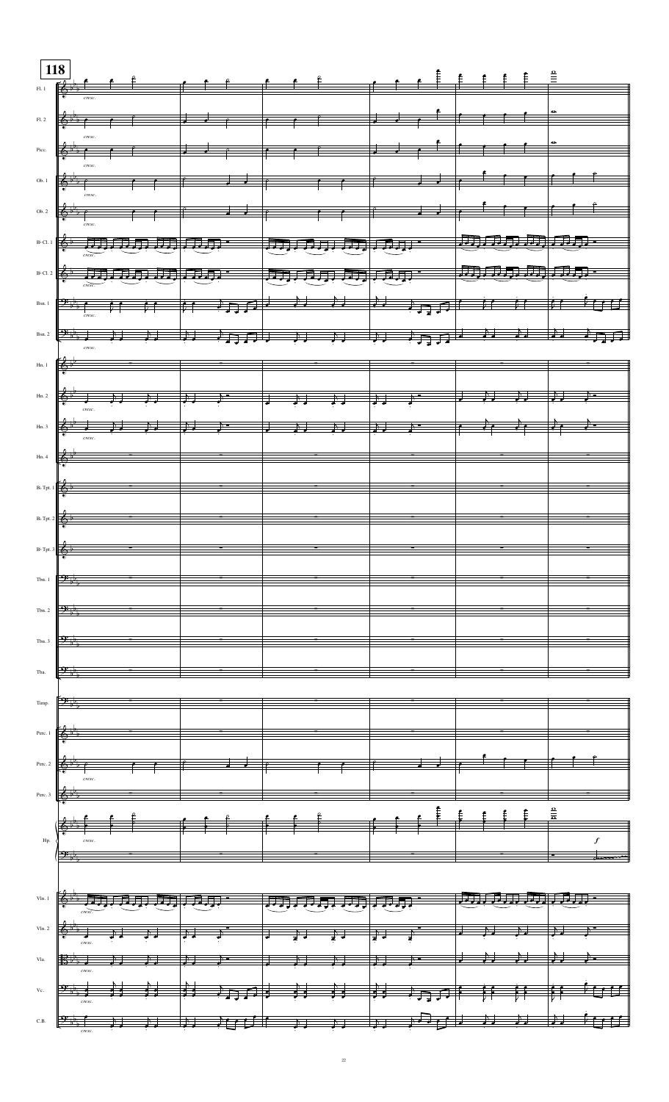| 118                          |                                                                                                                                                                                                                                                                                                                                                                                                                                                                                                 |                 |                                                                     |           |                                                                                                                                                                                                                                                                                                                                                                                                                                                                   |  |
|------------------------------|-------------------------------------------------------------------------------------------------------------------------------------------------------------------------------------------------------------------------------------------------------------------------------------------------------------------------------------------------------------------------------------------------------------------------------------------------------------------------------------------------|-----------------|---------------------------------------------------------------------|-----------|-------------------------------------------------------------------------------------------------------------------------------------------------------------------------------------------------------------------------------------------------------------------------------------------------------------------------------------------------------------------------------------------------------------------------------------------------------------------|--|
|                              |                                                                                                                                                                                                                                                                                                                                                                                                                                                                                                 |                 |                                                                     |           |                                                                                                                                                                                                                                                                                                                                                                                                                                                                   |  |
| FL.2                         |                                                                                                                                                                                                                                                                                                                                                                                                                                                                                                 |                 |                                                                     |           |                                                                                                                                                                                                                                                                                                                                                                                                                                                                   |  |
| $\mathop{\text{\rm Picc}}$ . |                                                                                                                                                                                                                                                                                                                                                                                                                                                                                                 |                 |                                                                     |           |                                                                                                                                                                                                                                                                                                                                                                                                                                                                   |  |
|                              |                                                                                                                                                                                                                                                                                                                                                                                                                                                                                                 |                 |                                                                     |           |                                                                                                                                                                                                                                                                                                                                                                                                                                                                   |  |
|                              |                                                                                                                                                                                                                                                                                                                                                                                                                                                                                                 |                 |                                                                     |           |                                                                                                                                                                                                                                                                                                                                                                                                                                                                   |  |
|                              |                                                                                                                                                                                                                                                                                                                                                                                                                                                                                                 |                 |                                                                     |           |                                                                                                                                                                                                                                                                                                                                                                                                                                                                   |  |
|                              | ※   参 更更更更更更更,   カロカカカカ  カカー   カカカカカー                                                                                                                                                                                                                                                                                                                                                                                                                                                           |                 |                                                                     |           |                                                                                                                                                                                                                                                                                                                                                                                                                                                                   |  |
|                              | ◎ <mark>参 画便加画便加一页,顶加页加一 画便加画便加</mark>                                                                                                                                                                                                                                                                                                                                                                                                                                                          |                 |                                                                     |           |                                                                                                                                                                                                                                                                                                                                                                                                                                                                   |  |
|                              | لمساح المحافي المحافي التحرير في المحافظة المحافظة التحرير المحافظة السنة المستقبل السنة المستقبل                                                                                                                                                                                                                                                                                                                                                                                               |                 |                                                                     |           |                                                                                                                                                                                                                                                                                                                                                                                                                                                                   |  |
|                              |                                                                                                                                                                                                                                                                                                                                                                                                                                                                                                 |                 |                                                                     |           |                                                                                                                                                                                                                                                                                                                                                                                                                                                                   |  |
|                              | Hn. 1 $\left(\frac{\partial}{\partial y}\right)^{\frac{1}{2}}$                                                                                                                                                                                                                                                                                                                                                                                                                                  |                 |                                                                     |           |                                                                                                                                                                                                                                                                                                                                                                                                                                                                   |  |
|                              |                                                                                                                                                                                                                                                                                                                                                                                                                                                                                                 |                 |                                                                     |           |                                                                                                                                                                                                                                                                                                                                                                                                                                                                   |  |
|                              | Hn.3                                                                                                                                                                                                                                                                                                                                                                                                                                                                                            |                 | $\rightarrow$ $\rightarrow$ $\rightarrow$ $\rightarrow$             | D.        | $\rightarrow$ $\rightarrow$ $\rightarrow$ $\rightarrow$ $\rightarrow$ $\rightarrow$ $\rightarrow$                                                                                                                                                                                                                                                                                                                                                                 |  |
|                              | Hn.4                                                                                                                                                                                                                                                                                                                                                                                                                                                                                            |                 |                                                                     |           |                                                                                                                                                                                                                                                                                                                                                                                                                                                                   |  |
| $B \triangleright Tpt.1$     |                                                                                                                                                                                                                                                                                                                                                                                                                                                                                                 |                 |                                                                     |           |                                                                                                                                                                                                                                                                                                                                                                                                                                                                   |  |
| $B \triangleright Tpt. 2$    |                                                                                                                                                                                                                                                                                                                                                                                                                                                                                                 |                 |                                                                     |           |                                                                                                                                                                                                                                                                                                                                                                                                                                                                   |  |
|                              | $B\triangleright$ Tpt. 3 $\mathbb{Z}$                                                                                                                                                                                                                                                                                                                                                                                                                                                           |                 |                                                                     |           |                                                                                                                                                                                                                                                                                                                                                                                                                                                                   |  |
|                              |                                                                                                                                                                                                                                                                                                                                                                                                                                                                                                 |                 |                                                                     |           |                                                                                                                                                                                                                                                                                                                                                                                                                                                                   |  |
|                              |                                                                                                                                                                                                                                                                                                                                                                                                                                                                                                 |                 |                                                                     |           |                                                                                                                                                                                                                                                                                                                                                                                                                                                                   |  |
| Tbn. 2                       |                                                                                                                                                                                                                                                                                                                                                                                                                                                                                                 |                 |                                                                     |           |                                                                                                                                                                                                                                                                                                                                                                                                                                                                   |  |
| Tbn. 3                       |                                                                                                                                                                                                                                                                                                                                                                                                                                                                                                 |                 |                                                                     |           |                                                                                                                                                                                                                                                                                                                                                                                                                                                                   |  |
|                              |                                                                                                                                                                                                                                                                                                                                                                                                                                                                                                 |                 |                                                                     |           |                                                                                                                                                                                                                                                                                                                                                                                                                                                                   |  |
| Timp.                        |                                                                                                                                                                                                                                                                                                                                                                                                                                                                                                 |                 |                                                                     |           |                                                                                                                                                                                                                                                                                                                                                                                                                                                                   |  |
|                              | Perc. 1                                                                                                                                                                                                                                                                                                                                                                                                                                                                                         |                 |                                                                     |           |                                                                                                                                                                                                                                                                                                                                                                                                                                                                   |  |
|                              | Perc. 2 $\left[\begin{array}{ccc} \bullet & \bullet & \bullet \\ \bullet & \bullet & \bullet \end{array}\right]$                                                                                                                                                                                                                                                                                                                                                                                | $\cdot$ $\cdot$ | $\overline{\phantom{a}}$                                            |           |                                                                                                                                                                                                                                                                                                                                                                                                                                                                   |  |
|                              | Perc. 3 $\left[\begin{array}{ccc} \overline{3} & \overline{5} \\ \overline{6} & \overline{5} & \overline{5} \\ \overline{6} & \overline{6} & \overline{6} \\ \overline{6} & \overline{6} & \overline{6} \\ \overline{6} & \overline{6} & \overline{6} \\ \overline{6} & \overline{6} & \overline{6} \\ \overline{6} & \overline{6} & \overline{6} \\ \overline{6} & \overline{6} & \overline{6} \\ \overline{6} & \overline{6} & \overline{6} \\ \overline{6} & \overline{6} & \overline{6} \\$ |                 |                                                                     |           |                                                                                                                                                                                                                                                                                                                                                                                                                                                                   |  |
|                              | $\frac{2}{5}$                                                                                                                                                                                                                                                                                                                                                                                                                                                                                   |                 |                                                                     |           |                                                                                                                                                                                                                                                                                                                                                                                                                                                                   |  |
|                              |                                                                                                                                                                                                                                                                                                                                                                                                                                                                                                 |                 |                                                                     |           |                                                                                                                                                                                                                                                                                                                                                                                                                                                                   |  |
|                              |                                                                                                                                                                                                                                                                                                                                                                                                                                                                                                 |                 |                                                                     |           |                                                                                                                                                                                                                                                                                                                                                                                                                                                                   |  |
|                              |                                                                                                                                                                                                                                                                                                                                                                                                                                                                                                 |                 |                                                                     |           |                                                                                                                                                                                                                                                                                                                                                                                                                                                                   |  |
|                              | $\mathcal{L}_{\text{lin.2}}$ and $\mathcal{L}_{\text{min.3}}$ and $\mathcal{L}_{\text{min.4}}$ and $\mathcal{L}_{\text{min.5}}$ and $\mathcal{L}_{\text{min.6}}$ and $\mathcal{L}_{\text{min.7}}$                                                                                                                                                                                                                                                                                               |                 |                                                                     |           | $\begin{array}{ccc} \mathcal{V} & \mathcal{V} & \mathcal{V} & \mathcal{V} & \mathcal{V} & \mathcal{V} & \mathcal{V} & \mathcal{V} & \mathcal{V} & \mathcal{V} & \mathcal{V} & \mathcal{V} & \mathcal{V} & \mathcal{V} & \mathcal{V} & \mathcal{V} & \mathcal{V} & \mathcal{V} & \mathcal{V} & \mathcal{V} & \mathcal{V} & \mathcal{V} & \mathcal{V} & \mathcal{V} & \mathcal{V} & \mathcal{V} & \mathcal{V} & \mathcal{V} & \mathcal{V} & \mathcal{V} & \mathcal$ |  |
|                              |                                                                                                                                                                                                                                                                                                                                                                                                                                                                                                 |                 | $\overline{\phantom{a}}$                                            | $\exists$ | $\overrightarrow{v}$                                                                                                                                                                                                                                                                                                                                                                                                                                              |  |
|                              | كَتْكَنَاهُ أَنْهُمْ يَهُمْ يَهُمْ يَجْهِرُوا لِلْهُمْ يَجْهُدُ الْمَرْجَرَةِ إِلَيْهِ إِلَيْهِ الْأَفْسِرَة<br>  كَتْكَنَاهُ الْمَرْجَعَةُ الْمَرْجَعَةُ الْمَرْجَعَةُ الْمَرْجَعَةُ الْمَرْجَعَةِ الْمَرْجَعَةِ الْمَرْجَعَة                                                                                                                                                                                                                                                                  |                 |                                                                     |           |                                                                                                                                                                                                                                                                                                                                                                                                                                                                   |  |
|                              |                                                                                                                                                                                                                                                                                                                                                                                                                                                                                                 |                 |                                                                     |           |                                                                                                                                                                                                                                                                                                                                                                                                                                                                   |  |
|                              |                                                                                                                                                                                                                                                                                                                                                                                                                                                                                                 | $\mathbb{D}$ .  | التفتية للإلك للاسلوب والتوهيم العامل والتفاتية والتفاتية والتفاعية |           |                                                                                                                                                                                                                                                                                                                                                                                                                                                                   |  |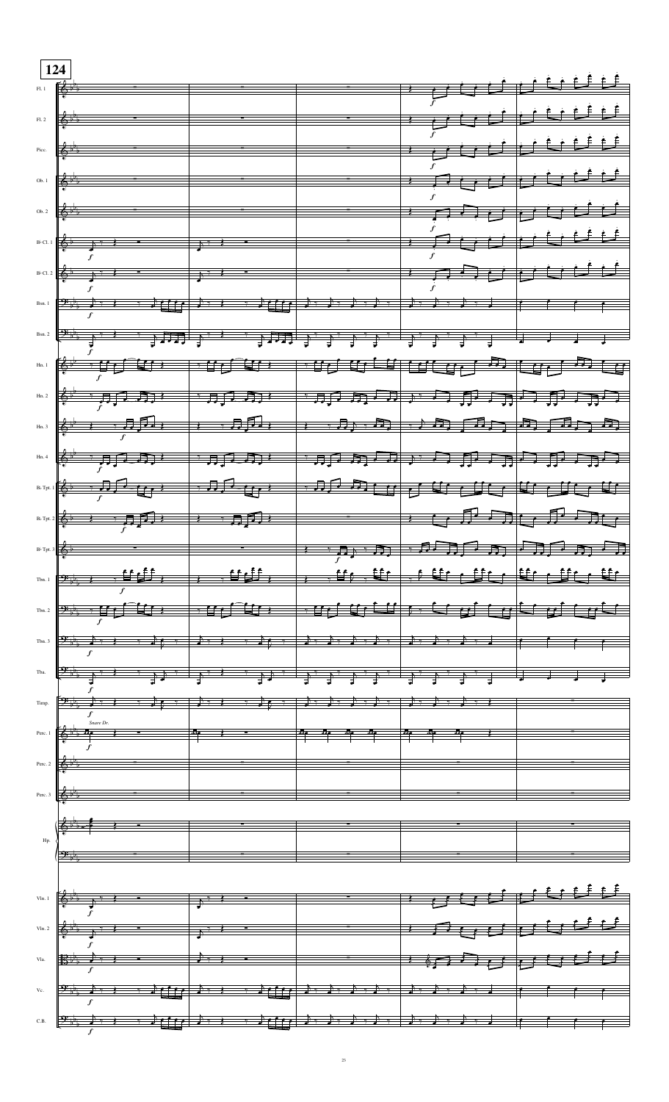| 124   |                                                                                                                                                                                                                                                                                                                                                                                                                                                                                                                                                                                    |                                           |                                                         |                      |
|-------|------------------------------------------------------------------------------------------------------------------------------------------------------------------------------------------------------------------------------------------------------------------------------------------------------------------------------------------------------------------------------------------------------------------------------------------------------------------------------------------------------------------------------------------------------------------------------------|-------------------------------------------|---------------------------------------------------------|----------------------|
|       |                                                                                                                                                                                                                                                                                                                                                                                                                                                                                                                                                                                    |                                           |                                                         | فاللا الماليا لتواطأ |
| FL.2  |                                                                                                                                                                                                                                                                                                                                                                                                                                                                                                                                                                                    |                                           | فسين فين فينا فينا فينا فينا                            |                      |
|       |                                                                                                                                                                                                                                                                                                                                                                                                                                                                                                                                                                                    |                                           |                                                         |                      |
| Picc. | $6^{\frac{1}{2}}$                                                                                                                                                                                                                                                                                                                                                                                                                                                                                                                                                                  |                                           | $\rightarrow$ $\rightarrow$ $\rightarrow$ $\rightarrow$ |                      |
|       | 0b.1                                                                                                                                                                                                                                                                                                                                                                                                                                                                                                                                                                               |                                           |                                                         |                      |
|       | $0b.2$ $\left(\frac{b}{2}\right)^{p}$                                                                                                                                                                                                                                                                                                                                                                                                                                                                                                                                              |                                           |                                                         | ・ ロウワロロロ             |
|       |                                                                                                                                                                                                                                                                                                                                                                                                                                                                                                                                                                                    |                                           |                                                         |                      |
|       | $B \triangleright$ Cl. 1 $\left \bigoplus_{i=1}^{n} P_i \right $                                                                                                                                                                                                                                                                                                                                                                                                                                                                                                                   | $\rightarrow$ $\rightarrow$ $\rightarrow$ | <u>まだむははなどと</u>                                         |                      |
|       | $B \triangleright$ Cl. 2 $\left[\begin{array}{ccc} \bullet & \bullet & \bullet & \bullet \end{array}\right]$                                                                                                                                                                                                                                                                                                                                                                                                                                                                       | $\Rightarrow$ $\frac{1}{2}$               |                                                         |                      |
|       |                                                                                                                                                                                                                                                                                                                                                                                                                                                                                                                                                                                    |                                           |                                                         |                      |
|       | <sub>™</sub> ≈ <del>(2 ∞ ) ∗ ≀ − . <sup>3</sup> °∆∆</del> ) <sup>}</sup> , , , <sup>3</sup> °∆∆∆∆ ) <sup>}</sup> , } , } , } , } , } , } , <sup>}</sup> , } , } , } , } , } , }                                                                                                                                                                                                                                                                                                                                                                                                    |                                           |                                                         |                      |
|       |                                                                                                                                                                                                                                                                                                                                                                                                                                                                                                                                                                                    |                                           |                                                         |                      |
|       | <u> درندن ولا دراندن ولا در ۱۰ اند فن واند ، است در داند است وافق پیش است</u>                                                                                                                                                                                                                                                                                                                                                                                                                                                                                                      |                                           |                                                         |                      |
|       | <u>נני ליורה לבין ליורה ליני זי לייל לייל אייל אייל זי זי לייל זי זי לייל זי זי לייל זי זי לייל זי זי לייל ויי</u>                                                                                                                                                                                                                                                                                                                                                                                                                                                                 |                                           |                                                         |                      |
|       | - توفقد و <u>نها توافقد ونه تو به اس نعر وانه با استواده است و توفق استان</u> استا                                                                                                                                                                                                                                                                                                                                                                                                                                                                                                 |                                           |                                                         |                      |
|       |                                                                                                                                                                                                                                                                                                                                                                                                                                                                                                                                                                                    |                                           |                                                         |                      |
|       | …… <del>(☆ ・?? cc・</del> ・・?? cc・・・?? ?) cc cf cf cf cf cf cf cf cf cf cf                                                                                                                                                                                                                                                                                                                                                                                                                                                                                                          |                                           |                                                         |                      |
|       | $\mathbb{E}[\mathbb{E}[\mathbb{E}[\mathbb{E}[\mathbb{E}[\mathbb{E}[\mathbb{E}[\mathbb{E}[\mathbb{E}[\mathbb{E}[\mathbb{E}[\mathbb{E}[\mathbb{E}[\mathbb{E}[\mathbb{E}[\mathbb{E}[\mathbb{E}[\mathbb{E}[\mathbb{E}[\mathbb{E}[\mathbb{E}[\mathbb{E}[\mathbb{E}[\mathbb{E}[\mathbb{E}[\mathbb{E}[\mathbb{E}[\mathbb{E}[\mathbb{E}[\mathbb{E}[\mathbb{E}[\mathbb{E}[\mathbb{E}[\mathbb{E}[\mathbb{E}[\mathbb{E}[\mathbb{$                                                                                                                                                             |                                           |                                                         |                      |
|       | $\mathbb{E}\left[ \left\langle \mathcal{L}_{\mathcal{A}} \right\rangle \right] \left\langle \mathcal{L}_{\mathcal{A}} \right] = \mathbb{E}\left[ \left\langle \mathcal{L}_{\mathcal{A}} \right\rangle \right] \times \mathbb{E}\left[ \left\langle \mathcal{L}_{\mathcal{A}} \right\rangle \right] \times \mathbb{E}\left[ \left\langle \mathcal{L}_{\mathcal{A}} \right\rangle \right] \times \mathbb{E}\left[ \left\langle \mathcal{L}_{\mathcal{A}} \right\rangle \right] \times \mathbb{E}\left[ \left\langle \mathcal{L}_{\mathcal{A}} \right\rangle \right] \times \mathbb{$ |                                           |                                                         |                      |
|       |                                                                                                                                                                                                                                                                                                                                                                                                                                                                                                                                                                                    |                                           |                                                         |                      |
|       | <sub>اسمة</sub> المستعمل المستعمل المستعمل المستعمل المستعمل المستعمل المستعمل المستعمل المستعمل المستعمل المستعمل المستعمل المستعمل المستعمل المستعمل المستعمل المستعمل المستعمل المستعمل المستعمل المستعمل المستعمل المستعمل المستعم                                                                                                                                                                                                                                                                                                                                             |                                           |                                                         |                      |
|       | Tbn.3 $\frac{1}{\sqrt{2}}$ $\frac{1}{\sqrt{2}}$ $\frac{1}{\sqrt{2}}$ $\frac{1}{\sqrt{2}}$ $\frac{1}{\sqrt{2}}$ $\frac{1}{\sqrt{2}}$ $\frac{1}{\sqrt{2}}$ $\frac{1}{\sqrt{2}}$ $\frac{1}{\sqrt{2}}$ $\frac{1}{\sqrt{2}}$ $\frac{1}{\sqrt{2}}$ $\frac{1}{\sqrt{2}}$ $\frac{1}{\sqrt{2}}$ $\frac{1}{\sqrt{2}}$ $\frac{1}{\sqrt{2}}$ $\frac{1}{\sqrt{2}}$ $\frac{1}{\$                                                                                                                                                                                                                 |                                           |                                                         |                      |
|       |                                                                                                                                                                                                                                                                                                                                                                                                                                                                                                                                                                                    |                                           |                                                         |                      |
|       |                                                                                                                                                                                                                                                                                                                                                                                                                                                                                                                                                                                    |                                           |                                                         |                      |
|       | Perc. 1 $\left[\frac{2b+1}{b}, \frac{b+1}{b}, \frac{b+1}{b}, \frac{c+1}{b}, \frac{d+1}{b}, \frac{d+1}{b}, \frac{d+1}{b}, \frac{d+1}{b}, \frac{d+1}{b}, \frac{d+1}{b}, \frac{d+1}{b}, \frac{d+1}{b}, \frac{d+1}{b}, \frac{d+1}{b}, \frac{d+1}{b}, \frac{d+1}{b}, \frac{d+1}{b}, \frac{d+1}{b}, \frac{d+1}{b}, \frac{d+1}{b}, \frac{d+1}{b}, \frac{d+1}{b}, \frac{d+1}{b}, \frac$                                                                                                                                                                                                    |                                           |                                                         |                      |
|       | $\frac{1}{\sqrt{1-\frac{1}{2}}}$                                                                                                                                                                                                                                                                                                                                                                                                                                                                                                                                                   |                                           |                                                         |                      |
|       | Perc. 3 $\left[\begin{array}{ccc} 1 & 1 \\ 0 & 1 \end{array}\right]$                                                                                                                                                                                                                                                                                                                                                                                                                                                                                                               |                                           |                                                         |                      |
|       |                                                                                                                                                                                                                                                                                                                                                                                                                                                                                                                                                                                    |                                           |                                                         |                      |
|       | $\left(\begin{array}{ccc} \bullet & \bullet & \bullet & \bullet \\ \bullet & \bullet & \bullet & \bullet \end{array}\right)$                                                                                                                                                                                                                                                                                                                                                                                                                                                       |                                           |                                                         |                      |
|       |                                                                                                                                                                                                                                                                                                                                                                                                                                                                                                                                                                                    |                                           |                                                         |                      |
|       |                                                                                                                                                                                                                                                                                                                                                                                                                                                                                                                                                                                    |                                           |                                                         |                      |
|       |                                                                                                                                                                                                                                                                                                                                                                                                                                                                                                                                                                                    |                                           |                                                         |                      |
|       |                                                                                                                                                                                                                                                                                                                                                                                                                                                                                                                                                                                    |                                           |                                                         |                      |
|       |                                                                                                                                                                                                                                                                                                                                                                                                                                                                                                                                                                                    |                                           |                                                         |                      |
|       | ve <del>Dig de la registrada de la registrada de de de de la registrada de la registrada de la registrada de la registrada de la registrada de la registrada de la registrada de la registrada de la registrada de la registrada d</del>                                                                                                                                                                                                                                                                                                                                           |                                           |                                                         |                      |
|       |                                                                                                                                                                                                                                                                                                                                                                                                                                                                                                                                                                                    |                                           |                                                         |                      |
|       |                                                                                                                                                                                                                                                                                                                                                                                                                                                                                                                                                                                    |                                           |                                                         |                      |